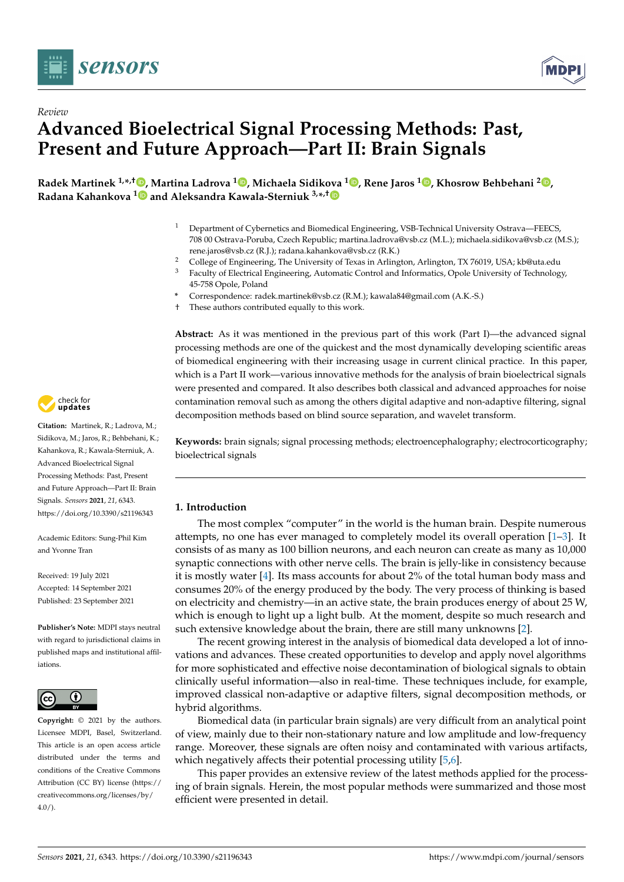



# *Review* **Advanced Bioelectrical Signal Processing Methods: Past, Present and Future Approach—Part II: Brain Signals**

**Radek Martinek 1,\* ,† [,](https://orcid.org/0000-0003-2054-143X) Martina Ladrova <sup>1</sup> [,](https://orcid.org/0000-0002-5316-475X) Michaela Sidik[ova](https://orcid.org/0000-0001-7826-1292) <sup>1</sup> [,](https://orcid.org/0000-0002-9660-9659) Rene Jaros [1](https://orcid.org/0000-0003-3346-6467) , Khosrow Behbehani <sup>2</sup> [,](https://orcid.org/0000-0001-5204-4230) Radana Kahankova [1](https://orcid.org/0000-0003-1555-9889) and Aleksandra Kawala-Sterniuk 3,\* ,†**

- <sup>1</sup> Department of Cybernetics and Biomedical Engineering, VSB-Technical University Ostrava—FEECS, 708 00 Ostrava-Poruba, Czech Republic; martina.ladrova@vsb.cz (M.L.); michaela.sidikova@vsb.cz (M.S.); rene.jaros@vsb.cz (R.J.); radana.kahankova@vsb.cz (R.K.)
- <sup>2</sup> College of Engineering, The University of Texas in Arlington, Arlington, TX 76019, USA; kb@uta.edu<br><sup>3</sup> Equility of Electrical Engineering, Automatic Control and Informatics, Opele University of Technology
	- <sup>3</sup> Faculty of Electrical Engineering, Automatic Control and Informatics, Opole University of Technology, 45-758 Opole, Poland
- **\*** Correspondence: radek.martinek@vsb.cz (R.M.); kawala84@gmail.com (A.K.-S.)
- † These authors contributed equally to this work.

**Abstract:** As it was mentioned in the previous part of this work (Part I)—the advanced signal processing methods are one of the quickest and the most dynamically developing scientific areas of biomedical engineering with their increasing usage in current clinical practice. In this paper, which is a Part II work—various innovative methods for the analysis of brain bioelectrical signals were presented and compared. It also describes both classical and advanced approaches for noise contamination removal such as among the others digital adaptive and non-adaptive filtering, signal decomposition methods based on blind source separation, and wavelet transform.

**Keywords:** brain signals; signal processing methods; electroencephalography; electrocorticography; bioelectrical signals

# **1. Introduction**

The most complex "computer" in the world is the human brain. Despite numerous attempts, no one has ever managed to completely model its overall operation [\[1–](#page-23-0)[3\]](#page-23-1). It consists of as many as 100 billion neurons, and each neuron can create as many as 10,000 synaptic connections with other nerve cells. The brain is jelly-like in consistency because it is mostly water [\[4\]](#page-23-2). Its mass accounts for about 2% of the total human body mass and consumes 20% of the energy produced by the body. The very process of thinking is based on electricity and chemistry—in an active state, the brain produces energy of about 25 W, which is enough to light up a light bulb. At the moment, despite so much research and such extensive knowledge about the brain, there are still many unknowns [\[2\]](#page-23-3).

The recent growing interest in the analysis of biomedical data developed a lot of innovations and advances. These created opportunities to develop and apply novel algorithms for more sophisticated and effective noise decontamination of biological signals to obtain clinically useful information—also in real-time. These techniques include, for example, improved classical non-adaptive or adaptive filters, signal decomposition methods, or hybrid algorithms.

Biomedical data (in particular brain signals) are very difficult from an analytical point of view, mainly due to their non-stationary nature and low amplitude and low-frequency range. Moreover, these signals are often noisy and contaminated with various artifacts, which negatively affects their potential processing utility [\[5,](#page-23-4)[6\]](#page-23-5).

This paper provides an extensive review of the latest methods applied for the processing of brain signals. Herein, the most popular methods were summarized and those most efficient were presented in detail.



**Citation:** Martinek, R.; Ladrova, M.; Sidikova, M.; Jaros, R.; Behbehani, K.; Kahankova, R.; Kawala-Sterniuk, A. Advanced Bioelectrical Signal Processing Methods: Past, Present and Future Approach—Part II: Brain Signals. *Sensors* **2021**, *21*, 6343. <https://doi.org/10.3390/s21196343>

Academic Editors: Sung-Phil Kim and Yvonne Tran

Received: 19 July 2021 Accepted: 14 September 2021 Published: 23 September 2021

**Publisher's Note:** MDPI stays neutral with regard to jurisdictional claims in published maps and institutional affiliations.



**Copyright:** © 2021 by the authors. Licensee MDPI, Basel, Switzerland. This article is an open access article distributed under the terms and conditions of the Creative Commons Attribution (CC BY) license (https:/[/](https://creativecommons.org/licenses/by/4.0/) [creativecommons.org/licenses/by/](https://creativecommons.org/licenses/by/4.0/)  $4.0/$ ).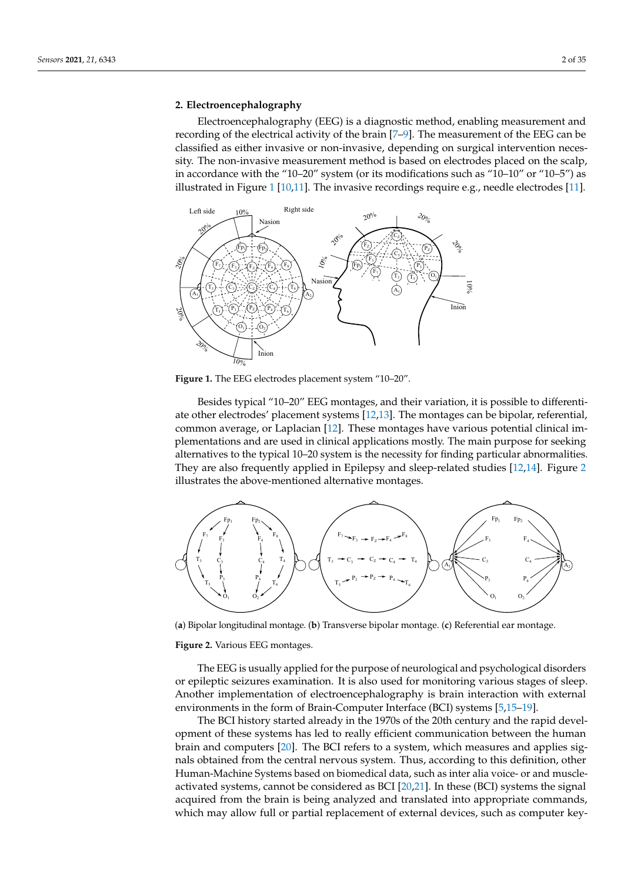#### <span id="page-1-2"></span>**2. Electroencephalography**

Electroencephalography (EEG) is a diagnostic method, enabling measurement and recording of the electrical activity of the brain [\[7–](#page-23-6)[9\]](#page-23-7). The measurement of the EEG can be classified as either invasive or non-invasive, depending on surgical intervention necessity. The non-invasive measurement method is based on electrodes placed on the scalp, in accordance with the "10–20" system (or its modifications such as "10–10" or "10–5") as illustrated in Figure [1](#page-1-0) [\[10](#page-23-8)[,11\]](#page-23-9). The invasive recordings require e.g., needle electrodes [\[11\]](#page-23-9).

<span id="page-1-0"></span>

**Figure 1.** The EEG electrodes placement system "10–20".

Besides typical "10–20" EEG montages, and their variation, it is possible to differentiate other electrodes' placement systems [\[12](#page-23-10)[,13\]](#page-23-11). The montages can be bipolar, referential, common average, or Laplacian [\[12\]](#page-23-10). These montages have various potential clinical implementations and are used in clinical applications mostly. The main purpose for seeking alternatives to the typical 10–20 system is the necessity for finding particular abnormalities. They are also frequently applied in Epilepsy and sleep-related studies [\[12](#page-23-10)[,14\]](#page-23-12). Figure [2](#page-1-1) illustrates the above-mentioned alternative montages.

<span id="page-1-1"></span>

(**a**) Bipolar longitudinal montage. (**b**) Transverse bipolar montage. (**c**) Referential ear montage.

**Figure 2.** Various EEG montages.

The EEG is usually applied for the purpose of neurological and psychological disorders or epileptic seizures examination. It is also used for monitoring various stages of sleep. Another implementation of electroencephalography is brain interaction with external environments in the form of Brain-Computer Interface (BCI) systems [\[5,](#page-23-4)[15](#page-23-13)[–19\]](#page-24-0).

The BCI history started already in the 1970s of the 20th century and the rapid development of these systems has led to really efficient communication between the human brain and computers [\[20\]](#page-24-1). The BCI refers to a system, which measures and applies signals obtained from the central nervous system. Thus, according to this definition, other Human-Machine Systems based on biomedical data, such as inter alia voice- or and muscleactivated systems, cannot be considered as BCI [\[20](#page-24-1)[,21\]](#page-24-2). In these (BCI) systems the signal acquired from the brain is being analyzed and translated into appropriate commands, which may allow full or partial replacement of external devices, such as computer key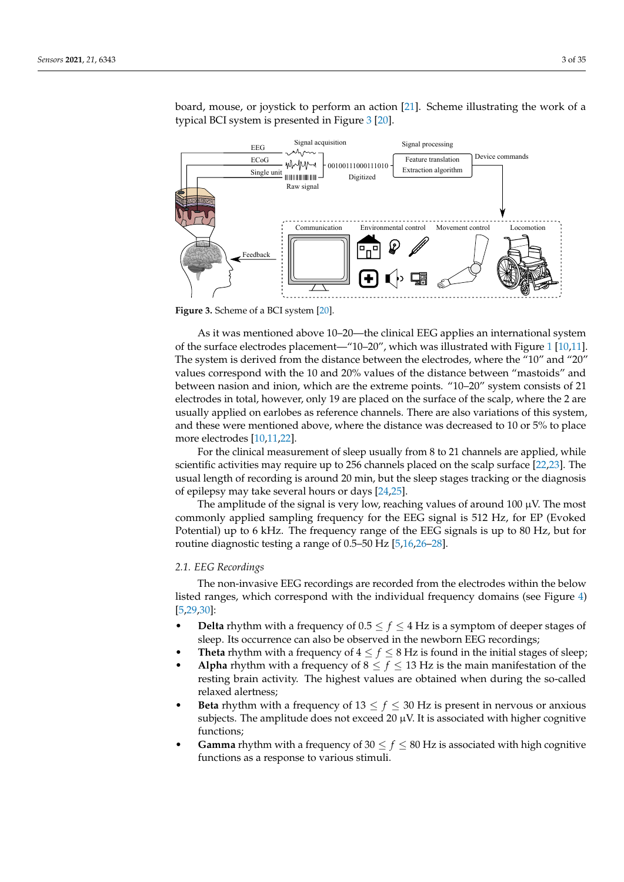board, mouse, or joystick to perform an action [\[21\]](#page-24-2). Scheme illustrating the work of a typical BCI system is presented in Figure [3](#page-2-0) [\[20\]](#page-24-1).

<span id="page-2-0"></span>

**Figure 3.** Scheme of a BCI system [\[20\]](#page-24-1).

As it was mentioned above 10–20—the clinical EEG applies an international system of the surface electrodes placement—"10–20", which was illustrated with Figure [1](#page-1-0) [\[10](#page-23-8)[,11\]](#page-23-9). The system is derived from the distance between the electrodes, where the "10" and "20" values correspond with the 10 and 20% values of the distance between "mastoids" and between nasion and inion, which are the extreme points. "10–20" system consists of 21 electrodes in total, however, only 19 are placed on the surface of the scalp, where the 2 are usually applied on earlobes as reference channels. There are also variations of this system, and these were mentioned above, where the distance was decreased to 10 or 5% to place more electrodes [\[10,](#page-23-8)[11,](#page-23-9)[22\]](#page-24-3).

For the clinical measurement of sleep usually from 8 to 21 channels are applied, while scientific activities may require up to 256 channels placed on the scalp surface [\[22](#page-24-3)[,23\]](#page-24-4). The usual length of recording is around 20 min, but the sleep stages tracking or the diagnosis of epilepsy may take several hours or days [\[24](#page-24-5)[,25\]](#page-24-6).

The amplitude of the signal is very low, reaching values of around 100  $\mu$ V. The most commonly applied sampling frequency for the EEG signal is 512 Hz, for EP (Evoked Potential) up to 6 kHz. The frequency range of the EEG signals is up to 80 Hz, but for routine diagnostic testing a range of 0.5–50 Hz [\[5,](#page-23-4)[16,](#page-23-14)[26](#page-24-7)[–28\]](#page-24-8).

## *2.1. EEG Recordings*

The non-invasive EEG recordings are recorded from the electrodes within the below listed ranges, which correspond with the individual frequency domains (see Figure [4\)](#page-3-0) [\[5,](#page-23-4)[29,](#page-24-9)[30\]](#page-24-10):

- **Delta** rhythm with a frequency of  $0.5 \le f \le 4$  Hz is a symptom of deeper stages of sleep. Its occurrence can also be observed in the newborn EEG recordings;
- **Theta** rhythm with a frequency of  $4 \leq f \leq 8$  Hz is found in the initial stages of sleep;
- **Alpha** rhythm with a frequency of  $8 \le f \le 13$  Hz is the main manifestation of the resting brain activity. The highest values are obtained when during the so-called relaxed alertness;
- **Beta** rhythm with a frequency of  $13 \le f \le 30$  Hz is present in nervous or anxious subjects. The amplitude does not exceed 20  $\mu$ V. It is associated with higher cognitive functions;
- **Gamma** rhythm with a frequency of 30  $\leq f \leq 80$  Hz is associated with high cognitive functions as a response to various stimuli.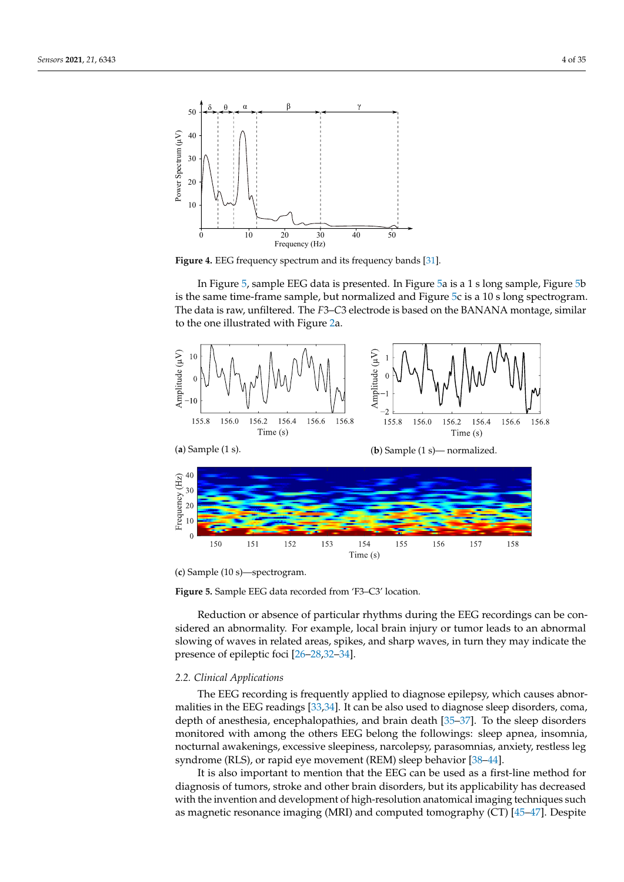<span id="page-3-0"></span>

**Figure 4.** EEG frequency spectrum and its frequency bands [\[31\]](#page-24-11).

In Figure [5,](#page-3-1) sample EEG data is presented. In Figure [5a](#page-3-1) is a 1 s long sample, Figure [5b](#page-3-1) is the same time-frame sample, but normalized and Figure [5c](#page-3-1) is a 10 s long spectrogram. The data is raw, unfiltered. The *F*3–*C*3 electrode is based on the BANANA montage, similar to the one illustrated with Figure [2a](#page-1-1).

<span id="page-3-1"></span>

(**c**) Sample (10 s)—spectrogram.

**Figure 5.** Sample EEG data recorded from 'F3–C3' location.

Reduction or absence of particular rhythms during the EEG recordings can be considered an abnormality. For example, local brain injury or tumor leads to an abnormal slowing of waves in related areas, spikes, and sharp waves, in turn they may indicate the presence of epileptic foci [\[26](#page-24-7)[–28](#page-24-8)[,32–](#page-24-12)[34\]](#page-24-13).

#### *2.2. Clinical Applications*

The EEG recording is frequently applied to diagnose epilepsy, which causes abnormalities in the EEG readings [\[33](#page-24-14)[,34\]](#page-24-13). It can be also used to diagnose sleep disorders, coma, depth of anesthesia, encephalopathies, and brain death [\[35–](#page-24-15)[37\]](#page-24-16). To the sleep disorders monitored with among the others EEG belong the followings: sleep apnea, insomnia, nocturnal awakenings, excessive sleepiness, narcolepsy, parasomnias, anxiety, restless leg syndrome (RLS), or rapid eye movement (REM) sleep behavior [\[38](#page-24-17)[–44\]](#page-24-18).

It is also important to mention that the EEG can be used as a first-line method for diagnosis of tumors, stroke and other brain disorders, but its applicability has decreased with the invention and development of high-resolution anatomical imaging techniques such as magnetic resonance imaging (MRI) and computed tomography (CT) [\[45–](#page-24-19)[47\]](#page-25-0). Despite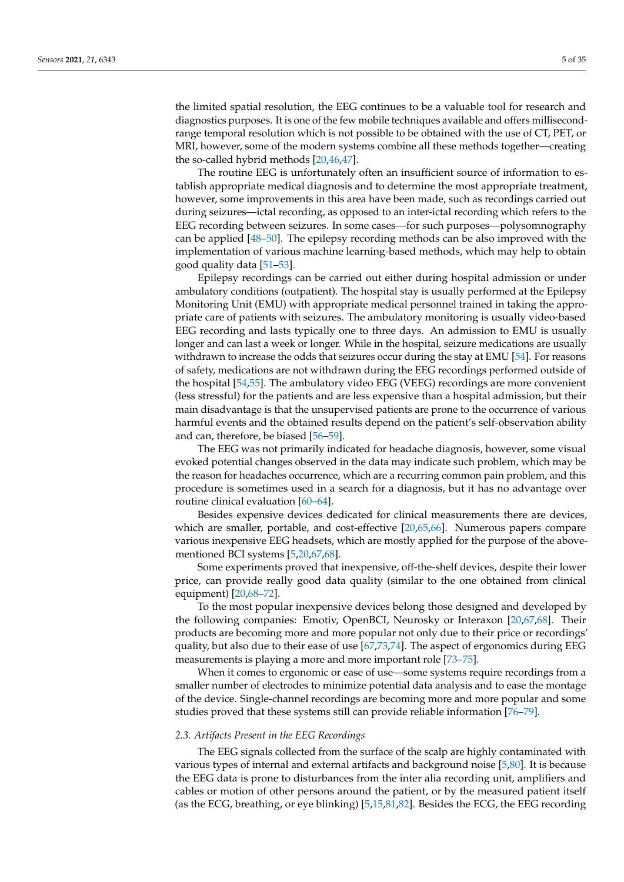the limited spatial resolution, the EEG continues to be a valuable tool for research and diagnostics purposes. It is one of the few mobile techniques available and offers millisecondrange temporal resolution which is not possible to be obtained with the use of CT, PET, or MRI, however, some of the modern systems combine all these methods together—creating the so-called hybrid methods [\[20](#page-24-1)[,46](#page-24-20)[,47\]](#page-25-0).

The routine EEG is unfortunately often an insufficient source of information to establish appropriate medical diagnosis and to determine the most appropriate treatment, however, some improvements in this area have been made, such as recordings carried out during seizures—ictal recording, as opposed to an inter-ictal recording which refers to the EEG recording between seizures. In some cases—for such purposes—polysomnography can be applied [\[48](#page-25-1)[–50\]](#page-25-2). The epilepsy recording methods can be also improved with the implementation of various machine learning-based methods, which may help to obtain good quality data [\[51–](#page-25-3)[53\]](#page-25-4).

Epilepsy recordings can be carried out either during hospital admission or under ambulatory conditions (outpatient). The hospital stay is usually performed at the Epilepsy Monitoring Unit (EMU) with appropriate medical personnel trained in taking the appropriate care of patients with seizures. The ambulatory monitoring is usually video-based EEG recording and lasts typically one to three days. An admission to EMU is usually longer and can last a week or longer. While in the hospital, seizure medications are usually withdrawn to increase the odds that seizures occur during the stay at EMU [\[54\]](#page-25-5). For reasons of safety, medications are not withdrawn during the EEG recordings performed outside of the hospital [\[54,](#page-25-5)[55\]](#page-25-6). The ambulatory video EEG (VEEG) recordings are more convenient (less stressful) for the patients and are less expensive than a hospital admission, but their main disadvantage is that the unsupervised patients are prone to the occurrence of various harmful events and the obtained results depend on the patient's self-observation ability and can, therefore, be biased [\[56](#page-25-7)[–59\]](#page-25-8).

The EEG was not primarily indicated for headache diagnosis, however, some visual evoked potential changes observed in the data may indicate such problem, which may be the reason for headaches occurrence, which are a recurring common pain problem, and this procedure is sometimes used in a search for a diagnosis, but it has no advantage over routine clinical evaluation [\[60–](#page-25-9)[64\]](#page-25-10).

Besides expensive devices dedicated for clinical measurements there are devices, which are smaller, portable, and cost-effective [\[20,](#page-24-1)[65,](#page-25-11)[66\]](#page-25-12). Numerous papers compare various inexpensive EEG headsets, which are mostly applied for the purpose of the abovementioned BCI systems [\[5,](#page-23-4)[20,](#page-24-1)[67,](#page-25-13)[68\]](#page-25-14).

Some experiments proved that inexpensive, off-the-shelf devices, despite their lower price, can provide really good data quality (similar to the one obtained from clinical equipment) [\[20,](#page-24-1)[68–](#page-25-14)[72\]](#page-25-15).

To the most popular inexpensive devices belong those designed and developed by the following companies: Emotiv, OpenBCI, Neurosky or Interaxon [\[20](#page-24-1)[,67,](#page-25-13)[68\]](#page-25-14). Their products are becoming more and more popular not only due to their price or recordings' quality, but also due to their ease of use [\[67](#page-25-13)[,73](#page-25-16)[,74\]](#page-26-0). The aspect of ergonomics during EEG measurements is playing a more and more important role [\[73](#page-25-16)[–75\]](#page-26-1).

When it comes to ergonomic or ease of use—some systems require recordings from a smaller number of electrodes to minimize potential data analysis and to ease the montage of the device. Single-channel recordings are becoming more and more popular and some studies proved that these systems still can provide reliable information [\[76–](#page-26-2)[79\]](#page-26-3).

#### *2.3. Artifacts Present in the EEG Recordings*

The EEG signals collected from the surface of the scalp are highly contaminated with various types of internal and external artifacts and background noise [\[5](#page-23-4)[,80\]](#page-26-4). It is because the EEG data is prone to disturbances from the inter alia recording unit, amplifiers and cables or motion of other persons around the patient, or by the measured patient itself (as the ECG, breathing, or eye blinking) [\[5,](#page-23-4)[15,](#page-23-13)[81,](#page-26-5)[82\]](#page-26-6). Besides the ECG, the EEG recording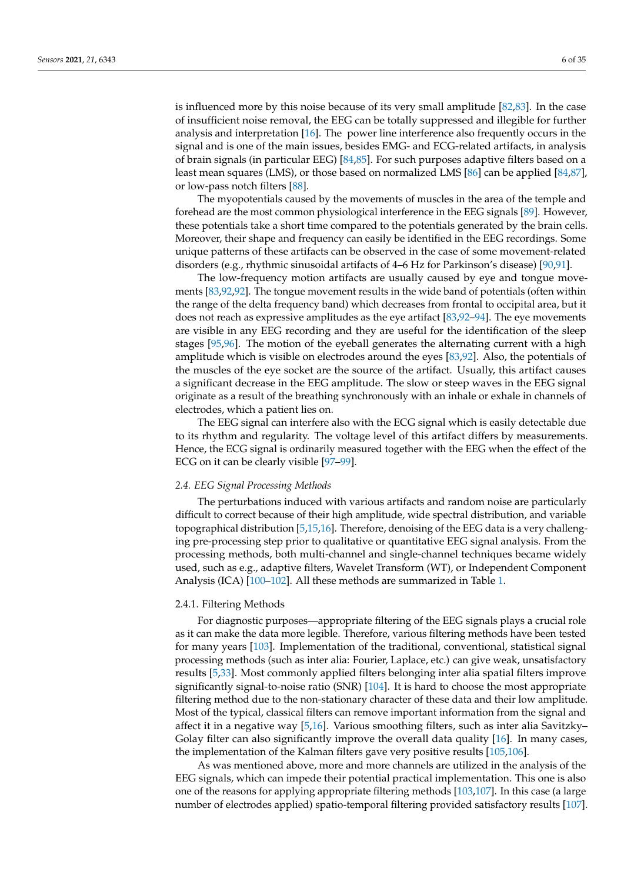is influenced more by this noise because of its very small amplitude [\[82,](#page-26-6)[83\]](#page-26-7). In the case of insufficient noise removal, the EEG can be totally suppressed and illegible for further analysis and interpretation [\[16\]](#page-23-14). The power line interference also frequently occurs in the signal and is one of the main issues, besides EMG- and ECG-related artifacts, in analysis of brain signals (in particular EEG) [\[84,](#page-26-8)[85\]](#page-26-9). For such purposes adaptive filters based on a least mean squares (LMS), or those based on normalized LMS [\[86\]](#page-26-10) can be applied [\[84,](#page-26-8)[87\]](#page-26-11), or low-pass notch filters [\[88\]](#page-26-12).

The myopotentials caused by the movements of muscles in the area of the temple and forehead are the most common physiological interference in the EEG signals [\[89\]](#page-26-13). However, these potentials take a short time compared to the potentials generated by the brain cells. Moreover, their shape and frequency can easily be identified in the EEG recordings. Some unique patterns of these artifacts can be observed in the case of some movement-related disorders (e.g., rhythmic sinusoidal artifacts of 4–6 Hz for Parkinson's disease) [\[90,](#page-26-14)[91\]](#page-26-15).

The low-frequency motion artifacts are usually caused by eye and tongue movements [\[83](#page-26-7)[,92,92\]](#page-26-16). The tongue movement results in the wide band of potentials (often within the range of the delta frequency band) which decreases from frontal to occipital area, but it does not reach as expressive amplitudes as the eye artifact [\[83](#page-26-7)[,92](#page-26-16)[–94\]](#page-26-17). The eye movements are visible in any EEG recording and they are useful for the identification of the sleep stages [\[95](#page-26-18)[,96\]](#page-26-19). The motion of the eyeball generates the alternating current with a high amplitude which is visible on electrodes around the eyes [\[83,](#page-26-7)[92\]](#page-26-16). Also, the potentials of the muscles of the eye socket are the source of the artifact. Usually, this artifact causes a significant decrease in the EEG amplitude. The slow or steep waves in the EEG signal originate as a result of the breathing synchronously with an inhale or exhale in channels of electrodes, which a patient lies on.

The EEG signal can interfere also with the ECG signal which is easily detectable due to its rhythm and regularity. The voltage level of this artifact differs by measurements. Hence, the ECG signal is ordinarily measured together with the EEG when the effect of the ECG on it can be clearly visible [\[97–](#page-26-20)[99\]](#page-26-21).

#### *2.4. EEG Signal Processing Methods*

The perturbations induced with various artifacts and random noise are particularly difficult to correct because of their high amplitude, wide spectral distribution, and variable topographical distribution [\[5](#page-23-4)[,15](#page-23-13)[,16\]](#page-23-14). Therefore, denoising of the EEG data is a very challenging pre-processing step prior to qualitative or quantitative EEG signal analysis. From the processing methods, both multi-channel and single-channel techniques became widely used, such as e.g., adaptive filters, Wavelet Transform (WT), or Independent Component Analysis (ICA) [\[100](#page-26-22)[–102\]](#page-26-23). All these methods are summarized in Table [1.](#page-10-0)

#### 2.4.1. Filtering Methods

For diagnostic purposes—appropriate filtering of the EEG signals plays a crucial role as it can make the data more legible. Therefore, various filtering methods have been tested for many years [\[103\]](#page-27-0). Implementation of the traditional, conventional, statistical signal processing methods (such as inter alia: Fourier, Laplace, etc.) can give weak, unsatisfactory results [\[5](#page-23-4)[,33\]](#page-24-14). Most commonly applied filters belonging inter alia spatial filters improve significantly signal-to-noise ratio (SNR) [\[104\]](#page-27-1). It is hard to choose the most appropriate filtering method due to the non-stationary character of these data and their low amplitude. Most of the typical, classical filters can remove important information from the signal and affect it in a negative way [\[5](#page-23-4)[,16\]](#page-23-14). Various smoothing filters, such as inter alia Savitzky– Golay filter can also significantly improve the overall data quality [\[16\]](#page-23-14). In many cases, the implementation of the Kalman filters gave very positive results [\[105](#page-27-2)[,106\]](#page-27-3).

As was mentioned above, more and more channels are utilized in the analysis of the EEG signals, which can impede their potential practical implementation. This one is also one of the reasons for applying appropriate filtering methods [\[103,](#page-27-0)[107\]](#page-27-4). In this case (a large number of electrodes applied) spatio-temporal filtering provided satisfactory results [\[107\]](#page-27-4).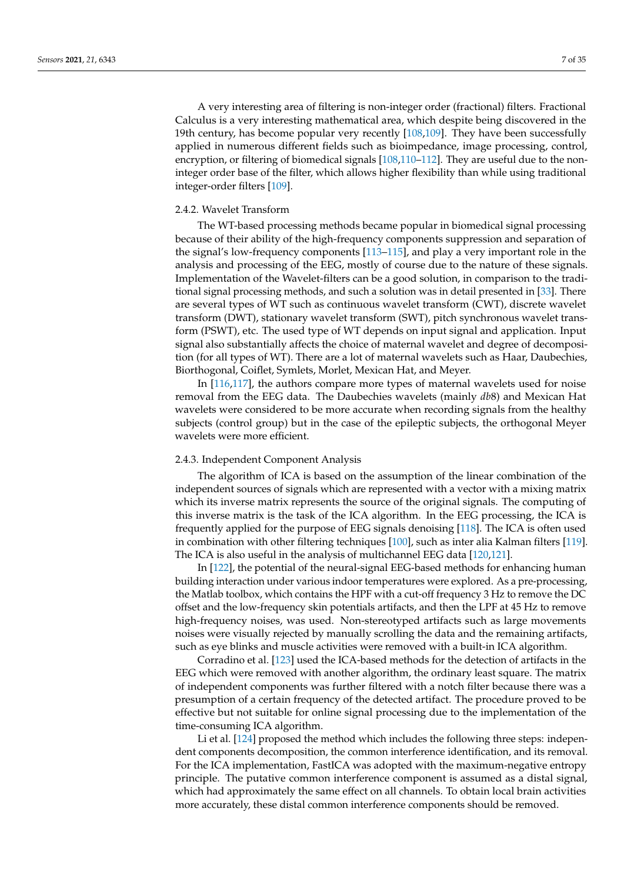A very interesting area of filtering is non-integer order (fractional) filters. Fractional Calculus is a very interesting mathematical area, which despite being discovered in the 19th century, has become popular very recently [\[108,](#page-27-5)[109\]](#page-27-6). They have been successfully applied in numerous different fields such as bioimpedance, image processing, control, encryption, or filtering of biomedical signals [\[108,](#page-27-5)[110](#page-27-7)[–112\]](#page-27-8). They are useful due to the noninteger order base of the filter, which allows higher flexibility than while using traditional integer-order filters [\[109\]](#page-27-6).

## 2.4.2. Wavelet Transform

The WT-based processing methods became popular in biomedical signal processing because of their ability of the high-frequency components suppression and separation of the signal's low-frequency components [\[113–](#page-27-9)[115\]](#page-27-10), and play a very important role in the analysis and processing of the EEG, mostly of course due to the nature of these signals. Implementation of the Wavelet-filters can be a good solution, in comparison to the traditional signal processing methods, and such a solution was in detail presented in [\[33\]](#page-24-14). There are several types of WT such as continuous wavelet transform (CWT), discrete wavelet transform (DWT), stationary wavelet transform (SWT), pitch synchronous wavelet transform (PSWT), etc. The used type of WT depends on input signal and application. Input signal also substantially affects the choice of maternal wavelet and degree of decomposition (for all types of WT). There are a lot of maternal wavelets such as Haar, Daubechies, Biorthogonal, Coiflet, Symlets, Morlet, Mexican Hat, and Meyer.

In [\[116](#page-27-11)[,117\]](#page-27-12), the authors compare more types of maternal wavelets used for noise removal from the EEG data. The Daubechies wavelets (mainly *db*8) and Mexican Hat wavelets were considered to be more accurate when recording signals from the healthy subjects (control group) but in the case of the epileptic subjects, the orthogonal Meyer wavelets were more efficient.

#### 2.4.3. Independent Component Analysis

The algorithm of ICA is based on the assumption of the linear combination of the independent sources of signals which are represented with a vector with a mixing matrix which its inverse matrix represents the source of the original signals. The computing of this inverse matrix is the task of the ICA algorithm. In the EEG processing, the ICA is frequently applied for the purpose of EEG signals denoising [\[118\]](#page-27-13). The ICA is often used in combination with other filtering techniques [\[100\]](#page-26-22), such as inter alia Kalman filters [\[119\]](#page-27-14). The ICA is also useful in the analysis of multichannel EEG data [\[120,](#page-27-15)[121\]](#page-27-16).

In [\[122\]](#page-27-17), the potential of the neural-signal EEG-based methods for enhancing human building interaction under various indoor temperatures were explored. As a pre-processing, the Matlab toolbox, which contains the HPF with a cut-off frequency 3 Hz to remove the DC offset and the low-frequency skin potentials artifacts, and then the LPF at 45 Hz to remove high-frequency noises, was used. Non-stereotyped artifacts such as large movements noises were visually rejected by manually scrolling the data and the remaining artifacts, such as eye blinks and muscle activities were removed with a built-in ICA algorithm.

Corradino et al. [\[123\]](#page-27-18) used the ICA-based methods for the detection of artifacts in the EEG which were removed with another algorithm, the ordinary least square. The matrix of independent components was further filtered with a notch filter because there was a presumption of a certain frequency of the detected artifact. The procedure proved to be effective but not suitable for online signal processing due to the implementation of the time-consuming ICA algorithm.

Li et al. [\[124\]](#page-27-19) proposed the method which includes the following three steps: independent components decomposition, the common interference identification, and its removal. For the ICA implementation, FastICA was adopted with the maximum-negative entropy principle. The putative common interference component is assumed as a distal signal, which had approximately the same effect on all channels. To obtain local brain activities more accurately, these distal common interference components should be removed.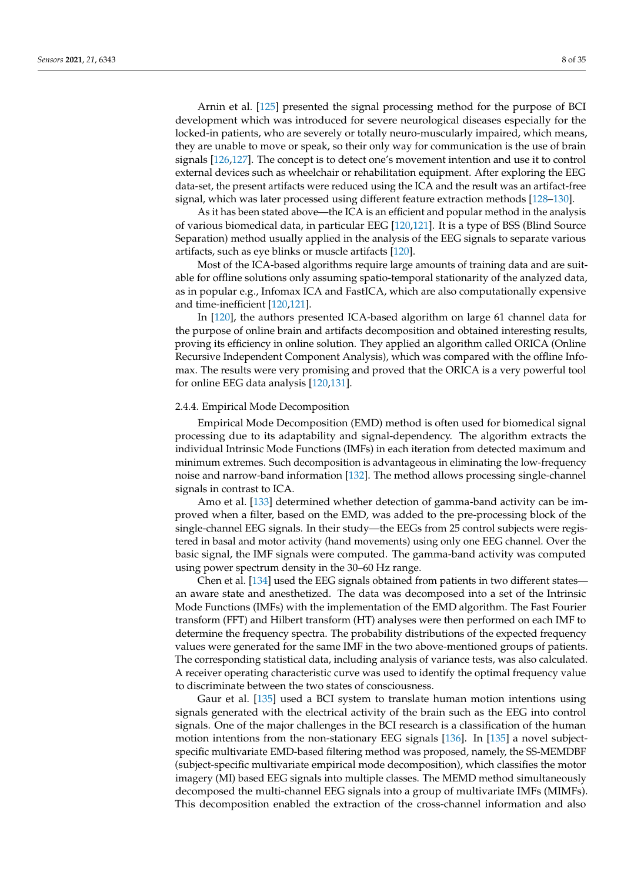Arnin et al. [\[125\]](#page-27-20) presented the signal processing method for the purpose of BCI development which was introduced for severe neurological diseases especially for the locked-in patients, who are severely or totally neuro-muscularly impaired, which means, they are unable to move or speak, so their only way for communication is the use of brain signals [\[126](#page-27-21)[,127\]](#page-27-22). The concept is to detect one's movement intention and use it to control external devices such as wheelchair or rehabilitation equipment. After exploring the EEG data-set, the present artifacts were reduced using the ICA and the result was an artifact-free signal, which was later processed using different feature extraction methods [\[128–](#page-27-23)[130\]](#page-28-0).

As it has been stated above—the ICA is an efficient and popular method in the analysis of various biomedical data, in particular EEG [\[120,](#page-27-15)[121\]](#page-27-16). It is a type of BSS (Blind Source Separation) method usually applied in the analysis of the EEG signals to separate various artifacts, such as eye blinks or muscle artifacts [\[120\]](#page-27-15).

Most of the ICA-based algorithms require large amounts of training data and are suitable for offline solutions only assuming spatio-temporal stationarity of the analyzed data, as in popular e.g., Infomax ICA and FastICA, which are also computationally expensive and time-inefficient [\[120,](#page-27-15)[121\]](#page-27-16).

In [\[120\]](#page-27-15), the authors presented ICA-based algorithm on large 61 channel data for the purpose of online brain and artifacts decomposition and obtained interesting results, proving its efficiency in online solution. They applied an algorithm called ORICA (Online Recursive Independent Component Analysis), which was compared with the offline Infomax. The results were very promising and proved that the ORICA is a very powerful tool for online EEG data analysis [\[120](#page-27-15)[,131\]](#page-28-1).

#### 2.4.4. Empirical Mode Decomposition

Empirical Mode Decomposition (EMD) method is often used for biomedical signal processing due to its adaptability and signal-dependency. The algorithm extracts the individual Intrinsic Mode Functions (IMFs) in each iteration from detected maximum and minimum extremes. Such decomposition is advantageous in eliminating the low-frequency noise and narrow-band information [\[132\]](#page-28-2). The method allows processing single-channel signals in contrast to ICA.

Amo et al. [\[133\]](#page-28-3) determined whether detection of gamma-band activity can be improved when a filter, based on the EMD, was added to the pre-processing block of the single-channel EEG signals. In their study—the EEGs from 25 control subjects were registered in basal and motor activity (hand movements) using only one EEG channel. Over the basic signal, the IMF signals were computed. The gamma-band activity was computed using power spectrum density in the 30–60 Hz range.

Chen et al. [\[134\]](#page-28-4) used the EEG signals obtained from patients in two different states an aware state and anesthetized. The data was decomposed into a set of the Intrinsic Mode Functions (IMFs) with the implementation of the EMD algorithm. The Fast Fourier transform (FFT) and Hilbert transform (HT) analyses were then performed on each IMF to determine the frequency spectra. The probability distributions of the expected frequency values were generated for the same IMF in the two above-mentioned groups of patients. The corresponding statistical data, including analysis of variance tests, was also calculated. A receiver operating characteristic curve was used to identify the optimal frequency value to discriminate between the two states of consciousness.

Gaur et al. [\[135\]](#page-28-5) used a BCI system to translate human motion intentions using signals generated with the electrical activity of the brain such as the EEG into control signals. One of the major challenges in the BCI research is a classification of the human motion intentions from the non-stationary EEG signals [\[136\]](#page-28-6). In [\[135\]](#page-28-5) a novel subjectspecific multivariate EMD-based filtering method was proposed, namely, the SS-MEMDBF (subject-specific multivariate empirical mode decomposition), which classifies the motor imagery (MI) based EEG signals into multiple classes. The MEMD method simultaneously decomposed the multi-channel EEG signals into a group of multivariate IMFs (MIMFs). This decomposition enabled the extraction of the cross-channel information and also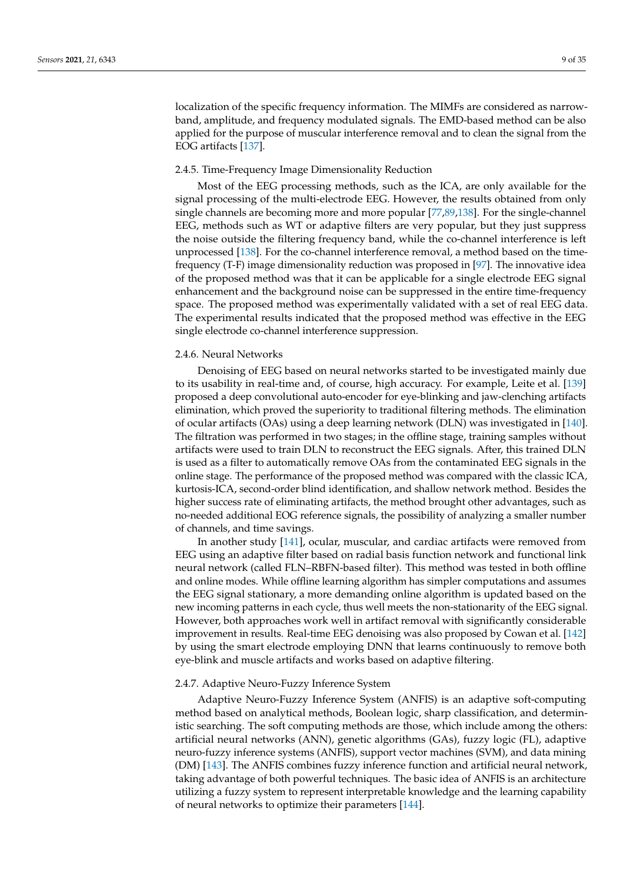localization of the specific frequency information. The MIMFs are considered as narrowband, amplitude, and frequency modulated signals. The EMD-based method can be also applied for the purpose of muscular interference removal and to clean the signal from the EOG artifacts [\[137\]](#page-28-7).

#### 2.4.5. Time-Frequency Image Dimensionality Reduction

Most of the EEG processing methods, such as the ICA, are only available for the signal processing of the multi-electrode EEG. However, the results obtained from only single channels are becoming more and more popular [\[77](#page-26-24)[,89](#page-26-13)[,138\]](#page-28-8). For the single-channel EEG, methods such as WT or adaptive filters are very popular, but they just suppress the noise outside the filtering frequency band, while the co-channel interference is left unprocessed [\[138\]](#page-28-8). For the co-channel interference removal, a method based on the timefrequency (T-F) image dimensionality reduction was proposed in [\[97\]](#page-26-20). The innovative idea of the proposed method was that it can be applicable for a single electrode EEG signal enhancement and the background noise can be suppressed in the entire time-frequency space. The proposed method was experimentally validated with a set of real EEG data. The experimental results indicated that the proposed method was effective in the EEG single electrode co-channel interference suppression.

#### 2.4.6. Neural Networks

Denoising of EEG based on neural networks started to be investigated mainly due to its usability in real-time and, of course, high accuracy. For example, Leite et al. [\[139\]](#page-28-9) proposed a deep convolutional auto-encoder for eye-blinking and jaw-clenching artifacts elimination, which proved the superiority to traditional filtering methods. The elimination of ocular artifacts (OAs) using a deep learning network (DLN) was investigated in [\[140\]](#page-28-10). The filtration was performed in two stages; in the offline stage, training samples without artifacts were used to train DLN to reconstruct the EEG signals. After, this trained DLN is used as a filter to automatically remove OAs from the contaminated EEG signals in the online stage. The performance of the proposed method was compared with the classic ICA, kurtosis-ICA, second-order blind identification, and shallow network method. Besides the higher success rate of eliminating artifacts, the method brought other advantages, such as no-needed additional EOG reference signals, the possibility of analyzing a smaller number of channels, and time savings.

In another study [\[141\]](#page-28-11), ocular, muscular, and cardiac artifacts were removed from EEG using an adaptive filter based on radial basis function network and functional link neural network (called FLN–RBFN-based filter). This method was tested in both offline and online modes. While offline learning algorithm has simpler computations and assumes the EEG signal stationary, a more demanding online algorithm is updated based on the new incoming patterns in each cycle, thus well meets the non-stationarity of the EEG signal. However, both approaches work well in artifact removal with significantly considerable improvement in results. Real-time EEG denoising was also proposed by Cowan et al. [\[142\]](#page-28-12) by using the smart electrode employing DNN that learns continuously to remove both eye-blink and muscle artifacts and works based on adaptive filtering.

#### 2.4.7. Adaptive Neuro-Fuzzy Inference System

Adaptive Neuro-Fuzzy Inference System (ANFIS) is an adaptive soft-computing method based on analytical methods, Boolean logic, sharp classification, and deterministic searching. The soft computing methods are those, which include among the others: artificial neural networks (ANN), genetic algorithms (GAs), fuzzy logic (FL), adaptive neuro-fuzzy inference systems (ANFIS), support vector machines (SVM), and data mining (DM) [\[143\]](#page-28-13). The ANFIS combines fuzzy inference function and artificial neural network, taking advantage of both powerful techniques. The basic idea of ANFIS is an architecture utilizing a fuzzy system to represent interpretable knowledge and the learning capability of neural networks to optimize their parameters [\[144\]](#page-28-14).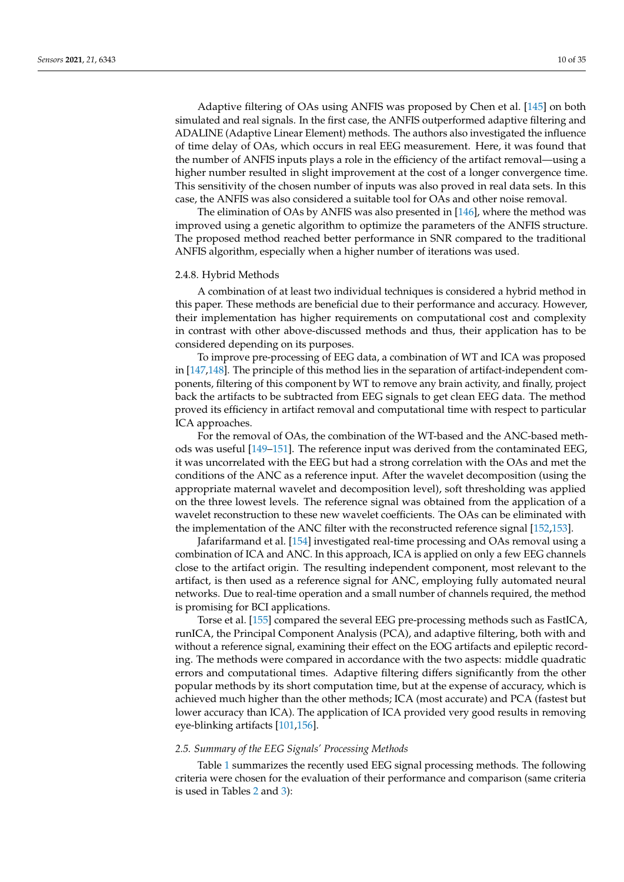Adaptive filtering of OAs using ANFIS was proposed by Chen et al. [\[145\]](#page-28-15) on both simulated and real signals. In the first case, the ANFIS outperformed adaptive filtering and ADALINE (Adaptive Linear Element) methods. The authors also investigated the influence of time delay of OAs, which occurs in real EEG measurement. Here, it was found that

the number of ANFIS inputs plays a role in the efficiency of the artifact removal—using a higher number resulted in slight improvement at the cost of a longer convergence time. This sensitivity of the chosen number of inputs was also proved in real data sets. In this case, the ANFIS was also considered a suitable tool for OAs and other noise removal.

The elimination of OAs by ANFIS was also presented in [\[146\]](#page-28-16), where the method was improved using a genetic algorithm to optimize the parameters of the ANFIS structure. The proposed method reached better performance in SNR compared to the traditional ANFIS algorithm, especially when a higher number of iterations was used.

### 2.4.8. Hybrid Methods

A combination of at least two individual techniques is considered a hybrid method in this paper. These methods are beneficial due to their performance and accuracy. However, their implementation has higher requirements on computational cost and complexity in contrast with other above-discussed methods and thus, their application has to be considered depending on its purposes.

To improve pre-processing of EEG data, a combination of WT and ICA was proposed in [\[147,](#page-28-17)[148\]](#page-28-18). The principle of this method lies in the separation of artifact-independent components, filtering of this component by WT to remove any brain activity, and finally, project back the artifacts to be subtracted from EEG signals to get clean EEG data. The method proved its efficiency in artifact removal and computational time with respect to particular ICA approaches.

For the removal of OAs, the combination of the WT-based and the ANC-based methods was useful [\[149](#page-28-19)[–151\]](#page-28-20). The reference input was derived from the contaminated EEG, it was uncorrelated with the EEG but had a strong correlation with the OAs and met the conditions of the ANC as a reference input. After the wavelet decomposition (using the appropriate maternal wavelet and decomposition level), soft thresholding was applied on the three lowest levels. The reference signal was obtained from the application of a wavelet reconstruction to these new wavelet coefficients. The OAs can be eliminated with the implementation of the ANC filter with the reconstructed reference signal [\[152,](#page-28-21)[153\]](#page-28-22).

Jafarifarmand et al. [\[154\]](#page-28-23) investigated real-time processing and OAs removal using a combination of ICA and ANC. In this approach, ICA is applied on only a few EEG channels close to the artifact origin. The resulting independent component, most relevant to the artifact, is then used as a reference signal for ANC, employing fully automated neural networks. Due to real-time operation and a small number of channels required, the method is promising for BCI applications.

Torse et al. [\[155\]](#page-29-0) compared the several EEG pre-processing methods such as FastICA, runICA, the Principal Component Analysis (PCA), and adaptive filtering, both with and without a reference signal, examining their effect on the EOG artifacts and epileptic recording. The methods were compared in accordance with the two aspects: middle quadratic errors and computational times. Adaptive filtering differs significantly from the other popular methods by its short computation time, but at the expense of accuracy, which is achieved much higher than the other methods; ICA (most accurate) and PCA (fastest but lower accuracy than ICA). The application of ICA provided very good results in removing eye-blinking artifacts [\[101,](#page-26-25)[156\]](#page-29-1).

## *2.5. Summary of the EEG Signals' Processing Methods*

Table [1](#page-10-0) summarizes the recently used EEG signal processing methods. The following criteria were chosen for the evaluation of their performance and comparison (same criteria is used in Tables [2](#page-10-1) and [3\)](#page-10-2):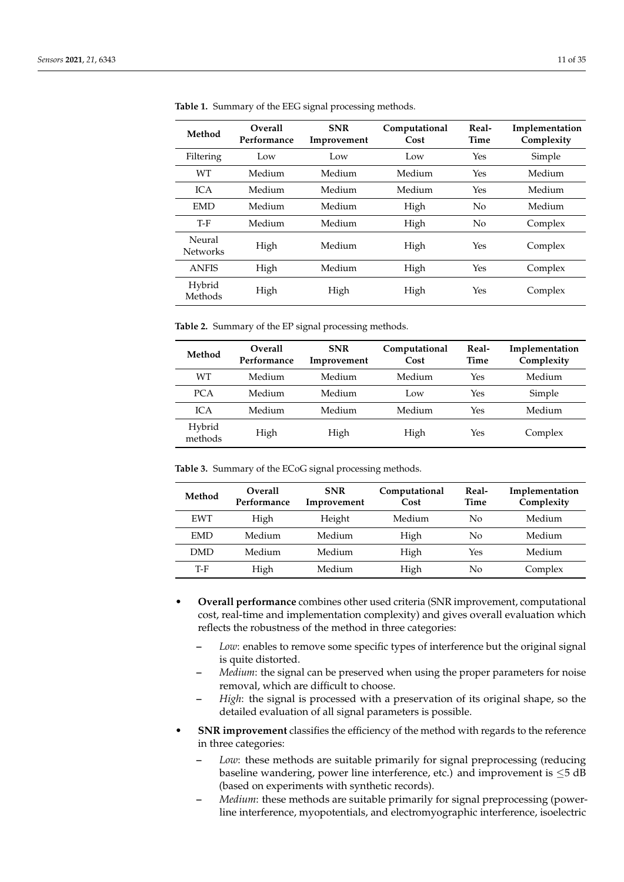| Method                    | <b>Overall</b><br>Performance | <b>SNR</b><br>Improvement | Computational<br>Cost | Real-<br>Time  | Implementation<br>Complexity |
|---------------------------|-------------------------------|---------------------------|-----------------------|----------------|------------------------------|
| Filtering                 | Low                           | Low                       | Low                   | Yes            | Simple                       |
| <b>WT</b>                 | Medium                        | Medium                    | Medium                | Yes            | Medium                       |
| ICA                       | Medium                        | Medium                    | Medium                | Yes            | Medium                       |
| <b>EMD</b>                | Medium                        | Medium                    | High                  | $\overline{N}$ | Medium                       |
| T-F                       | Medium                        | Medium                    | High                  | No             | Complex                      |
| Neural<br><b>Networks</b> | High                          | Medium                    | High                  | Yes            | Complex                      |
| <b>ANFIS</b>              | High                          | Medium                    | High                  | Yes            | Complex                      |
| Hybrid<br>Methods         | High                          | High                      | High                  | Yes            | Complex                      |

<span id="page-10-0"></span>**Table 1.** Summary of the EEG signal processing methods.

<span id="page-10-1"></span>**Table 2.** Summary of the EP signal processing methods.

| Method            | <b>Overall</b><br>Performance | <b>SNR</b><br>Improvement | Computational<br>Cost | Real-<br>Time | Implementation<br>Complexity |
|-------------------|-------------------------------|---------------------------|-----------------------|---------------|------------------------------|
| WТ                | Medium                        | Medium                    | Medium                | Yes           | Medium                       |
| <b>PCA</b>        | Medium                        | Medium                    | Low                   | Yes           | Simple                       |
| $\mathsf{ICA}$    | Medium                        | Medium                    | Medium                | Yes           | Medium                       |
| Hybrid<br>methods | High                          | High                      | High                  | Yes           | Complex                      |

<span id="page-10-2"></span>**Table 3.** Summary of the ECoG signal processing methods.

| Method     | <b>Overall</b><br>Performance | <b>SNR</b><br>Improvement | Computational<br>Cost | Real-<br>Time | Implementation<br>Complexity |
|------------|-------------------------------|---------------------------|-----------------------|---------------|------------------------------|
| <b>EWT</b> | High                          | Height                    | Medium                | No            | Medium                       |
| <b>EMD</b> | Medium                        | Medium                    | High                  | No            | Medium                       |
| <b>DMD</b> | Medium                        | Medium                    | High                  | Yes           | Medium                       |
| T-F        | High                          | Medium                    | High                  | No            | Complex                      |

- **Overall performance** combines other used criteria (SNR improvement, computational cost, real-time and implementation complexity) and gives overall evaluation which reflects the robustness of the method in three categories:
	- **–** *Low*: enables to remove some specific types of interference but the original signal is quite distorted.
	- **–** *Medium*: the signal can be preserved when using the proper parameters for noise removal, which are difficult to choose.
	- **–** *High*: the signal is processed with a preservation of its original shape, so the detailed evaluation of all signal parameters is possible.
- **SNR improvement** classifies the efficiency of the method with regards to the reference in three categories:
	- **–** *Low*: these methods are suitable primarily for signal preprocessing (reducing baseline wandering, power line interference, etc.) and improvement is  $\leq$ 5 dB (based on experiments with synthetic records).
	- **–** *Medium*: these methods are suitable primarily for signal preprocessing (powerline interference, myopotentials, and electromyographic interference, isoelectric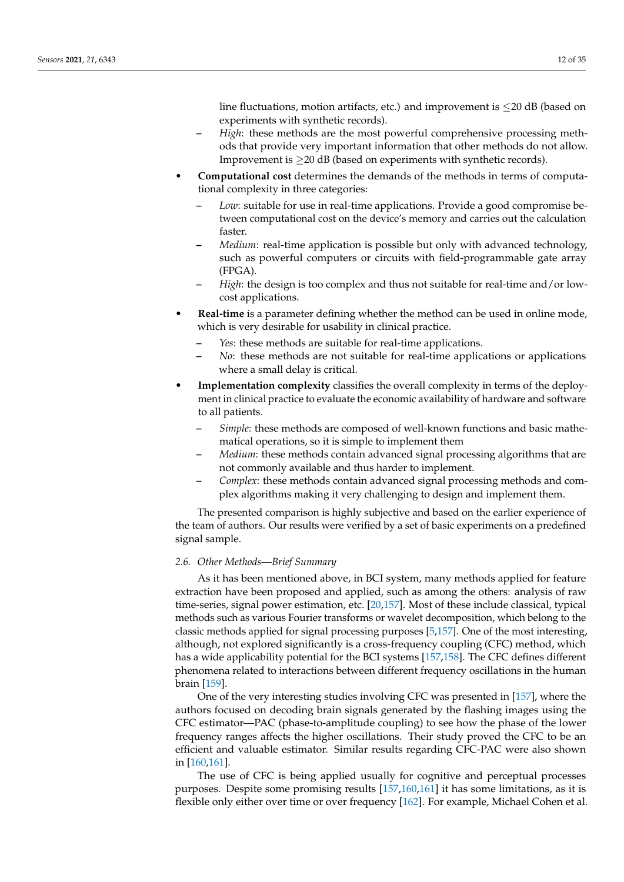line fluctuations, motion artifacts, etc.) and improvement is  $\leq$ 20 dB (based on experiments with synthetic records).

- **–** *High*: these methods are the most powerful comprehensive processing methods that provide very important information that other methods do not allow. Improvement is  $\geq$ 20 dB (based on experiments with synthetic records).
- **Computational cost** determines the demands of the methods in terms of computational complexity in three categories:
	- **–** *Low*: suitable for use in real-time applications. Provide a good compromise between computational cost on the device's memory and carries out the calculation faster.
	- **–** *Medium*: real-time application is possible but only with advanced technology, such as powerful computers or circuits with field-programmable gate array (FPGA).
	- **–** *High*: the design is too complex and thus not suitable for real-time and/or lowcost applications.
- **Real-time** is a parameter defining whether the method can be used in online mode, which is very desirable for usability in clinical practice.
	- **–** *Yes*: these methods are suitable for real-time applications.
	- **–** *No*: these methods are not suitable for real-time applications or applications where a small delay is critical.
- **Implementation complexity** classifies the overall complexity in terms of the deployment in clinical practice to evaluate the economic availability of hardware and software to all patients.
	- **–** *Simple*: these methods are composed of well-known functions and basic mathematical operations, so it is simple to implement them
	- **–** *Medium*: these methods contain advanced signal processing algorithms that are not commonly available and thus harder to implement.
	- **–** *Complex*: these methods contain advanced signal processing methods and complex algorithms making it very challenging to design and implement them.

The presented comparison is highly subjective and based on the earlier experience of the team of authors. Our results were verified by a set of basic experiments on a predefined signal sample.

# *2.6. Other Methods—Brief Summary*

As it has been mentioned above, in BCI system, many methods applied for feature extraction have been proposed and applied, such as among the others: analysis of raw time-series, signal power estimation, etc. [\[20,](#page-24-1)[157\]](#page-29-2). Most of these include classical, typical methods such as various Fourier transforms or wavelet decomposition, which belong to the classic methods applied for signal processing purposes [\[5,](#page-23-4)[157\]](#page-29-2). One of the most interesting, although, not explored significantly is a cross-frequency coupling (CFC) method, which has a wide applicability potential for the BCI systems [\[157,](#page-29-2)[158\]](#page-29-3). The CFC defines different phenomena related to interactions between different frequency oscillations in the human brain [\[159\]](#page-29-4).

One of the very interesting studies involving CFC was presented in [\[157\]](#page-29-2), where the authors focused on decoding brain signals generated by the flashing images using the CFC estimator—PAC (phase-to-amplitude coupling) to see how the phase of the lower frequency ranges affects the higher oscillations. Their study proved the CFC to be an efficient and valuable estimator. Similar results regarding CFC-PAC were also shown in [\[160,](#page-29-5)[161\]](#page-29-6).

The use of CFC is being applied usually for cognitive and perceptual processes purposes. Despite some promising results [\[157](#page-29-2)[,160](#page-29-5)[,161\]](#page-29-6) it has some limitations, as it is flexible only either over time or over frequency [\[162\]](#page-29-7). For example, Michael Cohen et al.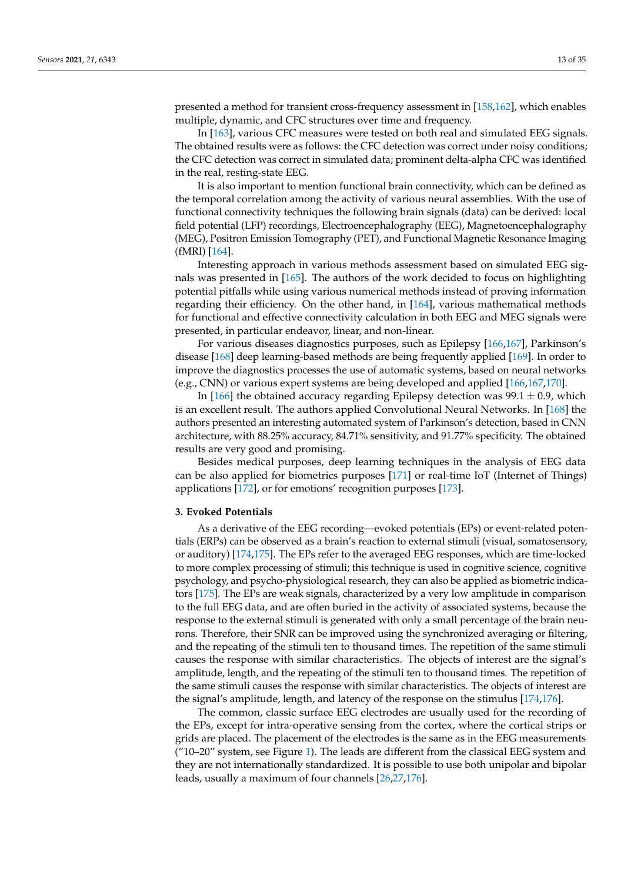presented a method for transient cross-frequency assessment in [\[158,](#page-29-3)[162\]](#page-29-7), which enables multiple, dynamic, and CFC structures over time and frequency.

In [\[163\]](#page-29-8), various CFC measures were tested on both real and simulated EEG signals. The obtained results were as follows: the CFC detection was correct under noisy conditions; the CFC detection was correct in simulated data; prominent delta-alpha CFC was identified in the real, resting-state EEG.

It is also important to mention functional brain connectivity, which can be defined as the temporal correlation among the activity of various neural assemblies. With the use of functional connectivity techniques the following brain signals (data) can be derived: local field potential (LFP) recordings, Electroencephalography (EEG), Magnetoencephalography (MEG), Positron Emission Tomography (PET), and Functional Magnetic Resonance Imaging (fMRI) [\[164\]](#page-29-9).

Interesting approach in various methods assessment based on simulated EEG signals was presented in [\[165\]](#page-29-10). The authors of the work decided to focus on highlighting potential pitfalls while using various numerical methods instead of proving information regarding their efficiency. On the other hand, in [\[164\]](#page-29-9), various mathematical methods for functional and effective connectivity calculation in both EEG and MEG signals were presented, in particular endeavor, linear, and non-linear.

For various diseases diagnostics purposes, such as Epilepsy [\[166,](#page-29-11)[167\]](#page-29-12), Parkinson's disease [\[168\]](#page-29-13) deep learning-based methods are being frequently applied [\[169\]](#page-29-14). In order to improve the diagnostics processes the use of automatic systems, based on neural networks (e.g., CNN) or various expert systems are being developed and applied [\[166](#page-29-11)[,167](#page-29-12)[,170\]](#page-29-15).

In [\[166\]](#page-29-11) the obtained accuracy regarding Epilepsy detection was  $99.1 \pm 0.9$ , which is an excellent result. The authors applied Convolutional Neural Networks. In [\[168\]](#page-29-13) the authors presented an interesting automated system of Parkinson's detection, based in CNN architecture, with 88.25% accuracy, 84.71% sensitivity, and 91.77% specificity. The obtained results are very good and promising.

Besides medical purposes, deep learning techniques in the analysis of EEG data can be also applied for biometrics purposes [\[171\]](#page-29-16) or real-time IoT (Internet of Things) applications [\[172\]](#page-29-17), or for emotions' recognition purposes [\[173\]](#page-29-18).

## **3. Evoked Potentials**

As a derivative of the EEG recording—evoked potentials (EPs) or event-related potentials (ERPs) can be observed as a brain's reaction to external stimuli (visual, somatosensory, or auditory) [\[174](#page-29-19)[,175\]](#page-29-20). The EPs refer to the averaged EEG responses, which are time-locked to more complex processing of stimuli; this technique is used in cognitive science, cognitive psychology, and psycho-physiological research, they can also be applied as biometric indicators [\[175\]](#page-29-20). The EPs are weak signals, characterized by a very low amplitude in comparison to the full EEG data, and are often buried in the activity of associated systems, because the response to the external stimuli is generated with only a small percentage of the brain neurons. Therefore, their SNR can be improved using the synchronized averaging or filtering, and the repeating of the stimuli ten to thousand times. The repetition of the same stimuli causes the response with similar characteristics. The objects of interest are the signal's amplitude, length, and the repeating of the stimuli ten to thousand times. The repetition of the same stimuli causes the response with similar characteristics. The objects of interest are the signal's amplitude, length, and latency of the response on the stimulus [\[174,](#page-29-19)[176\]](#page-29-21).

The common, classic surface EEG electrodes are usually used for the recording of the EPs, except for intra-operative sensing from the cortex, where the cortical strips or grids are placed. The placement of the electrodes is the same as in the EEG measurements ("10–20" system, see Figure [1\)](#page-1-0). The leads are different from the classical EEG system and they are not internationally standardized. It is possible to use both unipolar and bipolar leads, usually a maximum of four channels [\[26,](#page-24-7)[27](#page-24-21)[,176\]](#page-29-21).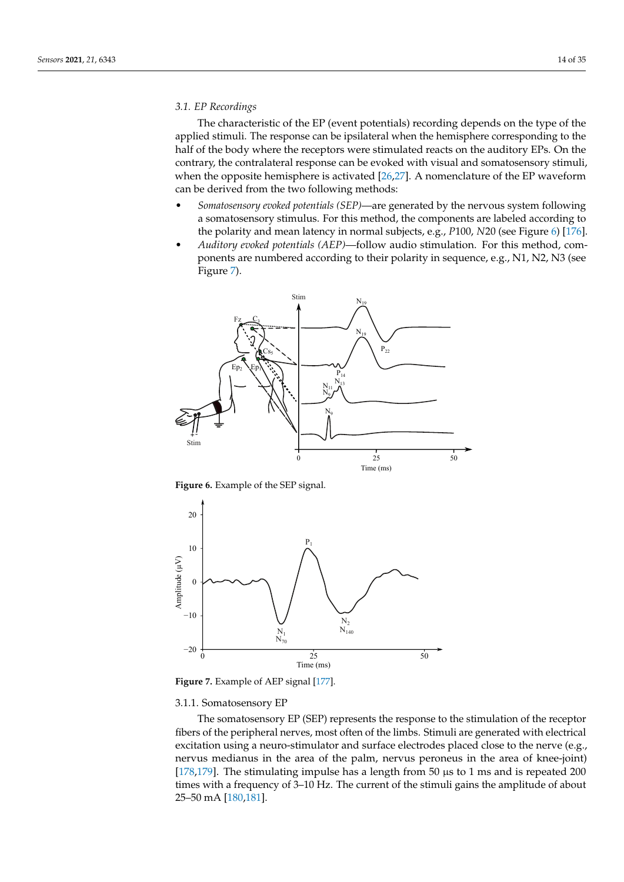## *3.1. EP Recordings*

The characteristic of the EP (event potentials) recording depends on the type of the applied stimuli. The response can be ipsilateral when the hemisphere corresponding to the half of the body where the receptors were stimulated reacts on the auditory EPs. On the contrary, the contralateral response can be evoked with visual and somatosensory stimuli, when the opposite hemisphere is activated [\[26,](#page-24-7)[27\]](#page-24-21). A nomenclature of the EP waveform can be derived from the two following methods:

- *Somatosensory evoked potentials (SEP)*—are generated by the nervous system following a somatosensory stimulus. For this method, the components are labeled according to the polarity and mean latency in normal subjects, e.g., *P*100, *N*20 (see Figure [6\)](#page-13-0) [\[176\]](#page-29-21).
- *Auditory evoked potentials (AEP)*—follow audio stimulation. For this method, components are numbered according to their polarity in sequence, e.g., N1, N2, N3 (see Figure [7\)](#page-13-1).

<span id="page-13-0"></span>

**Figure 6.** Example of the SEP signal.

<span id="page-13-1"></span>

**Figure 7.** Example of AEP signal [\[177\]](#page-29-22).

## 3.1.1. Somatosensory EP

The somatosensory EP (SEP) represents the response to the stimulation of the receptor fibers of the peripheral nerves, most often of the limbs. Stimuli are generated with electrical excitation using a neuro-stimulator and surface electrodes placed close to the nerve (e.g., nervus medianus in the area of the palm, nervus peroneus in the area of knee-joint) [\[178,](#page-29-23)[179\]](#page-29-24). The stimulating impulse has a length from 50 µs to 1 ms and is repeated 200 times with a frequency of 3–10 Hz. The current of the stimuli gains the amplitude of about 25–50 mA [\[180](#page-29-25)[,181\]](#page-29-26).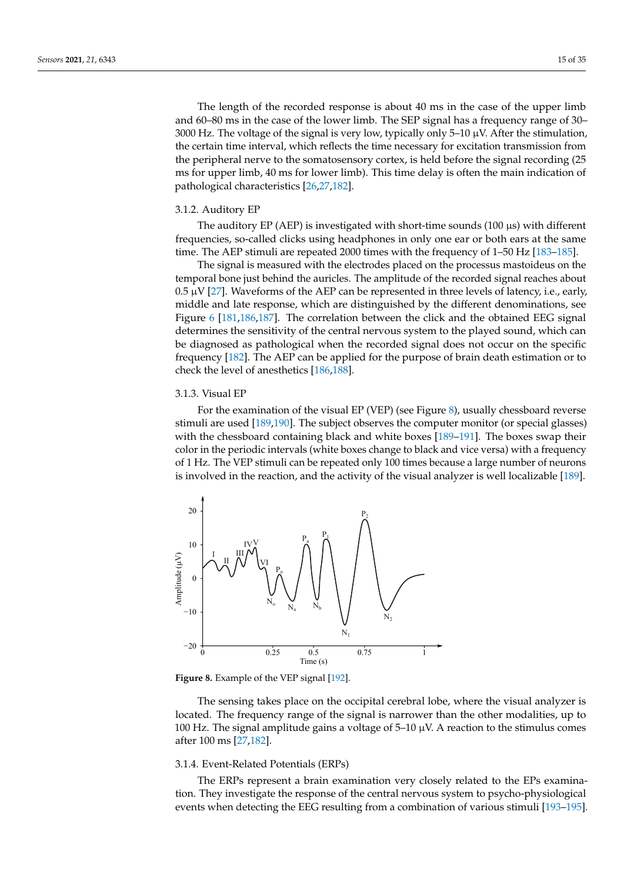The length of the recorded response is about 40 ms in the case of the upper limb and 60–80 ms in the case of the lower limb. The SEP signal has a frequency range of 30– 3000 Hz. The voltage of the signal is very low, typically only 5–10  $\mu$ V. After the stimulation, the certain time interval, which reflects the time necessary for excitation transmission from the peripheral nerve to the somatosensory cortex, is held before the signal recording (25 ms for upper limb, 40 ms for lower limb). This time delay is often the main indication of pathological characteristics [\[26,](#page-24-7)[27,](#page-24-21)[182\]](#page-29-27).

#### 3.1.2. Auditory EP

The auditory EP (AEP) is investigated with short-time sounds (100  $\mu$ s) with different frequencies, so-called clicks using headphones in only one ear or both ears at the same time. The AEP stimuli are repeated 2000 times with the frequency of 1–50 Hz [\[183](#page-29-28)[–185\]](#page-30-0).

The signal is measured with the electrodes placed on the processus mastoideus on the temporal bone just behind the auricles. The amplitude of the recorded signal reaches about  $0.5 \mu V$  [\[27\]](#page-24-21). Waveforms of the AEP can be represented in three levels of latency, i.e., early, middle and late response, which are distinguished by the different denominations, see Figure [6](#page-13-0) [\[181](#page-29-26)[,186,](#page-30-1)[187\]](#page-30-2). The correlation between the click and the obtained EEG signal determines the sensitivity of the central nervous system to the played sound, which can be diagnosed as pathological when the recorded signal does not occur on the specific frequency [\[182\]](#page-29-27). The AEP can be applied for the purpose of brain death estimation or to check the level of anesthetics [\[186](#page-30-1)[,188\]](#page-30-3).

## 3.1.3. Visual EP

For the examination of the visual EP (VEP) (see Figure [8\)](#page-14-0), usually chessboard reverse stimuli are used [\[189,](#page-30-4)[190\]](#page-30-5). The subject observes the computer monitor (or special glasses) with the chessboard containing black and white boxes [\[189](#page-30-4)[–191\]](#page-30-6). The boxes swap their color in the periodic intervals (white boxes change to black and vice versa) with a frequency of 1 Hz. The VEP stimuli can be repeated only 100 times because a large number of neurons is involved in the reaction, and the activity of the visual analyzer is well localizable [\[189\]](#page-30-4).

<span id="page-14-0"></span>

**Figure 8.** Example of the VEP signal [\[192\]](#page-30-7).

The sensing takes place on the occipital cerebral lobe, where the visual analyzer is located. The frequency range of the signal is narrower than the other modalities, up to 100 Hz. The signal amplitude gains a voltage of 5–10  $\mu$ V. A reaction to the stimulus comes after 100 ms [\[27,](#page-24-21)[182\]](#page-29-27).

## 3.1.4. Event-Related Potentials (ERPs)

The ERPs represent a brain examination very closely related to the EPs examination. They investigate the response of the central nervous system to psycho-physiological events when detecting the EEG resulting from a combination of various stimuli [\[193](#page-30-8)[–195\]](#page-30-9).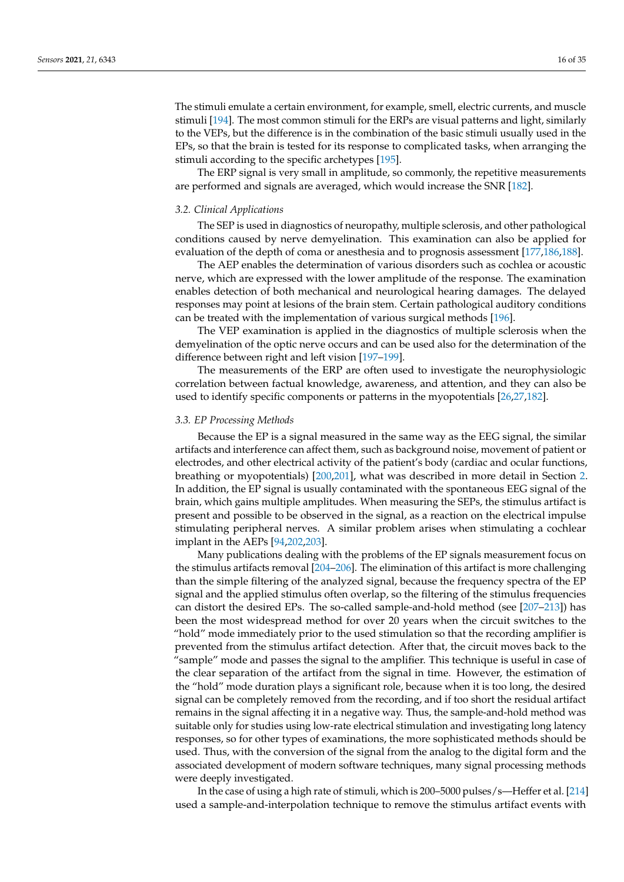The stimuli emulate a certain environment, for example, smell, electric currents, and muscle stimuli [\[194\]](#page-30-10). The most common stimuli for the ERPs are visual patterns and light, similarly to the VEPs, but the difference is in the combination of the basic stimuli usually used in the EPs, so that the brain is tested for its response to complicated tasks, when arranging the stimuli according to the specific archetypes [\[195\]](#page-30-9).

The ERP signal is very small in amplitude, so commonly, the repetitive measurements are performed and signals are averaged, which would increase the SNR [\[182\]](#page-29-27).

#### *3.2. Clinical Applications*

The SEP is used in diagnostics of neuropathy, multiple sclerosis, and other pathological conditions caused by nerve demyelination. This examination can also be applied for evaluation of the depth of coma or anesthesia and to prognosis assessment [\[177,](#page-29-22)[186,](#page-30-1)[188\]](#page-30-3).

The AEP enables the determination of various disorders such as cochlea or acoustic nerve, which are expressed with the lower amplitude of the response. The examination enables detection of both mechanical and neurological hearing damages. The delayed responses may point at lesions of the brain stem. Certain pathological auditory conditions can be treated with the implementation of various surgical methods [\[196\]](#page-30-11).

The VEP examination is applied in the diagnostics of multiple sclerosis when the demyelination of the optic nerve occurs and can be used also for the determination of the difference between right and left vision [\[197–](#page-30-12)[199\]](#page-30-13).

The measurements of the ERP are often used to investigate the neurophysiologic correlation between factual knowledge, awareness, and attention, and they can also be used to identify specific components or patterns in the myopotentials [\[26](#page-24-7)[,27](#page-24-21)[,182\]](#page-29-27).

#### *3.3. EP Processing Methods*

Because the EP is a signal measured in the same way as the EEG signal, the similar artifacts and interference can affect them, such as background noise, movement of patient or electrodes, and other electrical activity of the patient's body (cardiac and ocular functions, breathing or myopotentials) [\[200](#page-30-14)[,201\]](#page-30-15), what was described in more detail in Section [2.](#page-1-2) In addition, the EP signal is usually contaminated with the spontaneous EEG signal of the brain, which gains multiple amplitudes. When measuring the SEPs, the stimulus artifact is present and possible to be observed in the signal, as a reaction on the electrical impulse stimulating peripheral nerves. A similar problem arises when stimulating a cochlear implant in the AEPs [\[94,](#page-26-17)[202,](#page-30-16)[203\]](#page-30-17).

Many publications dealing with the problems of the EP signals measurement focus on the stimulus artifacts removal [\[204](#page-30-18)[–206\]](#page-30-19). The elimination of this artifact is more challenging than the simple filtering of the analyzed signal, because the frequency spectra of the EP signal and the applied stimulus often overlap, so the filtering of the stimulus frequencies can distort the desired EPs. The so-called sample-and-hold method (see [\[207](#page-30-20)[–213\]](#page-30-21)) has been the most widespread method for over 20 years when the circuit switches to the "hold" mode immediately prior to the used stimulation so that the recording amplifier is prevented from the stimulus artifact detection. After that, the circuit moves back to the "sample" mode and passes the signal to the amplifier. This technique is useful in case of the clear separation of the artifact from the signal in time. However, the estimation of the "hold" mode duration plays a significant role, because when it is too long, the desired signal can be completely removed from the recording, and if too short the residual artifact remains in the signal affecting it in a negative way. Thus, the sample-and-hold method was suitable only for studies using low-rate electrical stimulation and investigating long latency responses, so for other types of examinations, the more sophisticated methods should be used. Thus, with the conversion of the signal from the analog to the digital form and the associated development of modern software techniques, many signal processing methods were deeply investigated.

In the case of using a high rate of stimuli, which is 200–5000 pulses/s—Heffer et al. [\[214\]](#page-30-22) used a sample-and-interpolation technique to remove the stimulus artifact events with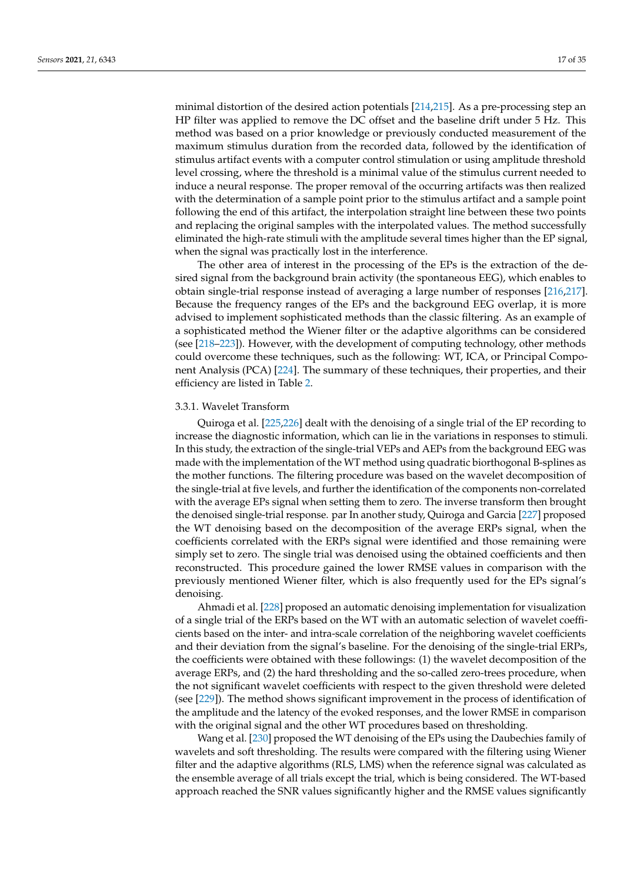minimal distortion of the desired action potentials [\[214](#page-30-22)[,215\]](#page-31-0). As a pre-processing step an HP filter was applied to remove the DC offset and the baseline drift under 5 Hz. This method was based on a prior knowledge or previously conducted measurement of the maximum stimulus duration from the recorded data, followed by the identification of stimulus artifact events with a computer control stimulation or using amplitude threshold level crossing, where the threshold is a minimal value of the stimulus current needed to induce a neural response. The proper removal of the occurring artifacts was then realized with the determination of a sample point prior to the stimulus artifact and a sample point following the end of this artifact, the interpolation straight line between these two points and replacing the original samples with the interpolated values. The method successfully eliminated the high-rate stimuli with the amplitude several times higher than the EP signal, when the signal was practically lost in the interference.

The other area of interest in the processing of the EPs is the extraction of the desired signal from the background brain activity (the spontaneous EEG), which enables to obtain single-trial response instead of averaging a large number of responses [\[216,](#page-31-1)[217\]](#page-31-2). Because the frequency ranges of the EPs and the background EEG overlap, it is more advised to implement sophisticated methods than the classic filtering. As an example of a sophisticated method the Wiener filter or the adaptive algorithms can be considered (see [\[218–](#page-31-3)[223\]](#page-31-4)). However, with the development of computing technology, other methods could overcome these techniques, such as the following: WT, ICA, or Principal Component Analysis (PCA) [\[224\]](#page-31-5). The summary of these techniques, their properties, and their efficiency are listed in Table [2.](#page-10-1)

## 3.3.1. Wavelet Transform

Quiroga et al. [\[225](#page-31-6)[,226\]](#page-31-7) dealt with the denoising of a single trial of the EP recording to increase the diagnostic information, which can lie in the variations in responses to stimuli. In this study, the extraction of the single-trial VEPs and AEPs from the background EEG was made with the implementation of the WT method using quadratic biorthogonal B-splines as the mother functions. The filtering procedure was based on the wavelet decomposition of the single-trial at five levels, and further the identification of the components non-correlated with the average EPs signal when setting them to zero. The inverse transform then brought the denoised single-trial response. par In another study, Quiroga and Garcia [\[227\]](#page-31-8) proposed the WT denoising based on the decomposition of the average ERPs signal, when the coefficients correlated with the ERPs signal were identified and those remaining were simply set to zero. The single trial was denoised using the obtained coefficients and then reconstructed. This procedure gained the lower RMSE values in comparison with the previously mentioned Wiener filter, which is also frequently used for the EPs signal's denoising.

Ahmadi et al. [\[228\]](#page-31-9) proposed an automatic denoising implementation for visualization of a single trial of the ERPs based on the WT with an automatic selection of wavelet coefficients based on the inter- and intra-scale correlation of the neighboring wavelet coefficients and their deviation from the signal's baseline. For the denoising of the single-trial ERPs, the coefficients were obtained with these followings: (1) the wavelet decomposition of the average ERPs, and (2) the hard thresholding and the so-called zero-trees procedure, when the not significant wavelet coefficients with respect to the given threshold were deleted (see [\[229\]](#page-31-10)). The method shows significant improvement in the process of identification of the amplitude and the latency of the evoked responses, and the lower RMSE in comparison with the original signal and the other WT procedures based on thresholding.

Wang et al. [\[230\]](#page-31-11) proposed the WT denoising of the EPs using the Daubechies family of wavelets and soft thresholding. The results were compared with the filtering using Wiener filter and the adaptive algorithms (RLS, LMS) when the reference signal was calculated as the ensemble average of all trials except the trial, which is being considered. The WT-based approach reached the SNR values significantly higher and the RMSE values significantly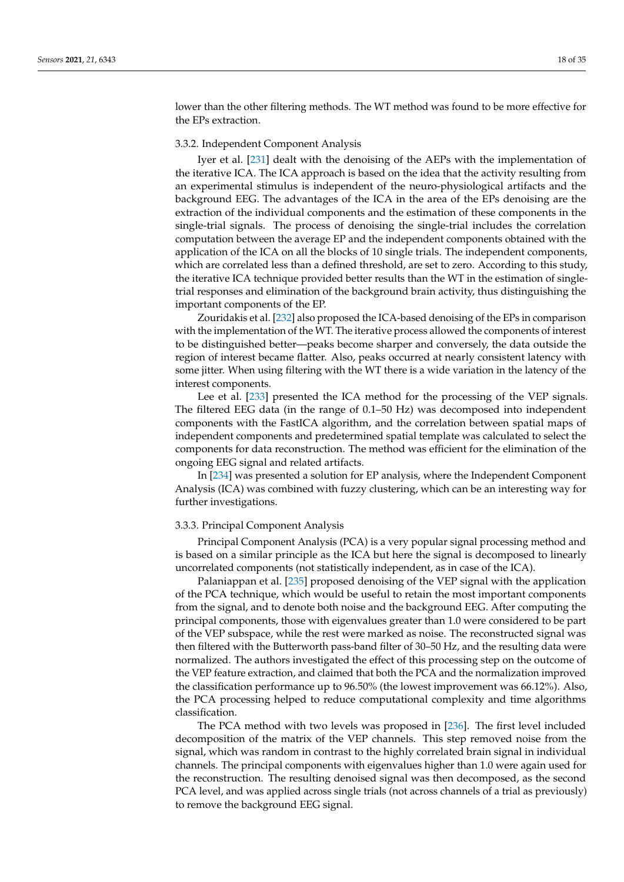lower than the other filtering methods. The WT method was found to be more effective for the EPs extraction.

## 3.3.2. Independent Component Analysis

Iyer et al. [\[231\]](#page-31-12) dealt with the denoising of the AEPs with the implementation of the iterative ICA. The ICA approach is based on the idea that the activity resulting from an experimental stimulus is independent of the neuro-physiological artifacts and the background EEG. The advantages of the ICA in the area of the EPs denoising are the extraction of the individual components and the estimation of these components in the single-trial signals. The process of denoising the single-trial includes the correlation computation between the average EP and the independent components obtained with the application of the ICA on all the blocks of 10 single trials. The independent components, which are correlated less than a defined threshold, are set to zero. According to this study, the iterative ICA technique provided better results than the WT in the estimation of singletrial responses and elimination of the background brain activity, thus distinguishing the important components of the EP.

Zouridakis et al. [\[232\]](#page-31-13) also proposed the ICA-based denoising of the EPs in comparison with the implementation of the WT. The iterative process allowed the components of interest to be distinguished better—peaks become sharper and conversely, the data outside the region of interest became flatter. Also, peaks occurred at nearly consistent latency with some jitter. When using filtering with the WT there is a wide variation in the latency of the interest components.

Lee et al. [\[233\]](#page-31-14) presented the ICA method for the processing of the VEP signals. The filtered EEG data (in the range of 0.1–50 Hz) was decomposed into independent components with the FastICA algorithm, and the correlation between spatial maps of independent components and predetermined spatial template was calculated to select the components for data reconstruction. The method was efficient for the elimination of the ongoing EEG signal and related artifacts.

In [\[234\]](#page-31-15) was presented a solution for EP analysis, where the Independent Component Analysis (ICA) was combined with fuzzy clustering, which can be an interesting way for further investigations.

#### 3.3.3. Principal Component Analysis

Principal Component Analysis (PCA) is a very popular signal processing method and is based on a similar principle as the ICA but here the signal is decomposed to linearly uncorrelated components (not statistically independent, as in case of the ICA).

Palaniappan et al. [\[235\]](#page-31-16) proposed denoising of the VEP signal with the application of the PCA technique, which would be useful to retain the most important components from the signal, and to denote both noise and the background EEG. After computing the principal components, those with eigenvalues greater than 1.0 were considered to be part of the VEP subspace, while the rest were marked as noise. The reconstructed signal was then filtered with the Butterworth pass-band filter of 30–50 Hz, and the resulting data were normalized. The authors investigated the effect of this processing step on the outcome of the VEP feature extraction, and claimed that both the PCA and the normalization improved the classification performance up to 96.50% (the lowest improvement was 66.12%). Also, the PCA processing helped to reduce computational complexity and time algorithms classification.

The PCA method with two levels was proposed in [\[236\]](#page-31-17). The first level included decomposition of the matrix of the VEP channels. This step removed noise from the signal, which was random in contrast to the highly correlated brain signal in individual channels. The principal components with eigenvalues higher than 1.0 were again used for the reconstruction. The resulting denoised signal was then decomposed, as the second PCA level, and was applied across single trials (not across channels of a trial as previously) to remove the background EEG signal.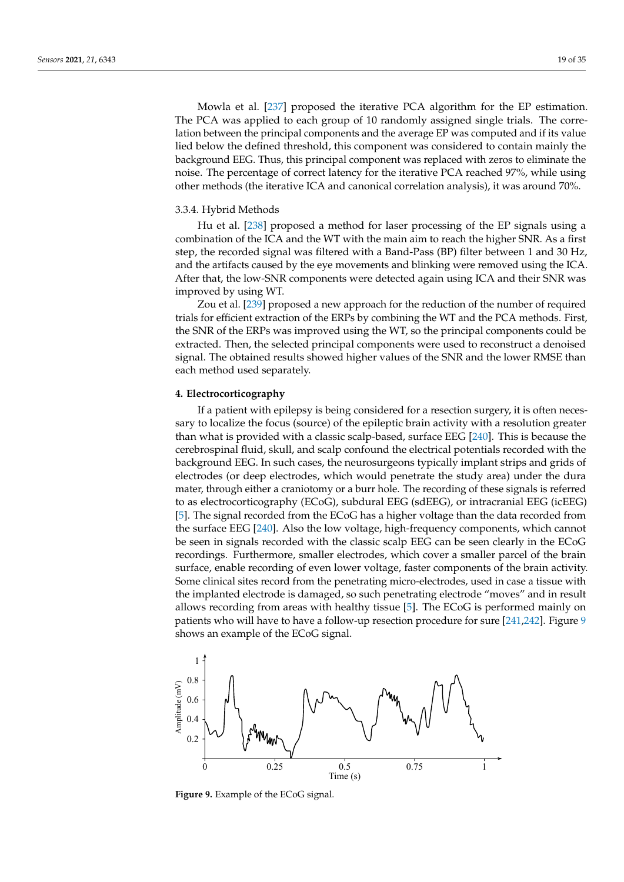Mowla et al. [\[237\]](#page-31-18) proposed the iterative PCA algorithm for the EP estimation. The PCA was applied to each group of 10 randomly assigned single trials. The correlation between the principal components and the average EP was computed and if its value lied below the defined threshold, this component was considered to contain mainly the background EEG. Thus, this principal component was replaced with zeros to eliminate the noise. The percentage of correct latency for the iterative PCA reached 97%, while using other methods (the iterative ICA and canonical correlation analysis), it was around 70%.

#### 3.3.4. Hybrid Methods

Hu et al. [\[238\]](#page-31-19) proposed a method for laser processing of the EP signals using a combination of the ICA and the WT with the main aim to reach the higher SNR. As a first step, the recorded signal was filtered with a Band-Pass (BP) filter between 1 and 30 Hz, and the artifacts caused by the eye movements and blinking were removed using the ICA. After that, the low-SNR components were detected again using ICA and their SNR was improved by using WT.

Zou et al. [\[239\]](#page-31-20) proposed a new approach for the reduction of the number of required trials for efficient extraction of the ERPs by combining the WT and the PCA methods. First, the SNR of the ERPs was improved using the WT, so the principal components could be extracted. Then, the selected principal components were used to reconstruct a denoised signal. The obtained results showed higher values of the SNR and the lower RMSE than each method used separately.

## **4. Electrocorticography**

If a patient with epilepsy is being considered for a resection surgery, it is often necessary to localize the focus (source) of the epileptic brain activity with a resolution greater than what is provided with a classic scalp-based, surface EEG [\[240\]](#page-31-21). This is because the cerebrospinal fluid, skull, and scalp confound the electrical potentials recorded with the background EEG. In such cases, the neurosurgeons typically implant strips and grids of electrodes (or deep electrodes, which would penetrate the study area) under the dura mater, through either a craniotomy or a burr hole. The recording of these signals is referred to as electrocorticography (ECoG), subdural EEG (sdEEG), or intracranial EEG (icEEG) [\[5\]](#page-23-4). The signal recorded from the ECoG has a higher voltage than the data recorded from the surface EEG [\[240\]](#page-31-21). Also the low voltage, high-frequency components, which cannot be seen in signals recorded with the classic scalp EEG can be seen clearly in the ECoG recordings. Furthermore, smaller electrodes, which cover a smaller parcel of the brain surface, enable recording of even lower voltage, faster components of the brain activity. Some clinical sites record from the penetrating micro-electrodes, used in case a tissue with the implanted electrode is damaged, so such penetrating electrode "moves" and in result allows recording from areas with healthy tissue [\[5\]](#page-23-4). The ECoG is performed mainly on patients who will have to have a follow-up resection procedure for sure [\[241,](#page-31-22)[242\]](#page-32-0). Figure [9](#page-18-0) shows an example of the ECoG signal.

<span id="page-18-0"></span>

**Figure 9.** Example of the ECoG signal.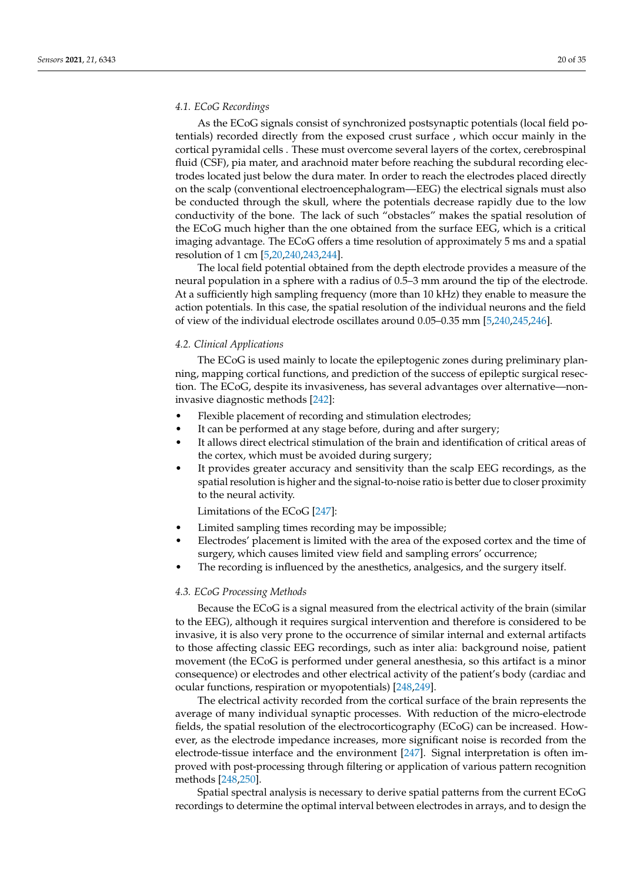## *4.1. ECoG Recordings*

As the ECoG signals consist of synchronized postsynaptic potentials (local field potentials) recorded directly from the exposed crust surface , which occur mainly in the cortical pyramidal cells . These must overcome several layers of the cortex, cerebrospinal fluid (CSF), pia mater, and arachnoid mater before reaching the subdural recording electrodes located just below the dura mater. In order to reach the electrodes placed directly on the scalp (conventional electroencephalogram—EEG) the electrical signals must also be conducted through the skull, where the potentials decrease rapidly due to the low conductivity of the bone. The lack of such "obstacles" makes the spatial resolution of the ECoG much higher than the one obtained from the surface EEG, which is a critical imaging advantage. The ECoG offers a time resolution of approximately 5 ms and a spatial resolution of 1 cm [\[5](#page-23-4)[,20](#page-24-1)[,240](#page-31-21)[,243](#page-32-1)[,244\]](#page-32-2).

The local field potential obtained from the depth electrode provides a measure of the neural population in a sphere with a radius of 0.5–3 mm around the tip of the electrode. At a sufficiently high sampling frequency (more than 10 kHz) they enable to measure the action potentials. In this case, the spatial resolution of the individual neurons and the field of view of the individual electrode oscillates around 0.05–0.35 mm [\[5](#page-23-4)[,240,](#page-31-21)[245,](#page-32-3)[246\]](#page-32-4).

## *4.2. Clinical Applications*

The ECoG is used mainly to locate the epileptogenic zones during preliminary planning, mapping cortical functions, and prediction of the success of epileptic surgical resection. The ECoG, despite its invasiveness, has several advantages over alternative—noninvasive diagnostic methods [\[242\]](#page-32-0):

- Flexible placement of recording and stimulation electrodes;
- It can be performed at any stage before, during and after surgery;
- It allows direct electrical stimulation of the brain and identification of critical areas of the cortex, which must be avoided during surgery;
- It provides greater accuracy and sensitivity than the scalp EEG recordings, as the spatial resolution is higher and the signal-to-noise ratio is better due to closer proximity to the neural activity.

Limitations of the ECoG [\[247\]](#page-32-5):

- Limited sampling times recording may be impossible;
- Electrodes' placement is limited with the area of the exposed cortex and the time of surgery, which causes limited view field and sampling errors' occurrence;
- The recording is influenced by the anesthetics, analgesics, and the surgery itself.

#### *4.3. ECoG Processing Methods*

Because the ECoG is a signal measured from the electrical activity of the brain (similar to the EEG), although it requires surgical intervention and therefore is considered to be invasive, it is also very prone to the occurrence of similar internal and external artifacts to those affecting classic EEG recordings, such as inter alia: background noise, patient movement (the ECoG is performed under general anesthesia, so this artifact is a minor consequence) or electrodes and other electrical activity of the patient's body (cardiac and ocular functions, respiration or myopotentials) [\[248,](#page-32-6)[249\]](#page-32-7).

The electrical activity recorded from the cortical surface of the brain represents the average of many individual synaptic processes. With reduction of the micro-electrode fields, the spatial resolution of the electrocorticography (ECoG) can be increased. However, as the electrode impedance increases, more significant noise is recorded from the electrode-tissue interface and the environment [\[247\]](#page-32-5). Signal interpretation is often improved with post-processing through filtering or application of various pattern recognition methods [\[248](#page-32-6)[,250\]](#page-32-8).

Spatial spectral analysis is necessary to derive spatial patterns from the current ECoG recordings to determine the optimal interval between electrodes in arrays, and to design the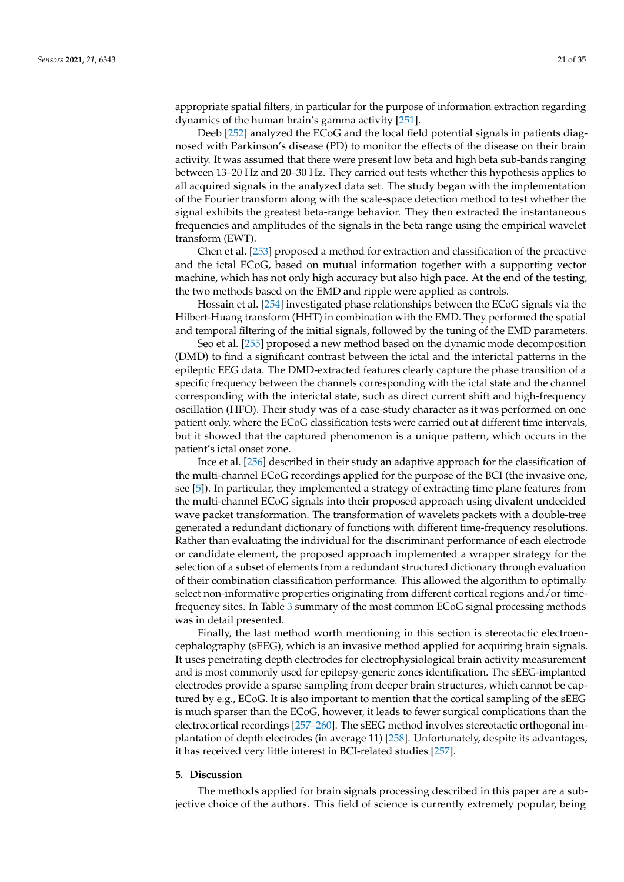appropriate spatial filters, in particular for the purpose of information extraction regarding dynamics of the human brain's gamma activity [\[251\]](#page-32-9).

Deeb [\[252\]](#page-32-10) analyzed the ECoG and the local field potential signals in patients diagnosed with Parkinson's disease (PD) to monitor the effects of the disease on their brain activity. It was assumed that there were present low beta and high beta sub-bands ranging between 13–20 Hz and 20–30 Hz. They carried out tests whether this hypothesis applies to all acquired signals in the analyzed data set. The study began with the implementation of the Fourier transform along with the scale-space detection method to test whether the signal exhibits the greatest beta-range behavior. They then extracted the instantaneous frequencies and amplitudes of the signals in the beta range using the empirical wavelet transform (EWT).

Chen et al. [\[253\]](#page-32-11) proposed a method for extraction and classification of the preactive and the ictal ECoG, based on mutual information together with a supporting vector machine, which has not only high accuracy but also high pace. At the end of the testing, the two methods based on the EMD and ripple were applied as controls.

Hossain et al. [\[254\]](#page-32-12) investigated phase relationships between the ECoG signals via the Hilbert-Huang transform (HHT) in combination with the EMD. They performed the spatial and temporal filtering of the initial signals, followed by the tuning of the EMD parameters.

Seo et al. [\[255\]](#page-32-13) proposed a new method based on the dynamic mode decomposition (DMD) to find a significant contrast between the ictal and the interictal patterns in the epileptic EEG data. The DMD-extracted features clearly capture the phase transition of a specific frequency between the channels corresponding with the ictal state and the channel corresponding with the interictal state, such as direct current shift and high-frequency oscillation (HFO). Their study was of a case-study character as it was performed on one patient only, where the ECoG classification tests were carried out at different time intervals, but it showed that the captured phenomenon is a unique pattern, which occurs in the patient's ictal onset zone.

Ince et al. [\[256\]](#page-32-14) described in their study an adaptive approach for the classification of the multi-channel ECoG recordings applied for the purpose of the BCI (the invasive one, see [\[5\]](#page-23-4)). In particular, they implemented a strategy of extracting time plane features from the multi-channel ECoG signals into their proposed approach using divalent undecided wave packet transformation. The transformation of wavelets packets with a double-tree generated a redundant dictionary of functions with different time-frequency resolutions. Rather than evaluating the individual for the discriminant performance of each electrode or candidate element, the proposed approach implemented a wrapper strategy for the selection of a subset of elements from a redundant structured dictionary through evaluation of their combination classification performance. This allowed the algorithm to optimally select non-informative properties originating from different cortical regions and/or timefrequency sites. In Table [3](#page-10-2) summary of the most common ECoG signal processing methods was in detail presented.

Finally, the last method worth mentioning in this section is stereotactic electroencephalography (sEEG), which is an invasive method applied for acquiring brain signals. It uses penetrating depth electrodes for electrophysiological brain activity measurement and is most commonly used for epilepsy-generic zones identification. The sEEG-implanted electrodes provide a sparse sampling from deeper brain structures, which cannot be captured by e.g., ECoG. It is also important to mention that the cortical sampling of the sEEG is much sparser than the ECoG, however, it leads to fewer surgical complications than the electrocortical recordings [\[257–](#page-32-15)[260\]](#page-32-16). The sEEG method involves stereotactic orthogonal implantation of depth electrodes (in average 11) [\[258\]](#page-32-17). Unfortunately, despite its advantages, it has received very little interest in BCI-related studies [\[257\]](#page-32-15).

#### **5. Discussion**

The methods applied for brain signals processing described in this paper are a subjective choice of the authors. This field of science is currently extremely popular, being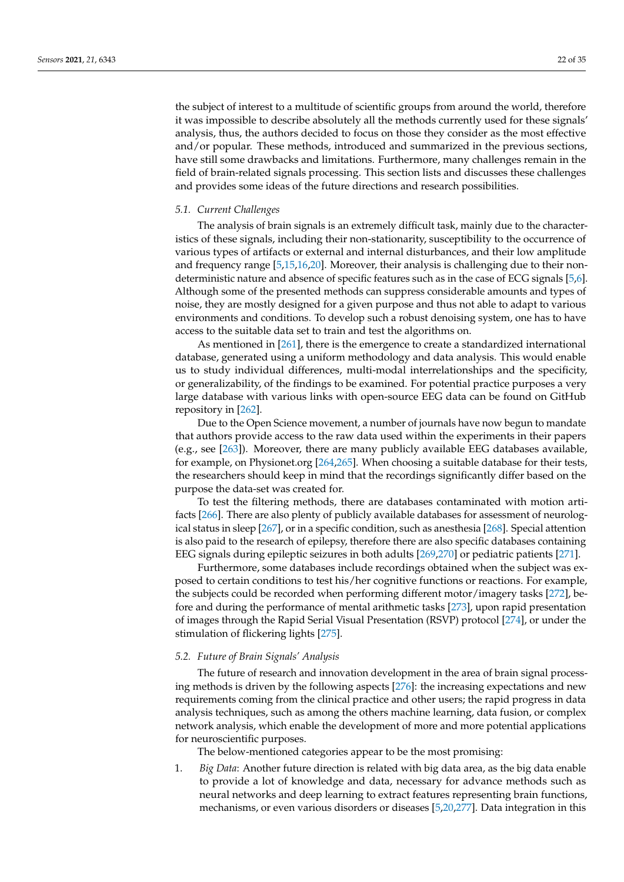the subject of interest to a multitude of scientific groups from around the world, therefore it was impossible to describe absolutely all the methods currently used for these signals' analysis, thus, the authors decided to focus on those they consider as the most effective and/or popular. These methods, introduced and summarized in the previous sections, have still some drawbacks and limitations. Furthermore, many challenges remain in the field of brain-related signals processing. This section lists and discusses these challenges and provides some ideas of the future directions and research possibilities.

#### *5.1. Current Challenges*

The analysis of brain signals is an extremely difficult task, mainly due to the characteristics of these signals, including their non-stationarity, susceptibility to the occurrence of various types of artifacts or external and internal disturbances, and their low amplitude and frequency range [\[5](#page-23-4)[,15](#page-23-13)[,16,](#page-23-14)[20\]](#page-24-1). Moreover, their analysis is challenging due to their nondeterministic nature and absence of specific features such as in the case of ECG signals [\[5](#page-23-4)[,6\]](#page-23-5). Although some of the presented methods can suppress considerable amounts and types of noise, they are mostly designed for a given purpose and thus not able to adapt to various environments and conditions. To develop such a robust denoising system, one has to have access to the suitable data set to train and test the algorithms on.

As mentioned in [\[261\]](#page-32-18), there is the emergence to create a standardized international database, generated using a uniform methodology and data analysis. This would enable us to study individual differences, multi-modal interrelationships and the specificity, or generalizability, of the findings to be examined. For potential practice purposes a very large database with various links with open-source EEG data can be found on GitHub repository in [\[262\]](#page-32-19).

Due to the Open Science movement, a number of journals have now begun to mandate that authors provide access to the raw data used within the experiments in their papers (e.g., see [\[263\]](#page-32-20)). Moreover, there are many publicly available EEG databases available, for example, on Physionet.org [\[264](#page-32-21)[,265\]](#page-32-22). When choosing a suitable database for their tests, the researchers should keep in mind that the recordings significantly differ based on the purpose the data-set was created for.

To test the filtering methods, there are databases contaminated with motion artifacts [\[266\]](#page-32-23). There are also plenty of publicly available databases for assessment of neurological status in sleep [\[267\]](#page-33-0), or in a specific condition, such as anesthesia [\[268\]](#page-33-1). Special attention is also paid to the research of epilepsy, therefore there are also specific databases containing EEG signals during epileptic seizures in both adults [\[269,](#page-33-2)[270\]](#page-33-3) or pediatric patients [\[271\]](#page-33-4).

Furthermore, some databases include recordings obtained when the subject was exposed to certain conditions to test his/her cognitive functions or reactions. For example, the subjects could be recorded when performing different motor/imagery tasks [\[272\]](#page-33-5), before and during the performance of mental arithmetic tasks [\[273\]](#page-33-6), upon rapid presentation of images through the Rapid Serial Visual Presentation (RSVP) protocol [\[274\]](#page-33-7), or under the stimulation of flickering lights [\[275\]](#page-33-8).

## *5.2. Future of Brain Signals' Analysis*

The future of research and innovation development in the area of brain signal processing methods is driven by the following aspects [\[276\]](#page-33-9): the increasing expectations and new requirements coming from the clinical practice and other users; the rapid progress in data analysis techniques, such as among the others machine learning, data fusion, or complex network analysis, which enable the development of more and more potential applications for neuroscientific purposes.

The below-mentioned categories appear to be the most promising:

1. *Big Data*: Another future direction is related with big data area, as the big data enable to provide a lot of knowledge and data, necessary for advance methods such as neural networks and deep learning to extract features representing brain functions, mechanisms, or even various disorders or diseases [\[5](#page-23-4)[,20,](#page-24-1)[277\]](#page-33-10). Data integration in this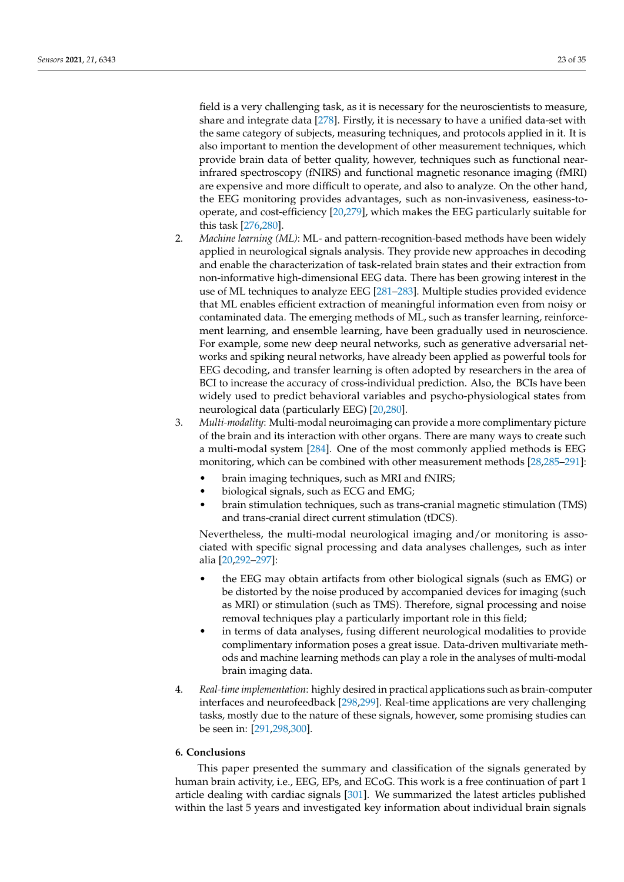field is a very challenging task, as it is necessary for the neuroscientists to measure, share and integrate data [\[278\]](#page-33-11). Firstly, it is necessary to have a unified data-set with the same category of subjects, measuring techniques, and protocols applied in it. It is also important to mention the development of other measurement techniques, which provide brain data of better quality, however, techniques such as functional nearinfrared spectroscopy (fNIRS) and functional magnetic resonance imaging (fMRI) are expensive and more difficult to operate, and also to analyze. On the other hand, the EEG monitoring provides advantages, such as non-invasiveness, easiness-tooperate, and cost-efficiency [\[20](#page-24-1)[,279\]](#page-33-12), which makes the EEG particularly suitable for this task [\[276,](#page-33-9)[280\]](#page-33-13).

- 2. *Machine learning (ML)*: ML- and pattern-recognition-based methods have been widely applied in neurological signals analysis. They provide new approaches in decoding and enable the characterization of task-related brain states and their extraction from non-informative high-dimensional EEG data. There has been growing interest in the use of ML techniques to analyze EEG [\[281](#page-33-14)[–283\]](#page-33-15). Multiple studies provided evidence that ML enables efficient extraction of meaningful information even from noisy or contaminated data. The emerging methods of ML, such as transfer learning, reinforcement learning, and ensemble learning, have been gradually used in neuroscience. For example, some new deep neural networks, such as generative adversarial networks and spiking neural networks, have already been applied as powerful tools for EEG decoding, and transfer learning is often adopted by researchers in the area of BCI to increase the accuracy of cross-individual prediction. Also, the BCIs have been widely used to predict behavioral variables and psycho-physiological states from neurological data (particularly EEG) [\[20](#page-24-1)[,280\]](#page-33-13).
- 3. *Multi-modality*: Multi-modal neuroimaging can provide a more complimentary picture of the brain and its interaction with other organs. There are many ways to create such a multi-modal system [\[284\]](#page-33-16). One of the most commonly applied methods is EEG monitoring, which can be combined with other measurement methods [\[28](#page-24-8)[,285–](#page-33-17)[291\]](#page-33-18):
	- brain imaging techniques, such as MRI and fNIRS;
	- biological signals, such as ECG and EMG;
	- brain stimulation techniques, such as trans-cranial magnetic stimulation (TMS) and trans-cranial direct current stimulation (tDCS).

Nevertheless, the multi-modal neurological imaging and/or monitoring is associated with specific signal processing and data analyses challenges, such as inter alia [\[20](#page-24-1)[,292](#page-33-19)[–297\]](#page-34-0):

- the EEG may obtain artifacts from other biological signals (such as EMG) or be distorted by the noise produced by accompanied devices for imaging (such as MRI) or stimulation (such as TMS). Therefore, signal processing and noise removal techniques play a particularly important role in this field;
- in terms of data analyses, fusing different neurological modalities to provide complimentary information poses a great issue. Data-driven multivariate methods and machine learning methods can play a role in the analyses of multi-modal brain imaging data.
- 4. *Real-time implementation*: highly desired in practical applications such as brain-computer interfaces and neurofeedback [\[298,](#page-34-1)[299\]](#page-34-2). Real-time applications are very challenging tasks, mostly due to the nature of these signals, however, some promising studies can be seen in: [\[291,](#page-33-18)[298,](#page-34-1)[300\]](#page-34-3).

## **6. Conclusions**

This paper presented the summary and classification of the signals generated by human brain activity, i.e., EEG, EPs, and ECoG. This work is a free continuation of part 1 article dealing with cardiac signals [\[301\]](#page-34-4). We summarized the latest articles published within the last 5 years and investigated key information about individual brain signals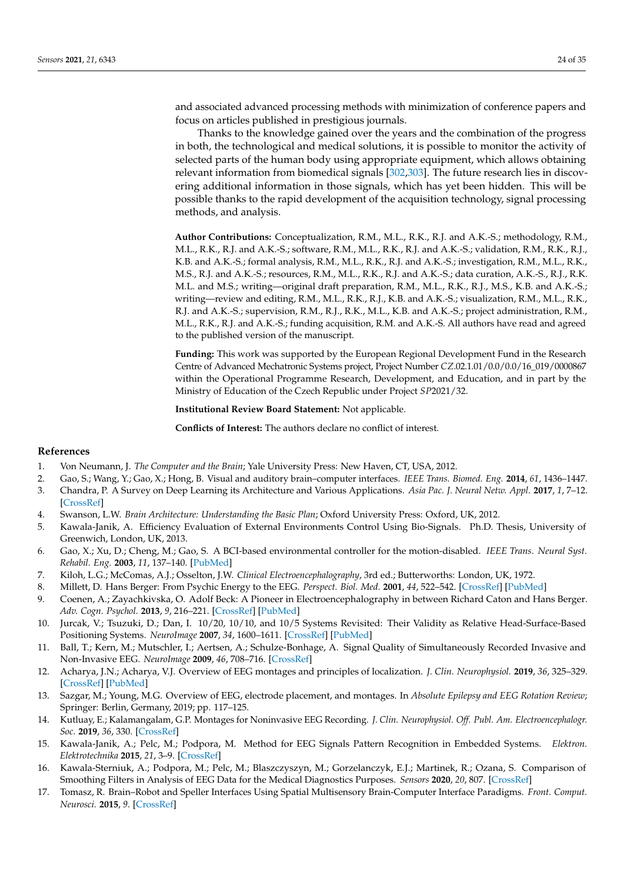and associated advanced processing methods with minimization of conference papers and focus on articles published in prestigious journals.

Thanks to the knowledge gained over the years and the combination of the progress in both, the technological and medical solutions, it is possible to monitor the activity of selected parts of the human body using appropriate equipment, which allows obtaining relevant information from biomedical signals [\[302,](#page-34-5)[303\]](#page-34-6). The future research lies in discovering additional information in those signals, which has yet been hidden. This will be possible thanks to the rapid development of the acquisition technology, signal processing methods, and analysis.

**Author Contributions:** Conceptualization, R.M., M.L., R.K., R.J. and A.K.-S.; methodology, R.M., M.L., R.K., R.J. and A.K.-S.; software, R.M., M.L., R.K., R.J. and A.K.-S.; validation, R.M., R.K., R.J., K.B. and A.K.-S.; formal analysis, R.M., M.L., R.K., R.J. and A.K.-S.; investigation, R.M., M.L., R.K., M.S., R.J. and A.K.-S.; resources, R.M., M.L., R.K., R.J. and A.K.-S.; data curation, A.K.-S., R.J., R.K. M.L. and M.S.; writing—original draft preparation, R.M., M.L., R.K., R.J., M.S., K.B. and A.K.-S.; writing—review and editing, R.M., M.L., R.K., R.J., K.B. and A.K.-S.; visualization, R.M., M.L., R.K., R.J. and A.K.-S.; supervision, R.M., R.J., R.K., M.L., K.B. and A.K.-S.; project administration, R.M., M.L., R.K., R.J. and A.K.-S.; funding acquisition, R.M. and A.K.-S. All authors have read and agreed to the published version of the manuscript.

**Funding:** This work was supported by the European Regional Development Fund in the Research Centre of Advanced Mechatronic Systems project, Project Number *CZ*.02.1.01/0.0/0.0/16\_019/0000867 within the Operational Programme Research, Development, and Education, and in part by the Ministry of Education of the Czech Republic under Project *SP*2021/32.

**Institutional Review Board Statement:** Not applicable.

**Conflicts of Interest:** The authors declare no conflict of interest.

## **References**

- <span id="page-23-0"></span>1. Von Neumann, J. *The Computer and the Brain*; Yale University Press: New Haven, CT, USA, 2012.
- <span id="page-23-3"></span>2. Gao, S.; Wang, Y.; Gao, X.; Hong, B. Visual and auditory brain–computer interfaces. *IEEE Trans. Biomed. Eng.* **2014**, *61*, 1436–1447.
- <span id="page-23-1"></span>3. Chandra, P. A Survey on Deep Learning its Architecture and Various Applications. *Asia Pac. J. Neural Netw. Appl.* **2017**, *1*, 7–12. [\[CrossRef\]](http://doi.org/10.21742/ajnnia.2017.1.2.02)
- <span id="page-23-2"></span>4. Swanson, L.W. *Brain Architecture: Understanding the Basic Plan*; Oxford University Press: Oxford, UK, 2012.
- <span id="page-23-4"></span>5. Kawala-Janik, A. Efficiency Evaluation of External Environments Control Using Bio-Signals. Ph.D. Thesis, University of Greenwich, London, UK, 2013.
- <span id="page-23-5"></span>6. Gao, X.; Xu, D.; Cheng, M.; Gao, S. A BCI-based environmental controller for the motion-disabled. *IEEE Trans. Neural Syst. Rehabil. Eng.* **2003**, *11*, 137–140. [\[PubMed\]](http://www.ncbi.nlm.nih.gov/pubmed/12899256)
- <span id="page-23-6"></span>7. Kiloh, L.G.; McComas, A.J.; Osselton, J.W. *Clinical Electroencephalography*, 3rd ed.; Butterworths: London, UK, 1972.
- 8. Millett, D. Hans Berger: From Psychic Energy to the EEG. *Perspect. Biol. Med.* **2001**, *44*, 522–542. [\[CrossRef\]](http://dx.doi.org/10.1353/pbm.2001.0070) [\[PubMed\]](http://www.ncbi.nlm.nih.gov/pubmed/11600799)
- <span id="page-23-7"></span>9. Coenen, A.; Zayachkivska, O. Adolf Beck: A Pioneer in Electroencephalography in between Richard Caton and Hans Berger. *Adv. Cogn. Psychol.* **2013**, *9*, 216–221. [\[CrossRef\]](http://dx.doi.org/10.5709/acp-0148-3) [\[PubMed\]](http://www.ncbi.nlm.nih.gov/pubmed/24605179)
- <span id="page-23-8"></span>10. Jurcak, V.; Tsuzuki, D.; Dan, I. 10/20, 10/10, and 10/5 Systems Revisited: Their Validity as Relative Head-Surface-Based Positioning Systems. *NeuroImage* **2007**, *34*, 1600–1611. [\[CrossRef\]](http://dx.doi.org/10.1016/j.neuroimage.2006.09.024) [\[PubMed\]](http://www.ncbi.nlm.nih.gov/pubmed/17207640)
- <span id="page-23-9"></span>11. Ball, T.; Kern, M.; Mutschler, I.; Aertsen, A.; Schulze-Bonhage, A. Signal Quality of Simultaneously Recorded Invasive and Non-Invasive EEG. *NeuroImage* **2009**, *46*, 708–716. [\[CrossRef\]](http://dx.doi.org/10.1016/j.neuroimage.2009.02.028)
- <span id="page-23-10"></span>12. Acharya, J.N.; Acharya, V.J. Overview of EEG montages and principles of localization. *J. Clin. Neurophysiol.* **2019**, *36*, 325–329. [\[CrossRef\]](http://dx.doi.org/10.1097/WNP.0000000000000538) [\[PubMed\]](http://www.ncbi.nlm.nih.gov/pubmed/31490449)
- <span id="page-23-11"></span>13. Sazgar, M.; Young, M.G. Overview of EEG, electrode placement, and montages. In *Absolute Epilepsy and EEG Rotation Review*; Springer: Berlin, Germany, 2019; pp. 117–125.
- <span id="page-23-12"></span>14. Kutluay, E.; Kalamangalam, G.P. Montages for Noninvasive EEG Recording. *J. Clin. Neurophysiol. Off. Publ. Am. Electroencephalogr. Soc.* **2019**, *36*, 330. [\[CrossRef\]](http://dx.doi.org/10.1097/WNP.0000000000000546)
- <span id="page-23-13"></span>15. Kawala-Janik, A.; Pelc, M.; Podpora, M. Method for EEG Signals Pattern Recognition in Embedded Systems. *Elektron. Elektrotechnika* **2015**, *21*, 3–9. [\[CrossRef\]](http://dx.doi.org/10.5755/j01.eee.21.3.9918)
- <span id="page-23-14"></span>16. Kawala-Sterniuk, A.; Podpora, M.; Pelc, M.; Blaszczyszyn, M.; Gorzelanczyk, E.J.; Martinek, R.; Ozana, S. Comparison of Smoothing Filters in Analysis of EEG Data for the Medical Diagnostics Purposes. *Sensors* **2020**, *20*, 807. [\[CrossRef\]](http://dx.doi.org/10.3390/s20030807)
- 17. Tomasz, R. Brain–Robot and Speller Interfaces Using Spatial Multisensory Brain-Computer Interface Paradigms. *Front. Comput. Neurosci.* **2015**, *9*. [\[CrossRef\]](http://dx.doi.org/10.3389/conf.fncom.2015.56.00014)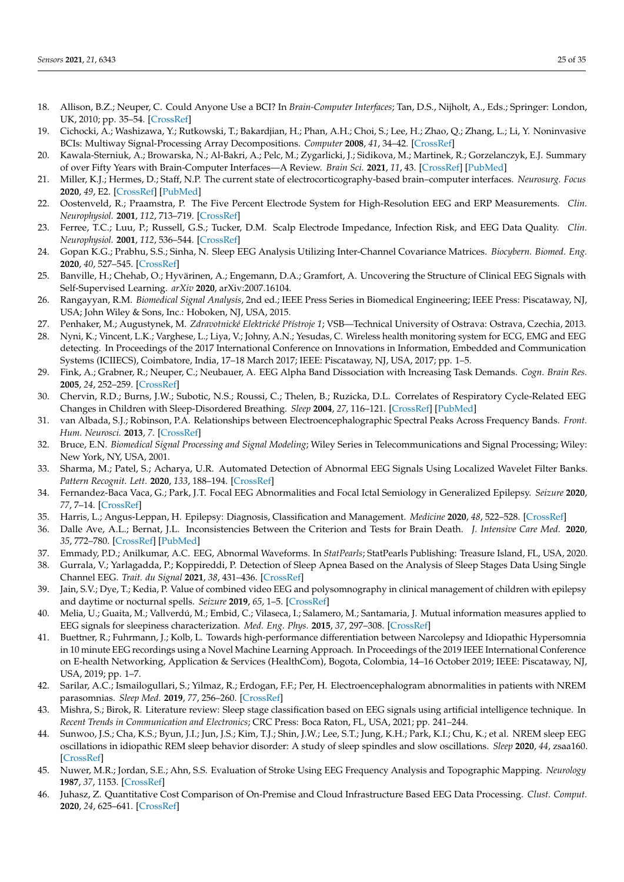- 18. Allison, B.Z.; Neuper, C. Could Anyone Use a BCI? In *Brain-Computer Interfaces*; Tan, D.S., Nijholt, A., Eds.; Springer: London, UK, 2010; pp. 35–54. [\[CrossRef\]](http://dx.doi.org/10.1007/978-1-84996-272-8_3)
- <span id="page-24-0"></span>19. Cichocki, A.; Washizawa, Y.; Rutkowski, T.; Bakardjian, H.; Phan, A.H.; Choi, S.; Lee, H.; Zhao, Q.; Zhang, L.; Li, Y. Noninvasive BCIs: Multiway Signal-Processing Array Decompositions. *Computer* **2008**, *41*, 34–42. [\[CrossRef\]](http://dx.doi.org/10.1109/MC.2008.431)
- <span id="page-24-1"></span>20. Kawala-Sterniuk, A.; Browarska, N.; Al-Bakri, A.; Pelc, M.; Zygarlicki, J.; Sidikova, M.; Martinek, R.; Gorzelanczyk, E.J. Summary of over Fifty Years with Brain-Computer Interfaces—A Review. *Brain Sci.* **2021**, *11*, 43. [\[CrossRef\]](http://dx.doi.org/10.3390/brainsci11010043) [\[PubMed\]](http://www.ncbi.nlm.nih.gov/pubmed/33401571)
- <span id="page-24-2"></span>21. Miller, K.J.; Hermes, D.; Staff, N.P. The current state of electrocorticography-based brain–computer interfaces. *Neurosurg. Focus* **2020**, *49*, E2. [\[CrossRef\]](http://dx.doi.org/10.3171/2020.4.FOCUS20185) [\[PubMed\]](http://www.ncbi.nlm.nih.gov/pubmed/32610290)
- <span id="page-24-3"></span>22. Oostenveld, R.; Praamstra, P. The Five Percent Electrode System for High-Resolution EEG and ERP Measurements. *Clin. Neurophysiol.* **2001**, *112*, 713–719. [\[CrossRef\]](http://dx.doi.org/10.1016/S1388-2457(00)00527-7)
- <span id="page-24-4"></span>23. Ferree, T.C.; Luu, P.; Russell, G.S.; Tucker, D.M. Scalp Electrode Impedance, Infection Risk, and EEG Data Quality. *Clin. Neurophysiol.* **2001**, *112*, 536–544. [\[CrossRef\]](http://dx.doi.org/10.1016/S1388-2457(00)00533-2)
- <span id="page-24-5"></span>24. Gopan K.G.; Prabhu, S.S.; Sinha, N. Sleep EEG Analysis Utilizing Inter-Channel Covariance Matrices. *Biocybern. Biomed. Eng.* **2020**, *40*, 527–545. [\[CrossRef\]](http://dx.doi.org/10.1016/j.bbe.2020.01.013)
- <span id="page-24-6"></span>25. Banville, H.; Chehab, O.; Hyvärinen, A.; Engemann, D.A.; Gramfort, A. Uncovering the Structure of Clinical EEG Signals with Self-Supervised Learning. *arXiv* **2020**, arXiv:2007.16104.
- <span id="page-24-7"></span>26. Rangayyan, R.M. *Biomedical Signal Analysis*, 2nd ed.; IEEE Press Series in Biomedical Engineering; IEEE Press: Piscataway, NJ, USA; John Wiley & Sons, Inc.: Hoboken, NJ, USA, 2015.
- <span id="page-24-21"></span>27. Penhaker, M.; Augustynek, M. *Zdravotnické Elektrické Pˇrístroje 1*; VSB—Technical University of Ostrava: Ostrava, Czechia, 2013.
- <span id="page-24-8"></span>28. Nyni, K.; Vincent, L.K.; Varghese, L.; Liya, V.; Johny, A.N.; Yesudas, C. Wireless health monitoring system for ECG, EMG and EEG detecting. In Proceedings of the 2017 International Conference on Innovations in Information, Embedded and Communication Systems (ICIIECS), Coimbatore, India, 17–18 March 2017; IEEE: Piscataway, NJ, USA, 2017; pp. 1–5.
- <span id="page-24-9"></span>29. Fink, A.; Grabner, R.; Neuper, C.; Neubauer, A. EEG Alpha Band Dissociation with Increasing Task Demands. *Cogn. Brain Res.* **2005**, *24*, 252–259. [\[CrossRef\]](http://dx.doi.org/10.1016/j.cogbrainres.2005.02.002)
- <span id="page-24-10"></span>30. Chervin, R.D.; Burns, J.W.; Subotic, N.S.; Roussi, C.; Thelen, B.; Ruzicka, D.L. Correlates of Respiratory Cycle-Related EEG Changes in Children with Sleep-Disordered Breathing. *Sleep* **2004**, *27*, 116–121. [\[CrossRef\]](http://dx.doi.org/10.1093/sleep/27.1.116) [\[PubMed\]](http://www.ncbi.nlm.nih.gov/pubmed/14998247)
- <span id="page-24-11"></span>31. van Albada, S.J.; Robinson, P.A. Relationships between Electroencephalographic Spectral Peaks Across Frequency Bands. *Front. Hum. Neurosci.* **2013**, *7*. [\[CrossRef\]](http://dx.doi.org/10.3389/fnhum.2013.00056)
- <span id="page-24-12"></span>32. Bruce, E.N. *Biomedical Signal Processing and Signal Modeling*; Wiley Series in Telecommunications and Signal Processing; Wiley: New York, NY, USA, 2001.
- <span id="page-24-14"></span>33. Sharma, M.; Patel, S.; Acharya, U.R. Automated Detection of Abnormal EEG Signals Using Localized Wavelet Filter Banks. *Pattern Recognit. Lett.* **2020**, *133*, 188–194. [\[CrossRef\]](http://dx.doi.org/10.1016/j.patrec.2020.03.009)
- <span id="page-24-13"></span>34. Fernandez-Baca Vaca, G.; Park, J.T. Focal EEG Abnormalities and Focal Ictal Semiology in Generalized Epilepsy. *Seizure* **2020**, *77*, 7–14. [\[CrossRef\]](http://dx.doi.org/10.1016/j.seizure.2019.12.013)
- <span id="page-24-15"></span>35. Harris, L.; Angus-Leppan, H. Epilepsy: Diagnosis, Classification and Management. *Medicine* **2020**, *48*, 522–528. [\[CrossRef\]](http://dx.doi.org/10.1016/j.mpmed.2020.05.001)
- 36. Dalle Ave, A.L.; Bernat, J.L. Inconsistencies Between the Criterion and Tests for Brain Death. *J. Intensive Care Med.* **2020**, *35*, 772–780. [\[CrossRef\]](http://dx.doi.org/10.1177/0885066618784268) [\[PubMed\]](http://www.ncbi.nlm.nih.gov/pubmed/29929410)
- <span id="page-24-16"></span>37. Emmady, P.D.; Anilkumar, A.C. EEG, Abnormal Waveforms. In *StatPearls*; StatPearls Publishing: Treasure Island, FL, USA, 2020.
- <span id="page-24-17"></span>38. Gurrala, V.; Yarlagadda, P.; Koppireddi, P. Detection of Sleep Apnea Based on the Analysis of Sleep Stages Data Using Single Channel EEG. *Trait. du Signal* **2021**, *38*, 431–436. [\[CrossRef\]](http://dx.doi.org/10.18280/ts.380221)
- 39. Jain, S.V.; Dye, T.; Kedia, P. Value of combined video EEG and polysomnography in clinical management of children with epilepsy and daytime or nocturnal spells. *Seizure* **2019**, *65*, 1–5. [\[CrossRef\]](http://dx.doi.org/10.1016/j.seizure.2018.12.009)
- 40. Melia, U.; Guaita, M.; Vallverdú, M.; Embid, C.; Vilaseca, I.; Salamero, M.; Santamaria, J. Mutual information measures applied to EEG signals for sleepiness characterization. *Med. Eng. Phys.* **2015**, *37*, 297–308. [\[CrossRef\]](http://dx.doi.org/10.1016/j.medengphy.2015.01.002)
- 41. Buettner, R.; Fuhrmann, J.; Kolb, L. Towards high-performance differentiation between Narcolepsy and Idiopathic Hypersomnia in 10 minute EEG recordings using a Novel Machine Learning Approach. In Proceedings of the 2019 IEEE International Conference on E-health Networking, Application & Services (HealthCom), Bogota, Colombia, 14–16 October 2019; IEEE: Piscataway, NJ, USA, 2019; pp. 1–7.
- 42. Sarilar, A.C.; Ismailogullari, S.; Yilmaz, R.; Erdogan, F.F.; Per, H. Electroencephalogram abnormalities in patients with NREM parasomnias. *Sleep Med.* **2019**, *77*, 256–260. [\[CrossRef\]](http://dx.doi.org/10.1016/j.sleep.2019.05.009)
- 43. Mishra, S.; Birok, R. Literature review: Sleep stage classification based on EEG signals using artificial intelligence technique. In *Recent Trends in Communication and Electronics*; CRC Press: Boca Raton, FL, USA, 2021; pp. 241–244.
- <span id="page-24-18"></span>44. Sunwoo, J.S.; Cha, K.S.; Byun, J.I.; Jun, J.S.; Kim, T.J.; Shin, J.W.; Lee, S.T.; Jung, K.H.; Park, K.I.; Chu, K.; et al. NREM sleep EEG oscillations in idiopathic REM sleep behavior disorder: A study of sleep spindles and slow oscillations. *Sleep* **2020**, *44*, zsaa160. [\[CrossRef\]](http://dx.doi.org/10.1093/sleep/zsaa160)
- <span id="page-24-19"></span>45. Nuwer, M.R.; Jordan, S.E.; Ahn, S.S. Evaluation of Stroke Using EEG Frequency Analysis and Topographic Mapping. *Neurology* **1987**, *37*, 1153. [\[CrossRef\]](http://dx.doi.org/10.1212/WNL.37.7.1153)
- <span id="page-24-20"></span>46. Juhasz, Z. Quantitative Cost Comparison of On-Premise and Cloud Infrastructure Based EEG Data Processing. *Clust. Comput.* **2020**, *24*, 625–641. [\[CrossRef\]](http://dx.doi.org/10.1007/s10586-020-03141-y)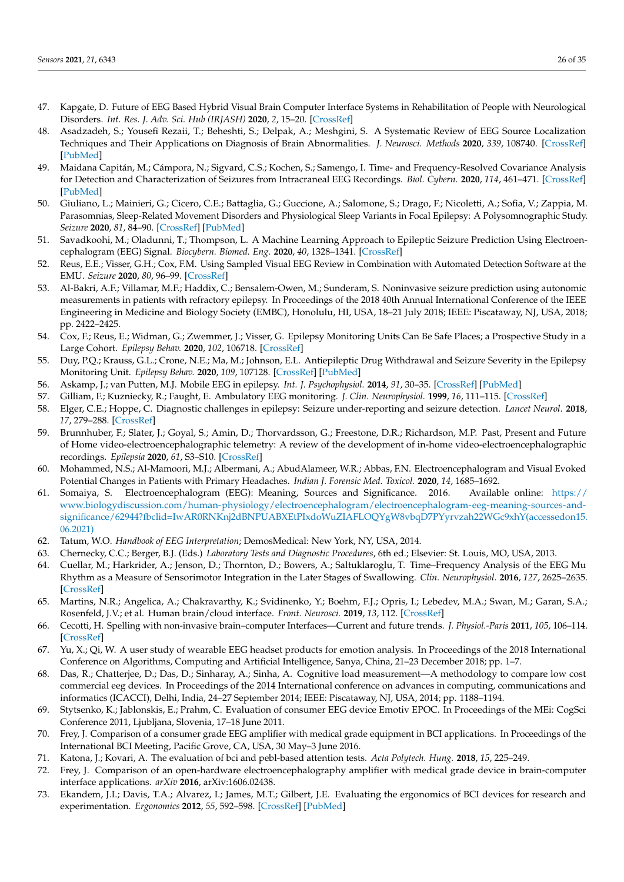- <span id="page-25-0"></span>47. Kapgate, D. Future of EEG Based Hybrid Visual Brain Computer Interface Systems in Rehabilitation of People with Neurological Disorders. *Int. Res. J. Adv. Sci. Hub (IRJASH)* **2020**, *2*, 15–20. [\[CrossRef\]](http://dx.doi.org/10.47392/irjash.2020.31)
- <span id="page-25-1"></span>48. Asadzadeh, S.; Yousefi Rezaii, T.; Beheshti, S.; Delpak, A.; Meshgini, S. A Systematic Review of EEG Source Localization Techniques and Their Applications on Diagnosis of Brain Abnormalities. *J. Neurosci. Methods* **2020**, *339*, 108740. [\[CrossRef\]](http://dx.doi.org/10.1016/j.jneumeth.2020.108740) [\[PubMed\]](http://www.ncbi.nlm.nih.gov/pubmed/32353472)
- 49. Maidana Capitán, M.; Cámpora, N.; Sigvard, C.S.; Kochen, S.; Samengo, I. Time- and Frequency-Resolved Covariance Analysis for Detection and Characterization of Seizures from Intracraneal EEG Recordings. *Biol. Cybern.* **2020**, *114*, 461–471. [\[CrossRef\]](http://dx.doi.org/10.1007/s00422-020-00840-y) [\[PubMed\]](http://www.ncbi.nlm.nih.gov/pubmed/32656680)
- <span id="page-25-2"></span>50. Giuliano, L.; Mainieri, G.; Cicero, C.E.; Battaglia, G.; Guccione, A.; Salomone, S.; Drago, F.; Nicoletti, A.; Sofia, V.; Zappia, M. Parasomnias, Sleep-Related Movement Disorders and Physiological Sleep Variants in Focal Epilepsy: A Polysomnographic Study. *Seizure* **2020**, *81*, 84–90. [\[CrossRef\]](http://dx.doi.org/10.1016/j.seizure.2020.07.026) [\[PubMed\]](http://www.ncbi.nlm.nih.gov/pubmed/32771823)
- <span id="page-25-3"></span>51. Savadkoohi, M.; Oladunni, T.; Thompson, L. A Machine Learning Approach to Epileptic Seizure Prediction Using Electroencephalogram (EEG) Signal. *Biocybern. Biomed. Eng.* **2020**, *40*, 1328–1341. [\[CrossRef\]](http://dx.doi.org/10.1016/j.bbe.2020.07.004)
- 52. Reus, E.E.; Visser, G.H.; Cox, F.M. Using Sampled Visual EEG Review in Combination with Automated Detection Software at the EMU. *Seizure* **2020**, *80*, 96–99. [\[CrossRef\]](http://dx.doi.org/10.1016/j.seizure.2020.06.002)
- <span id="page-25-4"></span>53. Al-Bakri, A.F.; Villamar, M.F.; Haddix, C.; Bensalem-Owen, M.; Sunderam, S. Noninvasive seizure prediction using autonomic measurements in patients with refractory epilepsy. In Proceedings of the 2018 40th Annual International Conference of the IEEE Engineering in Medicine and Biology Society (EMBC), Honolulu, HI, USA, 18–21 July 2018; IEEE: Piscataway, NJ, USA, 2018; pp. 2422–2425.
- <span id="page-25-5"></span>54. Cox, F.; Reus, E.; Widman, G.; Zwemmer, J.; Visser, G. Epilepsy Monitoring Units Can Be Safe Places; a Prospective Study in a Large Cohort. *Epilepsy Behav.* **2020**, *102*, 106718. [\[CrossRef\]](http://dx.doi.org/10.1016/j.yebeh.2019.106718)
- <span id="page-25-6"></span>55. Duy, P.Q.; Krauss, G.L.; Crone, N.E.; Ma, M.; Johnson, E.L. Antiepileptic Drug Withdrawal and Seizure Severity in the Epilepsy Monitoring Unit. *Epilepsy Behav.* **2020**, *109*, 107128. [\[CrossRef\]](http://dx.doi.org/10.1016/j.yebeh.2020.107128) [\[PubMed\]](http://www.ncbi.nlm.nih.gov/pubmed/32417383)
- <span id="page-25-7"></span>56. Askamp, J.; van Putten, M.J. Mobile EEG in epilepsy. *Int. J. Psychophysiol.* **2014**, *91*, 30–35. [\[CrossRef\]](http://dx.doi.org/10.1016/j.ijpsycho.2013.09.002) [\[PubMed\]](http://www.ncbi.nlm.nih.gov/pubmed/24060755)
- 57. Gilliam, F.; Kuzniecky, R.; Faught, E. Ambulatory EEG monitoring. *J. Clin. Neurophysiol.* **1999**, *16*, 111–115. [\[CrossRef\]](http://dx.doi.org/10.1097/00004691-199903000-00003)
- 58. Elger, C.E.; Hoppe, C. Diagnostic challenges in epilepsy: Seizure under-reporting and seizure detection. *Lancet Neurol.* **2018**, *17*, 279–288. [\[CrossRef\]](http://dx.doi.org/10.1016/S1474-4422(18)30038-3)
- <span id="page-25-8"></span>59. Brunnhuber, F.; Slater, J.; Goyal, S.; Amin, D.; Thorvardsson, G.; Freestone, D.R.; Richardson, M.P. Past, Present and Future of Home video-electroencephalographic telemetry: A review of the development of in-home video-electroencephalographic recordings. *Epilepsia* **2020**, *61*, S3–S10. [\[CrossRef\]](http://dx.doi.org/10.1111/epi.16578)
- <span id="page-25-9"></span>60. Mohammed, N.S.; Al-Mamoori, M.J.; Albermani, A.; AbudAlameer, W.R.; Abbas, F.N. Electroencephalogram and Visual Evoked Potential Changes in Patients with Primary Headaches. *Indian J. Forensic Med. Toxicol.* **2020**, *14*, 1685–1692.
- 61. Somaiya, S. Electroencephalogram (EEG): Meaning, Sources and Significance. 2016. Available online: [https://](https://www.biologydiscussion.com/human-physiology/electroencephalogram/electroencephalogram-eeg-meaning-sources-and-significance/62944?fbclid=IwAR0RNKnj2dBNPUABXEtPIxdoWuZIAFLOQYgW8vbqD7PYyrvzah22WGc9xhY (accessed on 15.06.2021)) [www.biologydiscussion.com/human-physiology/electroencephalogram/electroencephalogram-eeg-meaning-sources-and](https://www.biologydiscussion.com/human-physiology/electroencephalogram/electroencephalogram-eeg-meaning-sources-and-significance/62944?fbclid=IwAR0RNKnj2dBNPUABXEtPIxdoWuZIAFLOQYgW8vbqD7PYyrvzah22WGc9xhY (accessed on 15.06.2021))[significance/62944?fbclid=IwAR0RNKnj2dBNPUABXEtPIxdoWuZIAFLOQYgW8vbqD7PYyrvzah22WGc9xhY\(accessedon15.](https://www.biologydiscussion.com/human-physiology/electroencephalogram/electroencephalogram-eeg-meaning-sources-and-significance/62944?fbclid=IwAR0RNKnj2dBNPUABXEtPIxdoWuZIAFLOQYgW8vbqD7PYyrvzah22WGc9xhY (accessed on 15.06.2021)) [06.2021\)](https://www.biologydiscussion.com/human-physiology/electroencephalogram/electroencephalogram-eeg-meaning-sources-and-significance/62944?fbclid=IwAR0RNKnj2dBNPUABXEtPIxdoWuZIAFLOQYgW8vbqD7PYyrvzah22WGc9xhY (accessed on 15.06.2021))
- 62. Tatum, W.O. *Handbook of EEG Interpretation*; DemosMedical: New York, NY, USA, 2014.
- 63. Chernecky, C.C.; Berger, B.J. (Eds.) *Laboratory Tests and Diagnostic Procedures*, 6th ed.; Elsevier: St. Louis, MO, USA, 2013.
- <span id="page-25-10"></span>64. Cuellar, M.; Harkrider, A.; Jenson, D.; Thornton, D.; Bowers, A.; Saltuklaroglu, T. Time–Frequency Analysis of the EEG Mu Rhythm as a Measure of Sensorimotor Integration in the Later Stages of Swallowing. *Clin. Neurophysiol.* **2016**, *127*, 2625–2635. [\[CrossRef\]](http://dx.doi.org/10.1016/j.clinph.2016.04.027)
- <span id="page-25-11"></span>65. Martins, N.R.; Angelica, A.; Chakravarthy, K.; Svidinenko, Y.; Boehm, F.J.; Opris, I.; Lebedev, M.A.; Swan, M.; Garan, S.A.; Rosenfeld, J.V.; et al. Human brain/cloud interface. *Front. Neurosci.* **2019**, *13*, 112. [\[CrossRef\]](http://dx.doi.org/10.3389/fnins.2019.00112)
- <span id="page-25-12"></span>66. Cecotti, H. Spelling with non-invasive brain–computer Interfaces—Current and future trends. *J. Physiol.-Paris* **2011**, *105*, 106–114. [\[CrossRef\]](http://dx.doi.org/10.1016/j.jphysparis.2011.08.003)
- <span id="page-25-13"></span>67. Yu, X.; Qi, W. A user study of wearable EEG headset products for emotion analysis. In Proceedings of the 2018 International Conference on Algorithms, Computing and Artificial Intelligence, Sanya, China, 21–23 December 2018; pp. 1–7.
- <span id="page-25-14"></span>68. Das, R.; Chatterjee, D.; Das, D.; Sinharay, A.; Sinha, A. Cognitive load measurement—A methodology to compare low cost commercial eeg devices. In Proceedings of the 2014 International conference on advances in computing, communications and informatics (ICACCI), Delhi, India, 24–27 September 2014; IEEE: Piscataway, NJ, USA, 2014; pp. 1188–1194.
- 69. Stytsenko, K.; Jablonskis, E.; Prahm, C. Evaluation of consumer EEG device Emotiv EPOC. In Proceedings of the MEi: CogSci Conference 2011, Ljubljana, Slovenia, 17–18 June 2011.
- 70. Frey, J. Comparison of a consumer grade EEG amplifier with medical grade equipment in BCI applications. In Proceedings of the International BCI Meeting, Pacific Grove, CA, USA, 30 May–3 June 2016.
- 71. Katona, J.; Kovari, A. The evaluation of bci and pebl-based attention tests. *Acta Polytech. Hung.* **2018**, *15*, 225–249.
- <span id="page-25-15"></span>72. Frey, J. Comparison of an open-hardware electroencephalography amplifier with medical grade device in brain-computer interface applications. *arXiv* **2016**, arXiv:1606.02438.
- <span id="page-25-16"></span>73. Ekandem, J.I.; Davis, T.A.; Alvarez, I.; James, M.T.; Gilbert, J.E. Evaluating the ergonomics of BCI devices for research and experimentation. *Ergonomics* **2012**, *55*, 592–598. [\[CrossRef\]](http://dx.doi.org/10.1080/00140139.2012.662527) [\[PubMed\]](http://www.ncbi.nlm.nih.gov/pubmed/22506831)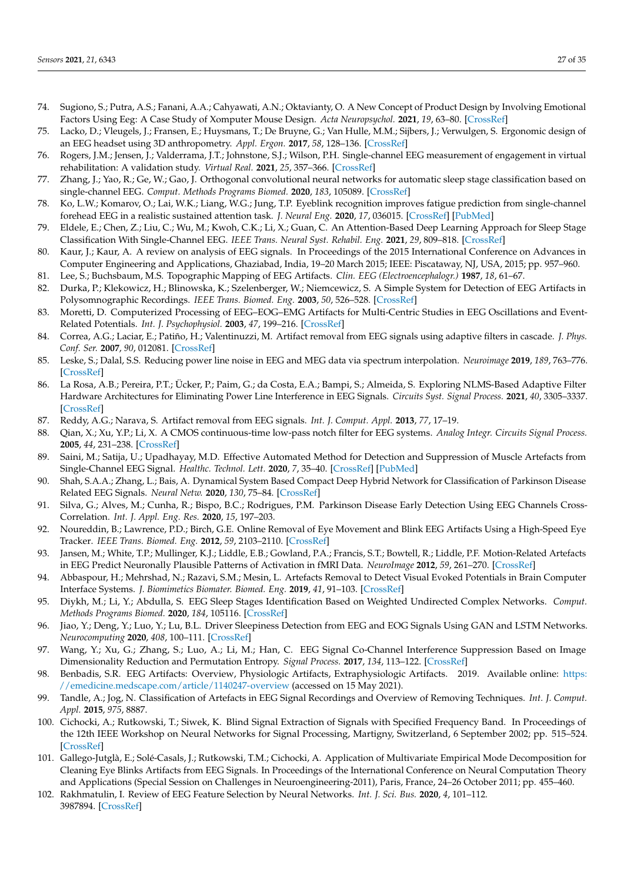- <span id="page-26-0"></span>74. Sugiono, S.; Putra, A.S.; Fanani, A.A.; Cahyawati, A.N.; Oktavianty, O. A New Concept of Product Design by Involving Emotional Factors Using Eeg: A Case Study of Xomputer Mouse Design. *Acta Neuropsychol.* **2021**, *19*, 63–80. [\[CrossRef\]](http://dx.doi.org/10.5604/01.3001.0014.7021)
- <span id="page-26-1"></span>75. Lacko, D.; Vleugels, J.; Fransen, E.; Huysmans, T.; De Bruyne, G.; Van Hulle, M.M.; Sijbers, J.; Verwulgen, S. Ergonomic design of an EEG headset using 3D anthropometry. *Appl. Ergon.* **2017**, *58*, 128–136. [\[CrossRef\]](http://dx.doi.org/10.1016/j.apergo.2016.06.002)
- <span id="page-26-2"></span>76. Rogers, J.M.; Jensen, J.; Valderrama, J.T.; Johnstone, S.J.; Wilson, P.H. Single-channel EEG measurement of engagement in virtual rehabilitation: A validation study. *Virtual Real.* **2021**, *25*, 357–366. [\[CrossRef\]](http://dx.doi.org/10.1007/s10055-020-00460-8)
- <span id="page-26-24"></span>77. Zhang, J.; Yao, R.; Ge, W.; Gao, J. Orthogonal convolutional neural networks for automatic sleep stage classification based on single-channel EEG. *Comput. Methods Programs Biomed.* **2020**, *183*, 105089. [\[CrossRef\]](http://dx.doi.org/10.1016/j.cmpb.2019.105089)
- 78. Ko, L.W.; Komarov, O.; Lai, W.K.; Liang, W.G.; Jung, T.P. Eyeblink recognition improves fatigue prediction from single-channel forehead EEG in a realistic sustained attention task. *J. Neural Eng.* **2020**, *17*, 036015. [\[CrossRef\]](http://dx.doi.org/10.1088/1741-2552/ab909f) [\[PubMed\]](http://www.ncbi.nlm.nih.gov/pubmed/32375139)
- <span id="page-26-3"></span>79. Eldele, E.; Chen, Z.; Liu, C.; Wu, M.; Kwoh, C.K.; Li, X.; Guan, C. An Attention-Based Deep Learning Approach for Sleep Stage Classification With Single-Channel EEG. *IEEE Trans. Neural Syst. Rehabil. Eng.* **2021**, *29*, 809–818. [\[CrossRef\]](http://dx.doi.org/10.1109/TNSRE.2021.3076234)
- <span id="page-26-4"></span>80. Kaur, J.; Kaur, A. A review on analysis of EEG signals. In Proceedings of the 2015 International Conference on Advances in Computer Engineering and Applications, Ghaziabad, India, 19–20 March 2015; IEEE: Piscataway, NJ, USA, 2015; pp. 957–960.
- <span id="page-26-5"></span>81. Lee, S.; Buchsbaum, M.S. Topographic Mapping of EEG Artifacts. *Clin. EEG (Electroencephalogr.)* **1987**, *18*, 61–67.
- <span id="page-26-6"></span>82. Durka, P.; Klekowicz, H.; Blinowska, K.; Szelenberger, W.; Niemcewicz, S. A Simple System for Detection of EEG Artifacts in Polysomnographic Recordings. *IEEE Trans. Biomed. Eng.* **2003**, *50*, 526–528. [\[CrossRef\]](http://dx.doi.org/10.1109/TBME.2003.809476)
- <span id="page-26-7"></span>83. Moretti, D. Computerized Processing of EEG–EOG–EMG Artifacts for Multi-Centric Studies in EEG Oscillations and Event-Related Potentials. *Int. J. Psychophysiol.* **2003**, *47*, 199–216. [\[CrossRef\]](http://dx.doi.org/10.1016/S0167-8760(02)00153-8)
- <span id="page-26-8"></span>84. Correa, A.G.; Laciar, E.; Patiño, H.; Valentinuzzi, M. Artifact removal from EEG signals using adaptive filters in cascade. *J. Phys. Conf. Ser.* **2007**, *90*, 012081. [\[CrossRef\]](http://dx.doi.org/10.1088/1742-6596/90/1/012081)
- <span id="page-26-9"></span>85. Leske, S.; Dalal, S.S. Reducing power line noise in EEG and MEG data via spectrum interpolation. *Neuroimage* **2019**, *189*, 763–776. [\[CrossRef\]](http://dx.doi.org/10.1016/j.neuroimage.2019.01.026)
- <span id="page-26-10"></span>86. La Rosa, A.B.; Pereira, P.T.; Ücker, P.; Paim, G.; da Costa, E.A.; Bampi, S.; Almeida, S. Exploring NLMS-Based Adaptive Filter Hardware Architectures for Eliminating Power Line Interference in EEG Signals. *Circuits Syst. Signal Process.* **2021**, *40*, 3305–3337. [\[CrossRef\]](http://dx.doi.org/10.1007/s00034-020-01620-6)
- <span id="page-26-11"></span>87. Reddy, A.G.; Narava, S. Artifact removal from EEG signals. *Int. J. Comput. Appl.* **2013**, *77*, 17–19.
- <span id="page-26-12"></span>88. Qian, X.; Xu, Y.P.; Li, X. A CMOS continuous-time low-pass notch filter for EEG systems. *Analog Integr. Circuits Signal Process.* **2005**, *44*, 231–238. [\[CrossRef\]](http://dx.doi.org/10.1007/s10470-005-3007-x)
- <span id="page-26-13"></span>89. Saini, M.; Satija, U.; Upadhayay, M.D. Effective Automated Method for Detection and Suppression of Muscle Artefacts from Single-Channel EEG Signal. *Healthc. Technol. Lett.* **2020**, *7*, 35–40. [\[CrossRef\]](http://dx.doi.org/10.1049/htl.2019.0053) [\[PubMed\]](http://www.ncbi.nlm.nih.gov/pubmed/32431850)
- <span id="page-26-14"></span>90. Shah, S.A.A.; Zhang, L.; Bais, A. Dynamical System Based Compact Deep Hybrid Network for Classification of Parkinson Disease Related EEG Signals. *Neural Netw.* **2020**, *130*, 75–84. [\[CrossRef\]](http://dx.doi.org/10.1016/j.neunet.2020.06.018)
- <span id="page-26-15"></span>91. Silva, G.; Alves, M.; Cunha, R.; Bispo, B.C.; Rodrigues, P.M. Parkinson Disease Early Detection Using EEG Channels Cross-Correlation. *Int. J. Appl. Eng. Res.* **2020**, *15*, 197–203.
- <span id="page-26-16"></span>92. Noureddin, B.; Lawrence, P.D.; Birch, G.E. Online Removal of Eye Movement and Blink EEG Artifacts Using a High-Speed Eye Tracker. *IEEE Trans. Biomed. Eng.* **2012**, *59*, 2103–2110. [\[CrossRef\]](http://dx.doi.org/10.1109/TBME.2011.2108295)
- 93. Jansen, M.; White, T.P.; Mullinger, K.J.; Liddle, E.B.; Gowland, P.A.; Francis, S.T.; Bowtell, R.; Liddle, P.F. Motion-Related Artefacts in EEG Predict Neuronally Plausible Patterns of Activation in fMRI Data. *NeuroImage* **2012**, *59*, 261–270. [\[CrossRef\]](http://dx.doi.org/10.1016/j.neuroimage.2011.06.094)
- <span id="page-26-17"></span>94. Abbaspour, H.; Mehrshad, N.; Razavi, S.M.; Mesin, L. Artefacts Removal to Detect Visual Evoked Potentials in Brain Computer Interface Systems. *J. Biomimetics Biomater. Biomed. Eng.* **2019**, *41*, 91–103. [\[CrossRef\]](http://dx.doi.org/10.4028/www.scientific.net/JBBBE.41.91)
- <span id="page-26-18"></span>95. Diykh, M.; Li, Y.; Abdulla, S. EEG Sleep Stages Identification Based on Weighted Undirected Complex Networks. *Comput. Methods Programs Biomed.* **2020**, *184*, 105116. [\[CrossRef\]](http://dx.doi.org/10.1016/j.cmpb.2019.105116)
- <span id="page-26-19"></span>96. Jiao, Y.; Deng, Y.; Luo, Y.; Lu, B.L. Driver Sleepiness Detection from EEG and EOG Signals Using GAN and LSTM Networks. *Neurocomputing* **2020**, *408*, 100–111. [\[CrossRef\]](http://dx.doi.org/10.1016/j.neucom.2019.05.108)
- <span id="page-26-20"></span>97. Wang, Y.; Xu, G.; Zhang, S.; Luo, A.; Li, M.; Han, C. EEG Signal Co-Channel Interference Suppression Based on Image Dimensionality Reduction and Permutation Entropy. *Signal Process.* **2017**, *134*, 113–122. [\[CrossRef\]](http://dx.doi.org/10.1016/j.sigpro.2016.11.015)
- 98. Benbadis, S.R. EEG Artifacts: Overview, Physiologic Artifacts, Extraphysiologic Artifacts. 2019. Available online: [https:](https://emedicine.medscape.com/article/1140247-overview) [//emedicine.medscape.com/article/1140247-overview](https://emedicine.medscape.com/article/1140247-overview) (accessed on 15 May 2021).
- <span id="page-26-21"></span>99. Tandle, A.; Jog, N. Classification of Artefacts in EEG Signal Recordings and Overview of Removing Techniques. *Int. J. Comput. Appl.* **2015**, *975*, 8887.
- <span id="page-26-22"></span>100. Cichocki, A.; Rutkowski, T.; Siwek, K. Blind Signal Extraction of Signals with Specified Frequency Band. In Proceedings of the 12th IEEE Workshop on Neural Networks for Signal Processing, Martigny, Switzerland, 6 September 2002; pp. 515–524. [\[CrossRef\]](http://dx.doi.org/10.1109/NNSP.2002.1030063)
- <span id="page-26-25"></span>101. Gallego-Jutglà, E.; Solé-Casals, J.; Rutkowski, T.M.; Cichocki, A. Application of Multivariate Empirical Mode Decomposition for Cleaning Eye Blinks Artifacts from EEG Signals. In Proceedings of the International Conference on Neural Computation Theory and Applications (Special Session on Challenges in Neuroengineering-2011), Paris, France, 24–26 October 2011; pp. 455–460.
- <span id="page-26-23"></span>102. Rakhmatulin, I. Review of EEG Feature Selection by Neural Networks. *Int. J. Sci. Bus.* **2020**, *4*, 101–112. 3987894. [\[CrossRef\]](http://dx.doi.org/10.2139/ssrn.3675950)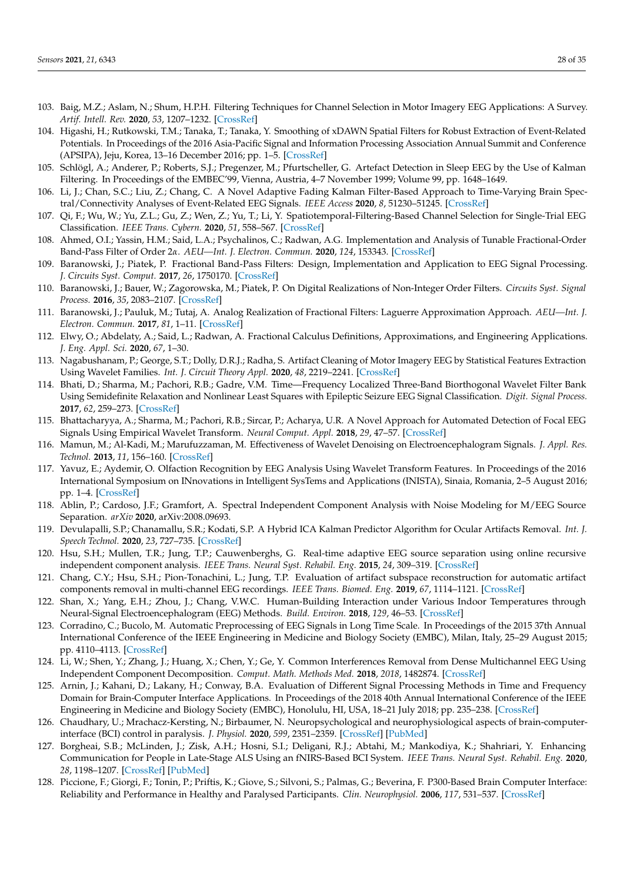- <span id="page-27-0"></span>103. Baig, M.Z.; Aslam, N.; Shum, H.P.H. Filtering Techniques for Channel Selection in Motor Imagery EEG Applications: A Survey. *Artif. Intell. Rev.* **2020**, *53*, 1207–1232. [\[CrossRef\]](http://dx.doi.org/10.1007/s10462-019-09694-8)
- <span id="page-27-1"></span>104. Higashi, H.; Rutkowski, T.M.; Tanaka, T.; Tanaka, Y. Smoothing of xDAWN Spatial Filters for Robust Extraction of Event-Related Potentials. In Proceedings of the 2016 Asia-Pacific Signal and Information Processing Association Annual Summit and Conference (APSIPA), Jeju, Korea, 13–16 December 2016; pp. 1–5. [\[CrossRef\]](http://dx.doi.org/10.1109/APSIPA.2016.7820750)
- <span id="page-27-2"></span>105. Schlögl, A.; Anderer, P.; Roberts, S.J.; Pregenzer, M.; Pfurtscheller, G. Artefact Detection in Sleep EEG by the Use of Kalman Filtering. In Proceedings of the EMBEC'99, Vienna, Austria, 4–7 November 1999; Volume 99, pp. 1648–1649.
- <span id="page-27-3"></span>106. Li, J.; Chan, S.C.; Liu, Z.; Chang, C. A Novel Adaptive Fading Kalman Filter-Based Approach to Time-Varying Brain Spectral/Connectivity Analyses of Event-Related EEG Signals. *IEEE Access* **2020**, *8*, 51230–51245. [\[CrossRef\]](http://dx.doi.org/10.1109/ACCESS.2020.2979551)
- <span id="page-27-4"></span>107. Qi, F.; Wu, W.; Yu, Z.L.; Gu, Z.; Wen, Z.; Yu, T.; Li, Y. Spatiotemporal-Filtering-Based Channel Selection for Single-Trial EEG Classification. *IEEE Trans. Cybern.* **2020**, *51*, 558–567. [\[CrossRef\]](http://dx.doi.org/10.1109/TCYB.2019.2963709)
- <span id="page-27-5"></span>108. Ahmed, O.I.; Yassin, H.M.; Said, L.A.; Psychalinos, C.; Radwan, A.G. Implementation and Analysis of Tunable Fractional-Order Band-Pass Filter of Order 2*α*. *AEU—Int. J. Electron. Commun.* **2020**, *124*, 153343. [\[CrossRef\]](http://dx.doi.org/10.1016/j.aeue.2020.153343)
- <span id="page-27-6"></span>109. Baranowski, J.; Piatek, P. Fractional Band-Pass Filters: Design, Implementation and Application to EEG Signal Processing. *J. Circuits Syst. Comput.* **2017**, *26*, 1750170. [\[CrossRef\]](http://dx.doi.org/10.1142/S0218126617501705)
- <span id="page-27-7"></span>110. Baranowski, J.; Bauer, W.; Zagorowska, M.; Piatek, P. On Digital Realizations of Non-Integer Order Filters. *Circuits Syst. Signal Process.* **2016**, *35*, 2083–2107. [\[CrossRef\]](http://dx.doi.org/10.1007/s00034-016-0269-8)
- 111. Baranowski, J.; Pauluk, M.; Tutaj, A. Analog Realization of Fractional Filters: Laguerre Approximation Approach. *AEU—Int. J. Electron. Commun.* **2017**, *81*, 1–11. [\[CrossRef\]](http://dx.doi.org/10.1016/j.aeue.2017.06.011)
- <span id="page-27-8"></span>112. Elwy, O.; Abdelaty, A.; Said, L.; Radwan, A. Fractional Calculus Definitions, Approximations, and Engineering Applications. *J. Eng. Appl. Sci.* **2020**, *67*, 1–30.
- <span id="page-27-9"></span>113. Nagabushanam, P.; George, S.T.; Dolly, D.R.J.; Radha, S. Artifact Cleaning of Motor Imagery EEG by Statistical Features Extraction Using Wavelet Families. *Int. J. Circuit Theory Appl.* **2020**, *48*, 2219–2241. [\[CrossRef\]](http://dx.doi.org/10.1002/cta.2856)
- 114. Bhati, D.; Sharma, M.; Pachori, R.B.; Gadre, V.M. Time—Frequency Localized Three-Band Biorthogonal Wavelet Filter Bank Using Semidefinite Relaxation and Nonlinear Least Squares with Epileptic Seizure EEG Signal Classification. *Digit. Signal Process.* **2017**, *62*, 259–273. [\[CrossRef\]](http://dx.doi.org/10.1016/j.dsp.2016.12.004)
- <span id="page-27-10"></span>115. Bhattacharyya, A.; Sharma, M.; Pachori, R.B.; Sircar, P.; Acharya, U.R. A Novel Approach for Automated Detection of Focal EEG Signals Using Empirical Wavelet Transform. *Neural Comput. Appl.* **2018**, *29*, 47–57. [\[CrossRef\]](http://dx.doi.org/10.1007/s00521-016-2646-4)
- <span id="page-27-11"></span>116. Mamun, M.; Al-Kadi, M.; Marufuzzaman, M. Effectiveness of Wavelet Denoising on Electroencephalogram Signals. *J. Appl. Res. Technol.* **2013**, *11*, 156–160. [\[CrossRef\]](http://dx.doi.org/10.1016/S1665-6423(13)71524-4)
- <span id="page-27-12"></span>117. Yavuz, E.; Aydemir, O. Olfaction Recognition by EEG Analysis Using Wavelet Transform Features. In Proceedings of the 2016 International Symposium on INnovations in Intelligent SysTems and Applications (INISTA), Sinaia, Romania, 2–5 August 2016; pp. 1–4. [\[CrossRef\]](http://dx.doi.org/10.1109/INISTA.2016.7571827)
- <span id="page-27-13"></span>118. Ablin, P.; Cardoso, J.F.; Gramfort, A. Spectral Independent Component Analysis with Noise Modeling for M/EEG Source Separation. *arXiv* **2020**, arXiv:2008.09693.
- <span id="page-27-14"></span>119. Devulapalli, S.P.; Chanamallu, S.R.; Kodati, S.P. A Hybrid ICA Kalman Predictor Algorithm for Ocular Artifacts Removal. *Int. J. Speech Technol.* **2020**, *23*, 727–735. [\[CrossRef\]](http://dx.doi.org/10.1007/s10772-020-09721-y)
- <span id="page-27-15"></span>120. Hsu, S.H.; Mullen, T.R.; Jung, T.P.; Cauwenberghs, G. Real-time adaptive EEG source separation using online recursive independent component analysis. *IEEE Trans. Neural Syst. Rehabil. Eng.* **2015**, *24*, 309–319. [\[CrossRef\]](http://dx.doi.org/10.1109/TNSRE.2015.2508759)
- <span id="page-27-16"></span>121. Chang, C.Y.; Hsu, S.H.; Pion-Tonachini, L.; Jung, T.P. Evaluation of artifact subspace reconstruction for automatic artifact components removal in multi-channel EEG recordings. *IEEE Trans. Biomed. Eng.* **2019**, *67*, 1114–1121. [\[CrossRef\]](http://dx.doi.org/10.1109/TBME.2019.2930186)
- <span id="page-27-17"></span>122. Shan, X.; Yang, E.H.; Zhou, J.; Chang, V.W.C. Human-Building Interaction under Various Indoor Temperatures through Neural-Signal Electroencephalogram (EEG) Methods. *Build. Environ.* **2018**, *129*, 46–53. [\[CrossRef\]](http://dx.doi.org/10.1016/j.buildenv.2017.12.004)
- <span id="page-27-18"></span>123. Corradino, C.; Bucolo, M. Automatic Preprocessing of EEG Signals in Long Time Scale. In Proceedings of the 2015 37th Annual International Conference of the IEEE Engineering in Medicine and Biology Society (EMBC), Milan, Italy, 25–29 August 2015; pp. 4110–4113. [\[CrossRef\]](http://dx.doi.org/10.1109/EMBC.2015.7319298)
- <span id="page-27-19"></span>124. Li, W.; Shen, Y.; Zhang, J.; Huang, X.; Chen, Y.; Ge, Y. Common Interferences Removal from Dense Multichannel EEG Using Independent Component Decomposition. *Comput. Math. Methods Med.* **2018**, *2018*, 1482874. [\[CrossRef\]](http://dx.doi.org/10.1155/2018/1482874)
- <span id="page-27-20"></span>125. Arnin, J.; Kahani, D.; Lakany, H.; Conway, B.A. Evaluation of Different Signal Processing Methods in Time and Frequency Domain for Brain-Computer Interface Applications. In Proceedings of the 2018 40th Annual International Conference of the IEEE Engineering in Medicine and Biology Society (EMBC), Honolulu, HI, USA, 18–21 July 2018; pp. 235–238. [\[CrossRef\]](http://dx.doi.org/10.1109/EMBC.2018.8512193)
- <span id="page-27-21"></span>126. Chaudhary, U.; Mrachacz-Kersting, N.; Birbaumer, N. Neuropsychological and neurophysiological aspects of brain-computerinterface (BCI) control in paralysis. *J. Physiol.* **2020**, *599*, 2351–2359. [\[CrossRef\]](http://dx.doi.org/10.1113/JP278775) [\[PubMed\]](http://www.ncbi.nlm.nih.gov/pubmed/32045022)
- <span id="page-27-22"></span>127. Borgheai, S.B.; McLinden, J.; Zisk, A.H.; Hosni, S.I.; Deligani, R.J.; Abtahi, M.; Mankodiya, K.; Shahriari, Y. Enhancing Communication for People in Late-Stage ALS Using an fNIRS-Based BCI System. *IEEE Trans. Neural Syst. Rehabil. Eng.* **2020**, *28*, 1198–1207. [\[CrossRef\]](http://dx.doi.org/10.1109/TNSRE.2020.2980772) [\[PubMed\]](http://www.ncbi.nlm.nih.gov/pubmed/32175867)
- <span id="page-27-23"></span>128. Piccione, F.; Giorgi, F.; Tonin, P.; Priftis, K.; Giove, S.; Silvoni, S.; Palmas, G.; Beverina, F. P300-Based Brain Computer Interface: Reliability and Performance in Healthy and Paralysed Participants. *Clin. Neurophysiol.* **2006**, *117*, 531–537. [\[CrossRef\]](http://dx.doi.org/10.1016/j.clinph.2005.07.024)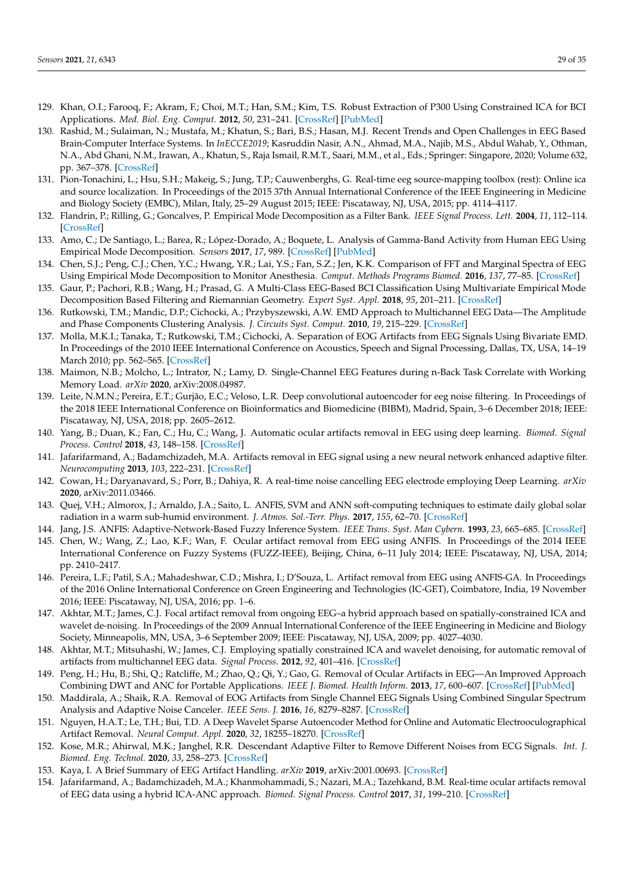- 129. Khan, O.I.; Farooq, F.; Akram, F.; Choi, M.T.; Han, S.M.; Kim, T.S. Robust Extraction of P300 Using Constrained ICA for BCI Applications. *Med. Biol. Eng. Comput.* **2012**, *50*, 231–241. [\[CrossRef\]](http://dx.doi.org/10.1007/s11517-012-0861-4) [\[PubMed\]](http://www.ncbi.nlm.nih.gov/pubmed/22249575)
- <span id="page-28-0"></span>130. Rashid, M.; Sulaiman, N.; Mustafa, M.; Khatun, S.; Bari, B.S.; Hasan, M.J. Recent Trends and Open Challenges in EEG Based Brain-Computer Interface Systems. In *InECCE2019*; Kasruddin Nasir, A.N., Ahmad, M.A., Najib, M.S., Abdul Wahab, Y., Othman, N.A., Abd Ghani, N.M., Irawan, A., Khatun, S., Raja Ismail, R.M.T., Saari, M.M., et al., Eds.; Springer: Singapore, 2020; Volume 632, pp. 367–378. [\[CrossRef\]](http://dx.doi.org/10.1007/978-981-15-2317-5_31)
- <span id="page-28-1"></span>131. Pion-Tonachini, L.; Hsu, S.H.; Makeig, S.; Jung, T.P.; Cauwenberghs, G. Real-time eeg source-mapping toolbox (rest): Online ica and source localization. In Proceedings of the 2015 37th Annual International Conference of the IEEE Engineering in Medicine and Biology Society (EMBC), Milan, Italy, 25–29 August 2015; IEEE: Piscataway, NJ, USA, 2015; pp. 4114–4117.
- <span id="page-28-2"></span>132. Flandrin, P.; Rilling, G.; Goncalves, P. Empirical Mode Decomposition as a Filter Bank. *IEEE Signal Process. Lett.* **2004**, *11*, 112–114. [\[CrossRef\]](http://dx.doi.org/10.1109/LSP.2003.821662)
- <span id="page-28-3"></span>133. Amo, C.; De Santiago, L.; Barea, R.; López-Dorado, A.; Boquete, L. Analysis of Gamma-Band Activity from Human EEG Using Empirical Mode Decomposition. *Sensors* **2017**, *17*, 989. [\[CrossRef\]](http://dx.doi.org/10.3390/s17050989) [\[PubMed\]](http://www.ncbi.nlm.nih.gov/pubmed/28468250)
- <span id="page-28-4"></span>134. Chen, S.J.; Peng, C.J.; Chen, Y.C.; Hwang, Y.R.; Lai, Y.S.; Fan, S.Z.; Jen, K.K. Comparison of FFT and Marginal Spectra of EEG Using Empirical Mode Decomposition to Monitor Anesthesia. *Comput. Methods Programs Biomed.* **2016**, *137*, 77–85. [\[CrossRef\]](http://dx.doi.org/10.1016/j.cmpb.2016.08.024)
- <span id="page-28-5"></span>135. Gaur, P.; Pachori, R.B.; Wang, H.; Prasad, G. A Multi-Class EEG-Based BCI Classification Using Multivariate Empirical Mode Decomposition Based Filtering and Riemannian Geometry. *Expert Syst. Appl.* **2018**, *95*, 201–211. [\[CrossRef\]](http://dx.doi.org/10.1016/j.eswa.2017.11.007)
- <span id="page-28-6"></span>136. Rutkowski, T.M.; Mandic, D.P.; Cichocki, A.; Przybyszewski, A.W. EMD Approach to Multichannel EEG Data—The Amplitude and Phase Components Clustering Analysis. *J. Circuits Syst. Comput.* **2010**, *19*, 215–229. [\[CrossRef\]](http://dx.doi.org/10.1142/S0218126610006037)
- <span id="page-28-7"></span>137. Molla, M.K.I.; Tanaka, T.; Rutkowski, T.M.; Cichocki, A. Separation of EOG Artifacts from EEG Signals Using Bivariate EMD. In Proceedings of the 2010 IEEE International Conference on Acoustics, Speech and Signal Processing, Dallas, TX, USA, 14–19 March 2010; pp. 562–565. [\[CrossRef\]](http://dx.doi.org/10.1109/ICASSP.2010.5495594)
- <span id="page-28-8"></span>138. Maimon, N.B.; Molcho, L.; Intrator, N.; Lamy, D. Single-Channel EEG Features during n-Back Task Correlate with Working Memory Load. *arXiv* **2020**, arXiv:2008.04987.
- <span id="page-28-9"></span>139. Leite, N.M.N.; Pereira, E.T.; Gurjão, E.C.; Veloso, L.R. Deep convolutional autoencoder for eeg noise filtering. In Proceedings of the 2018 IEEE International Conference on Bioinformatics and Biomedicine (BIBM), Madrid, Spain, 3–6 December 2018; IEEE: Piscataway, NJ, USA, 2018; pp. 2605–2612.
- <span id="page-28-10"></span>140. Yang, B.; Duan, K.; Fan, C.; Hu, C.; Wang, J. Automatic ocular artifacts removal in EEG using deep learning. *Biomed. Signal Process. Control* **2018**, *43*, 148–158. [\[CrossRef\]](http://dx.doi.org/10.1016/j.bspc.2018.02.021)
- <span id="page-28-11"></span>141. Jafarifarmand, A.; Badamchizadeh, M.A. Artifacts removal in EEG signal using a new neural network enhanced adaptive filter. *Neurocomputing* **2013**, *103*, 222–231. [\[CrossRef\]](http://dx.doi.org/10.1016/j.neucom.2012.09.024)
- <span id="page-28-12"></span>142. Cowan, H.; Daryanavard, S.; Porr, B.; Dahiya, R. A real-time noise cancelling EEG electrode employing Deep Learning. *arXiv* **2020**, arXiv:2011.03466.
- <span id="page-28-13"></span>143. Quej, V.H.; Almorox, J.; Arnaldo, J.A.; Saito, L. ANFIS, SVM and ANN soft-computing techniques to estimate daily global solar radiation in a warm sub-humid environment. *J. Atmos. Sol.-Terr. Phys.* **2017**, *155*, 62–70. [\[CrossRef\]](http://dx.doi.org/10.1016/j.jastp.2017.02.002)
- <span id="page-28-14"></span>144. Jang, J.S. ANFIS: Adaptive-Network-Based Fuzzy Inference System. *IEEE Trans. Syst. Man Cybern.* **1993**, *23*, 665–685. [\[CrossRef\]](http://dx.doi.org/10.1109/21.256541)
- <span id="page-28-15"></span>145. Chen, W.; Wang, Z.; Lao, K.F.; Wan, F. Ocular artifact removal from EEG using ANFIS. In Proceedings of the 2014 IEEE International Conference on Fuzzy Systems (FUZZ-IEEE), Beijing, China, 6–11 July 2014; IEEE: Piscataway, NJ, USA, 2014; pp. 2410–2417.
- <span id="page-28-16"></span>146. Pereira, L.F.; Patil, S.A.; Mahadeshwar, C.D.; Mishra, I.; D'Souza, L. Artifact removal from EEG using ANFIS-GA. In Proceedings of the 2016 Online International Conference on Green Engineering and Technologies (IC-GET), Coimbatore, India, 19 November 2016; IEEE: Piscataway, NJ, USA, 2016; pp. 1–6.
- <span id="page-28-17"></span>147. Akhtar, M.T.; James, C.J. Focal artifact removal from ongoing EEG–a hybrid approach based on spatially-constrained ICA and wavelet de-noising. In Proceedings of the 2009 Annual International Conference of the IEEE Engineering in Medicine and Biology Society, Minneapolis, MN, USA, 3–6 September 2009; IEEE: Piscataway, NJ, USA, 2009; pp. 4027–4030.
- <span id="page-28-18"></span>148. Akhtar, M.T.; Mitsuhashi, W.; James, C.J. Employing spatially constrained ICA and wavelet denoising, for automatic removal of artifacts from multichannel EEG data. *Signal Process.* **2012**, *92*, 401–416. [\[CrossRef\]](http://dx.doi.org/10.1016/j.sigpro.2011.08.005)
- <span id="page-28-19"></span>149. Peng, H.; Hu, B.; Shi, Q.; Ratcliffe, M.; Zhao, Q.; Qi, Y.; Gao, G. Removal of Ocular Artifacts in EEG—An Improved Approach Combining DWT and ANC for Portable Applications. *IEEE J. Biomed. Health Inform.* **2013**, *17*, 600–607. [\[CrossRef\]](http://dx.doi.org/10.1109/JBHI.2013.2253614) [\[PubMed\]](http://www.ncbi.nlm.nih.gov/pubmed/24592462)
- 150. Maddirala, A.; Shaik, R.A. Removal of EOG Artifacts from Single Channel EEG Signals Using Combined Singular Spectrum Analysis and Adaptive Noise Canceler. *IEEE Sens. J.* **2016**, *16*, 8279–8287. [\[CrossRef\]](http://dx.doi.org/10.1109/JSEN.2016.2560219)
- <span id="page-28-20"></span>151. Nguyen, H.A.T.; Le, T.H.; Bui, T.D. A Deep Wavelet Sparse Autoencoder Method for Online and Automatic Electrooculographical Artifact Removal. *Neural Comput. Appl.* **2020**, *32*, 18255–18270. [\[CrossRef\]](http://dx.doi.org/10.1007/s00521-020-04953-0)
- <span id="page-28-21"></span>152. Kose, M.R.; Ahirwal, M.K.; Janghel, R.R. Descendant Adaptive Filter to Remove Different Noises from ECG Signals. *Int. J. Biomed. Eng. Technol.* **2020**, *33*, 258–273. [\[CrossRef\]](http://dx.doi.org/10.1504/IJBET.2020.107761)
- <span id="page-28-22"></span>153. Kaya, I. A Brief Summary of EEG Artifact Handling. *arXiv* **2019**, arXiv:2001.00693. [\[CrossRef\]](http://dx.doi.org/10.13140/RG.2.2.25108.04484)
- <span id="page-28-23"></span>154. Jafarifarmand, A.; Badamchizadeh, M.A.; Khanmohammadi, S.; Nazari, M.A.; Tazehkand, B.M. Real-time ocular artifacts removal of EEG data using a hybrid ICA-ANC approach. *Biomed. Signal Process. Control* **2017**, *31*, 199–210. [\[CrossRef\]](http://dx.doi.org/10.1016/j.bspc.2016.08.006)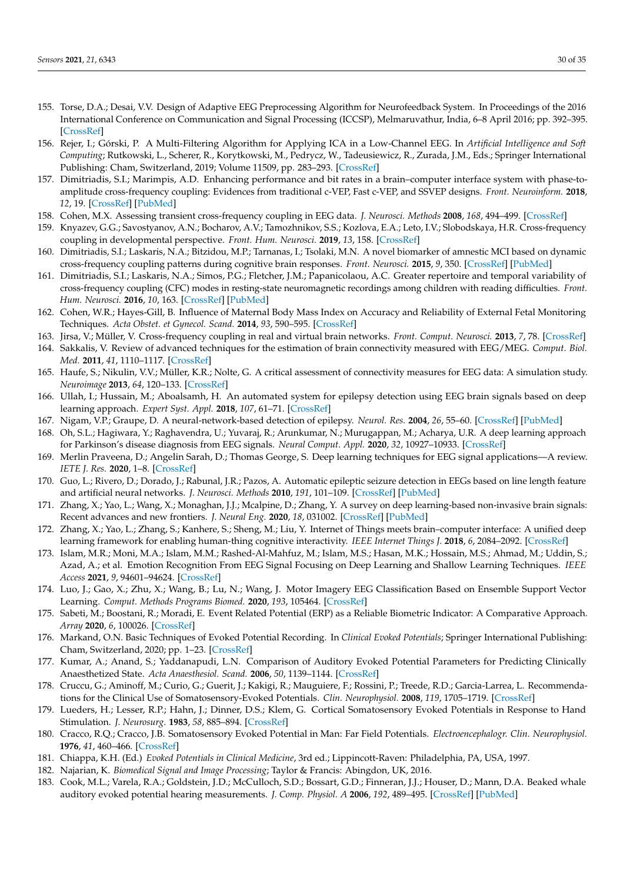- <span id="page-29-0"></span>155. Torse, D.A.; Desai, V.V. Design of Adaptive EEG Preprocessing Algorithm for Neurofeedback System. In Proceedings of the 2016 International Conference on Communication and Signal Processing (ICCSP), Melmaruvathur, India, 6–8 April 2016; pp. 392–395. [\[CrossRef\]](http://dx.doi.org/10.1109/ICCSP.2016.7754164)
- <span id="page-29-1"></span>156. Rejer, I.; Górski, P. A Multi-Filtering Algorithm for Applying ICA in a Low-Channel EEG. In *Artificial Intelligence and Soft Computing*; Rutkowski, L., Scherer, R., Korytkowski, M., Pedrycz, W., Tadeusiewicz, R., Zurada, J.M., Eds.; Springer International Publishing: Cham, Switzerland, 2019; Volume 11509, pp. 283–293. [\[CrossRef\]](http://dx.doi.org/10.1007/978-3-030-20915-5_26)
- <span id="page-29-2"></span>157. Dimitriadis, S.I.; Marimpis, A.D. Enhancing performance and bit rates in a brain–computer interface system with phase-toamplitude cross-frequency coupling: Evidences from traditional c-VEP, Fast c-VEP, and SSVEP designs. *Front. Neuroinform.* **2018**, *12*, 19. [\[CrossRef\]](http://dx.doi.org/10.3389/fninf.2018.00019) [\[PubMed\]](http://www.ncbi.nlm.nih.gov/pubmed/29867425)
- <span id="page-29-3"></span>158. Cohen, M.X. Assessing transient cross-frequency coupling in EEG data. *J. Neurosci. Methods* **2008**, *168*, 494–499. [\[CrossRef\]](http://dx.doi.org/10.1016/j.jneumeth.2007.10.012)
- <span id="page-29-4"></span>159. Knyazev, G.G.; Savostyanov, A.N.; Bocharov, A.V.; Tamozhnikov, S.S.; Kozlova, E.A.; Leto, I.V.; Slobodskaya, H.R. Cross-frequency coupling in developmental perspective. *Front. Hum. Neurosci.* **2019**, *13*, 158. [\[CrossRef\]](http://dx.doi.org/10.3389/fnhum.2019.00158)
- <span id="page-29-5"></span>160. Dimitriadis, S.I.; Laskaris, N.A.; Bitzidou, M.P.; Tarnanas, I.; Tsolaki, M.N. A novel biomarker of amnestic MCI based on dynamic cross-frequency coupling patterns during cognitive brain responses. *Front. Neurosci.* **2015**, *9*, 350. [\[CrossRef\]](http://dx.doi.org/10.3389/fnins.2015.00350) [\[PubMed\]](http://www.ncbi.nlm.nih.gov/pubmed/26539070)
- <span id="page-29-6"></span>161. Dimitriadis, S.I.; Laskaris, N.A.; Simos, P.G.; Fletcher, J.M.; Papanicolaou, A.C. Greater repertoire and temporal variability of cross-frequency coupling (CFC) modes in resting-state neuromagnetic recordings among children with reading difficulties. *Front. Hum. Neurosci.* **2016**, *10*, 163. [\[CrossRef\]](http://dx.doi.org/10.3389/fnhum.2016.00163) [\[PubMed\]](http://www.ncbi.nlm.nih.gov/pubmed/27199698)
- <span id="page-29-7"></span>162. Cohen, W.R.; Hayes-Gill, B. Influence of Maternal Body Mass Index on Accuracy and Reliability of External Fetal Monitoring Techniques. *Acta Obstet. et Gynecol. Scand.* **2014**, *93*, 590–595. [\[CrossRef\]](http://dx.doi.org/10.1111/aogs.12387)
- <span id="page-29-8"></span>163. Jirsa, V.; Müller, V. Cross-frequency coupling in real and virtual brain networks. *Front. Comput. Neurosci.* **2013**, *7*, 78. [\[CrossRef\]](http://dx.doi.org/10.3389/fncom.2013.00078)
- <span id="page-29-9"></span>164. Sakkalis, V. Review of advanced techniques for the estimation of brain connectivity measured with EEG/MEG. *Comput. Biol. Med.* **2011**, *41*, 1110–1117. [\[CrossRef\]](http://dx.doi.org/10.1016/j.compbiomed.2011.06.020)
- <span id="page-29-10"></span>165. Haufe, S.; Nikulin, V.V.; Müller, K.R.; Nolte, G. A critical assessment of connectivity measures for EEG data: A simulation study. *Neuroimage* **2013**, *64*, 120–133. [\[CrossRef\]](http://dx.doi.org/10.1016/j.neuroimage.2012.09.036)
- <span id="page-29-11"></span>166. Ullah, I.; Hussain, M.; Aboalsamh, H. An automated system for epilepsy detection using EEG brain signals based on deep learning approach. *Expert Syst. Appl.* **2018**, *107*, 61–71. [\[CrossRef\]](http://dx.doi.org/10.1016/j.eswa.2018.04.021)
- <span id="page-29-12"></span>167. Nigam, V.P.; Graupe, D. A neural-network-based detection of epilepsy. *Neurol. Res.* **2004**, *26*, 55–60. [\[CrossRef\]](http://dx.doi.org/10.1179/016164104773026534) [\[PubMed\]](http://www.ncbi.nlm.nih.gov/pubmed/14977058)
- <span id="page-29-13"></span>168. Oh, S.L.; Hagiwara, Y.; Raghavendra, U.; Yuvaraj, R.; Arunkumar, N.; Murugappan, M.; Acharya, U.R. A deep learning approach for Parkinson's disease diagnosis from EEG signals. *Neural Comput. Appl.* **2020**, *32*, 10927–10933. [\[CrossRef\]](http://dx.doi.org/10.1007/s00521-018-3689-5)
- <span id="page-29-14"></span>169. Merlin Praveena, D.; Angelin Sarah, D.; Thomas George, S. Deep learning techniques for EEG signal applications—A review. *IETE J. Res.* **2020**, 1–8. [\[CrossRef\]](http://dx.doi.org/10.1080/03772063.2020.1749143)
- <span id="page-29-15"></span>170. Guo, L.; Rivero, D.; Dorado, J.; Rabunal, J.R.; Pazos, A. Automatic epileptic seizure detection in EEGs based on line length feature and artificial neural networks. *J. Neurosci. Methods* **2010**, *191*, 101–109. [\[CrossRef\]](http://dx.doi.org/10.1016/j.jneumeth.2010.05.020) [\[PubMed\]](http://www.ncbi.nlm.nih.gov/pubmed/20595035)
- <span id="page-29-16"></span>171. Zhang, X.; Yao, L.; Wang, X.; Monaghan, J.J.; Mcalpine, D.; Zhang, Y. A survey on deep learning-based non-invasive brain signals: Recent advances and new frontiers. *J. Neural Eng.* **2020**, *18*, 031002. [\[CrossRef\]](http://dx.doi.org/10.1088/1741-2552/abc902) [\[PubMed\]](http://www.ncbi.nlm.nih.gov/pubmed/33171452)
- <span id="page-29-17"></span>172. Zhang, X.; Yao, L.; Zhang, S.; Kanhere, S.; Sheng, M.; Liu, Y. Internet of Things meets brain–computer interface: A unified deep learning framework for enabling human-thing cognitive interactivity. *IEEE Internet Things J.* **2018**, *6*, 2084–2092. [\[CrossRef\]](http://dx.doi.org/10.1109/JIOT.2018.2877786)
- <span id="page-29-18"></span>173. Islam, M.R.; Moni, M.A.; Islam, M.M.; Rashed-Al-Mahfuz, M.; Islam, M.S.; Hasan, M.K.; Hossain, M.S.; Ahmad, M.; Uddin, S.; Azad, A.; et al. Emotion Recognition From EEG Signal Focusing on Deep Learning and Shallow Learning Techniques. *IEEE Access* **2021**, *9*, 94601–94624. [\[CrossRef\]](http://dx.doi.org/10.1109/ACCESS.2021.3091487)
- <span id="page-29-19"></span>174. Luo, J.; Gao, X.; Zhu, X.; Wang, B.; Lu, N.; Wang, J. Motor Imagery EEG Classification Based on Ensemble Support Vector Learning. *Comput. Methods Programs Biomed.* **2020**, *193*, 105464. [\[CrossRef\]](http://dx.doi.org/10.1016/j.cmpb.2020.105464)
- <span id="page-29-20"></span>175. Sabeti, M.; Boostani, R.; Moradi, E. Event Related Potential (ERP) as a Reliable Biometric Indicator: A Comparative Approach. *Array* **2020**, *6*, 100026. [\[CrossRef\]](http://dx.doi.org/10.1016/j.array.2020.100026)
- <span id="page-29-21"></span>176. Markand, O.N. Basic Techniques of Evoked Potential Recording. In *Clinical Evoked Potentials*; Springer International Publishing: Cham, Switzerland, 2020; pp. 1–23. [\[CrossRef\]](http://dx.doi.org/10.1007/978-3-030-36955-2_1)
- <span id="page-29-22"></span>177. Kumar, A.; Anand, S.; Yaddanapudi, L.N. Comparison of Auditory Evoked Potential Parameters for Predicting Clinically Anaesthetized State. *Acta Anaesthesiol. Scand.* **2006**, *50*, 1139–1144. [\[CrossRef\]](http://dx.doi.org/10.1111/j.1399-6576.2006.01137.x)
- <span id="page-29-23"></span>178. Cruccu, G.; Aminoff, M.; Curio, G.; Guerit, J.; Kakigi, R.; Mauguiere, F.; Rossini, P.; Treede, R.D.; Garcia-Larrea, L. Recommendations for the Clinical Use of Somatosensory-Evoked Potentials. *Clin. Neurophysiol.* **2008**, *119*, 1705–1719. [\[CrossRef\]](http://dx.doi.org/10.1016/j.clinph.2008.03.016)
- <span id="page-29-24"></span>179. Lueders, H.; Lesser, R.P.; Hahn, J.; Dinner, D.S.; Klem, G. Cortical Somatosensory Evoked Potentials in Response to Hand Stimulation. *J. Neurosurg.* **1983**, *58*, 885–894. [\[CrossRef\]](http://dx.doi.org/10.3171/jns.1983.58.6.0885)
- <span id="page-29-25"></span>180. Cracco, R.Q.; Cracco, J.B. Somatosensory Evoked Potential in Man: Far Field Potentials. *Electroencephalogr. Clin. Neurophysiol.* **1976**, *41*, 460–466. [\[CrossRef\]](http://dx.doi.org/10.1016/0013-4694(76)90057-2)
- <span id="page-29-26"></span>181. Chiappa, K.H. (Ed.) *Evoked Potentials in Clinical Medicine*, 3rd ed.; Lippincott-Raven: Philadelphia, PA, USA, 1997.
- <span id="page-29-27"></span>182. Najarian, K. *Biomedical Signal and Image Processing*; Taylor & Francis: Abingdon, UK, 2016.
- <span id="page-29-28"></span>183. Cook, M.L.; Varela, R.A.; Goldstein, J.D.; McCulloch, S.D.; Bossart, G.D.; Finneran, J.J.; Houser, D.; Mann, D.A. Beaked whale auditory evoked potential hearing measurements. *J. Comp. Physiol. A* **2006**, *192*, 489–495. [\[CrossRef\]](http://dx.doi.org/10.1007/s00359-005-0086-1) [\[PubMed\]](http://www.ncbi.nlm.nih.gov/pubmed/16453118)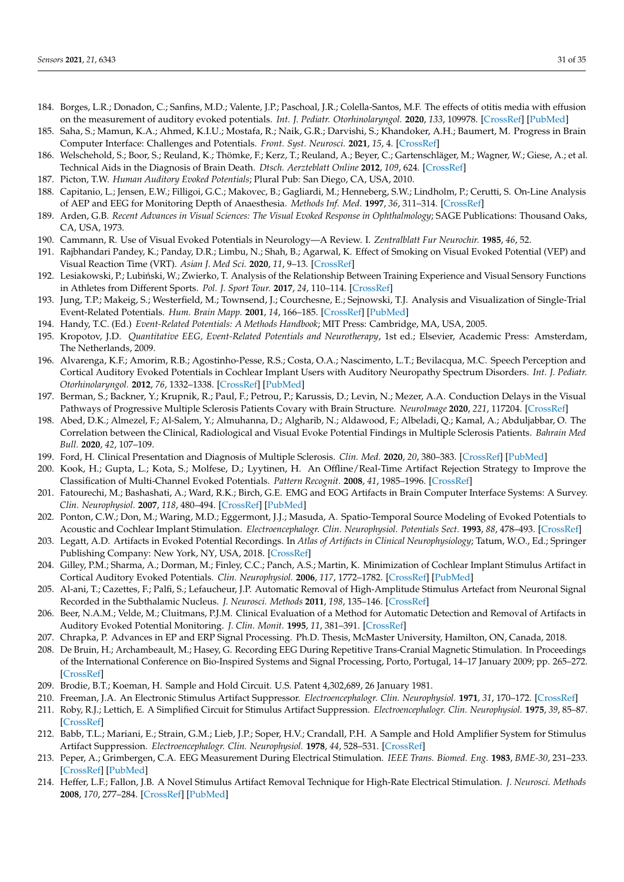- 184. Borges, L.R.; Donadon, C.; Sanfins, M.D.; Valente, J.P.; Paschoal, J.R.; Colella-Santos, M.F. The effects of otitis media with effusion on the measurement of auditory evoked potentials. *Int. J. Pediatr. Otorhinolaryngol.* **2020**, *133*, 109978. [\[CrossRef\]](http://dx.doi.org/10.1016/j.ijporl.2020.109978) [\[PubMed\]](http://www.ncbi.nlm.nih.gov/pubmed/32179206)
- <span id="page-30-0"></span>185. Saha, S.; Mamun, K.A.; Ahmed, K.I.U.; Mostafa, R.; Naik, G.R.; Darvishi, S.; Khandoker, A.H.; Baumert, M. Progress in Brain Computer Interface: Challenges and Potentials. *Front. Syst. Neurosci.* **2021**, *15*, 4. [\[CrossRef\]](http://dx.doi.org/10.3389/fnsys.2021.578875)
- <span id="page-30-1"></span>186. Welschehold, S.; Boor, S.; Reuland, K.; Thömke, F.; Kerz, T.; Reuland, A.; Beyer, C.; Gartenschläger, M.; Wagner, W.; Giese, A.; et al. Technical Aids in the Diagnosis of Brain Death. *Dtsch. Aerzteblatt Online* **2012**, *109*, 624. [\[CrossRef\]](http://dx.doi.org/10.3238/arztebl.2012.0624)
- <span id="page-30-2"></span>187. Picton, T.W. *Human Auditory Evoked Potentials*; Plural Pub: San Diego, CA, USA, 2010.
- <span id="page-30-3"></span>188. Capitanio, L.; Jensen, E.W.; Filligoi, G.C.; Makovec, B.; Gagliardi, M.; Henneberg, S.W.; Lindholm, P.; Cerutti, S. On-Line Analysis of AEP and EEG for Monitoring Depth of Anaesthesia. *Methods Inf. Med.* **1997**, *36*, 311–314. [\[CrossRef\]](http://dx.doi.org/10.1055/s-0038-1636873)
- <span id="page-30-4"></span>189. Arden, G.B. *Recent Advances in Visual Sciences: The Visual Evoked Response in Ophthalmology*; SAGE Publications: Thousand Oaks, CA, USA, 1973.
- <span id="page-30-5"></span>190. Cammann, R. Use of Visual Evoked Potentials in Neurology—A Review. I. *Zentralblatt Fur Neurochir.* **1985**, *46*, 52.
- <span id="page-30-6"></span>191. Rajbhandari Pandey, K.; Panday, D.R.; Limbu, N.; Shah, B.; Agarwal, K. Effect of Smoking on Visual Evoked Potential (VEP) and Visual Reaction Time (VRT). *Asian J. Med Sci.* **2020**, *11*, 9–13. [\[CrossRef\]](http://dx.doi.org/10.3126/ajms.v11i2.26689)
- <span id="page-30-7"></span>192. Lesiakowski, P.; Lubiński, W.; Zwierko, T. Analysis of the Relationship Between Training Experience and Visual Sensory Functions in Athletes from Different Sports. *Pol. J. Sport Tour.* **2017**, *24*, 110–114. [\[CrossRef\]](http://dx.doi.org/10.1515/pjst-2017-0012)
- <span id="page-30-8"></span>193. Jung, T.P.; Makeig, S.; Westerfield, M.; Townsend, J.; Courchesne, E.; Sejnowski, T.J. Analysis and Visualization of Single-Trial Event-Related Potentials. *Hum. Brain Mapp.* **2001**, *14*, 166–185. [\[CrossRef\]](http://dx.doi.org/10.1002/hbm.1050) [\[PubMed\]](http://www.ncbi.nlm.nih.gov/pubmed/11559961)
- <span id="page-30-10"></span>194. Handy, T.C. (Ed.) *Event-Related Potentials: A Methods Handbook*; MIT Press: Cambridge, MA, USA, 2005.
- <span id="page-30-9"></span>195. Kropotov, J.D. *Quantitative EEG, Event-Related Potentials and Neurotherapy*, 1st ed.; Elsevier, Academic Press: Amsterdam, The Netherlands, 2009.
- <span id="page-30-11"></span>196. Alvarenga, K.F.; Amorim, R.B.; Agostinho-Pesse, R.S.; Costa, O.A.; Nascimento, L.T.; Bevilacqua, M.C. Speech Perception and Cortical Auditory Evoked Potentials in Cochlear Implant Users with Auditory Neuropathy Spectrum Disorders. *Int. J. Pediatr. Otorhinolaryngol.* **2012**, *76*, 1332–1338. [\[CrossRef\]](http://dx.doi.org/10.1016/j.ijporl.2012.06.001) [\[PubMed\]](http://www.ncbi.nlm.nih.gov/pubmed/22796193)
- <span id="page-30-12"></span>197. Berman, S.; Backner, Y.; Krupnik, R.; Paul, F.; Petrou, P.; Karussis, D.; Levin, N.; Mezer, A.A. Conduction Delays in the Visual Pathways of Progressive Multiple Sclerosis Patients Covary with Brain Structure. *NeuroImage* **2020**, *221*, 117204. [\[CrossRef\]](http://dx.doi.org/10.1016/j.neuroimage.2020.117204)
- 198. Abed, D.K.; Almezel, F.; Al-Salem, Y.; Almuhanna, D.; Algharib, N.; Aldawood, F.; Albeladi, Q.; Kamal, A.; Abduljabbar, O. The Correlation between the Clinical, Radiological and Visual Evoke Potential Findings in Multiple Sclerosis Patients. *Bahrain Med Bull.* **2020**, *42*, 107–109.
- <span id="page-30-13"></span>199. Ford, H. Clinical Presentation and Diagnosis of Multiple Sclerosis. *Clin. Med.* **2020**, *20*, 380–383. [\[CrossRef\]](http://dx.doi.org/10.7861/clinmed.2020-0292) [\[PubMed\]](http://www.ncbi.nlm.nih.gov/pubmed/32675142)
- <span id="page-30-14"></span>200. Kook, H.; Gupta, L.; Kota, S.; Molfese, D.; Lyytinen, H. An Offline/Real-Time Artifact Rejection Strategy to Improve the Classification of Multi-Channel Evoked Potentials. *Pattern Recognit.* **2008**, *41*, 1985–1996. [\[CrossRef\]](http://dx.doi.org/10.1016/j.patcog.2007.09.001)
- <span id="page-30-15"></span>201. Fatourechi, M.; Bashashati, A.; Ward, R.K.; Birch, G.E. EMG and EOG Artifacts in Brain Computer Interface Systems: A Survey. *Clin. Neurophysiol.* **2007**, *118*, 480–494. [\[CrossRef\]](http://dx.doi.org/10.1016/j.clinph.2006.10.019) [\[PubMed\]](http://www.ncbi.nlm.nih.gov/pubmed/17169606)
- <span id="page-30-16"></span>202. Ponton, C.W.; Don, M.; Waring, M.D.; Eggermont, J.J.; Masuda, A. Spatio-Temporal Source Modeling of Evoked Potentials to Acoustic and Cochlear Implant Stimulation. *Electroencephalogr. Clin. Neurophysiol. Potentials Sect.* **1993**, *88*, 478–493. [\[CrossRef\]](http://dx.doi.org/10.1016/0168-5597(93)90037-P)
- <span id="page-30-17"></span>203. Legatt, A.D. Artifacts in Evoked Potential Recordings. In *Atlas of Artifacts in Clinical Neurophysiology*; Tatum, W.O., Ed.; Springer Publishing Company: New York, NY, USA, 2018. [\[CrossRef\]](http://dx.doi.org/10.1891/9780826169358.0012)
- <span id="page-30-18"></span>204. Gilley, P.M.; Sharma, A.; Dorman, M.; Finley, C.C.; Panch, A.S.; Martin, K. Minimization of Cochlear Implant Stimulus Artifact in Cortical Auditory Evoked Potentials. *Clin. Neurophysiol.* **2006**, *117*, 1772–1782. [\[CrossRef\]](http://dx.doi.org/10.1016/j.clinph.2006.04.018) [\[PubMed\]](http://www.ncbi.nlm.nih.gov/pubmed/16807102)
- 205. Al-ani, T.; Cazettes, F.; Palfi, S.; Lefaucheur, J.P. Automatic Removal of High-Amplitude Stimulus Artefact from Neuronal Signal Recorded in the Subthalamic Nucleus. *J. Neurosci. Methods* **2011**, *198*, 135–146. [\[CrossRef\]](http://dx.doi.org/10.1016/j.jneumeth.2011.03.022)
- <span id="page-30-19"></span>206. Beer, N.A.M.; Velde, M.; Cluitmans, P.J.M. Clinical Evaluation of a Method for Automatic Detection and Removal of Artifacts in Auditory Evoked Potential Monitoring. *J. Clin. Monit.* **1995**, *11*, 381–391. [\[CrossRef\]](http://dx.doi.org/10.1007/BF01616744)
- <span id="page-30-20"></span>207. Chrapka, P. Advances in EP and ERP Signal Processing. Ph.D. Thesis, McMaster University, Hamilton, ON, Canada, 2018.
- 208. De Bruin, H.; Archambeault, M.; Hasey, G. Recording EEG During Repetitive Trans-Cranial Magnetic Stimulation. In Proceedings of the International Conference on Bio-Inspired Systems and Signal Processing, Porto, Portugal, 14–17 January 2009; pp. 265–272. [\[CrossRef\]](http://dx.doi.org/10.5220/0001534102650272)
- 209. Brodie, B.T.; Koeman, H. Sample and Hold Circuit. U.S. Patent 4,302,689, 26 January 1981.
- 210. Freeman, J.A. An Electronic Stimulus Artifact Suppressor. *Electroencephalogr. Clin. Neurophysiol.* **1971**, *31*, 170–172. [\[CrossRef\]](http://dx.doi.org/10.1016/0013-4694(71)90188-X)
- 211. Roby, R.J.; Lettich, E. A Simplified Circuit for Stimulus Artifact Suppression. *Electroencephalogr. Clin. Neurophysiol.* **1975**, *39*, 85–87. [\[CrossRef\]](http://dx.doi.org/10.1016/0013-4694(75)90130-3)
- 212. Babb, T.L.; Mariani, E.; Strain, G.M.; Lieb, J.P.; Soper, H.V.; Crandall, P.H. A Sample and Hold Amplifier System for Stimulus Artifact Suppression. *Electroencephalogr. Clin. Neurophysiol.* **1978**, *44*, 528–531. [\[CrossRef\]](http://dx.doi.org/10.1016/0013-4694(78)90038-X)
- <span id="page-30-21"></span>213. Peper, A.; Grimbergen, C.A. EEG Measurement During Electrical Stimulation. *IEEE Trans. Biomed. Eng.* **1983**, *BME-30*, 231–233. [\[CrossRef\]](http://dx.doi.org/10.1109/TBME.1983.325224) [\[PubMed\]](http://www.ncbi.nlm.nih.gov/pubmed/6602758)
- <span id="page-30-22"></span>214. Heffer, L.F.; Fallon, J.B. A Novel Stimulus Artifact Removal Technique for High-Rate Electrical Stimulation. *J. Neurosci. Methods* **2008**, *170*, 277–284. [\[CrossRef\]](http://dx.doi.org/10.1016/j.jneumeth.2008.01.023) [\[PubMed\]](http://www.ncbi.nlm.nih.gov/pubmed/18339428)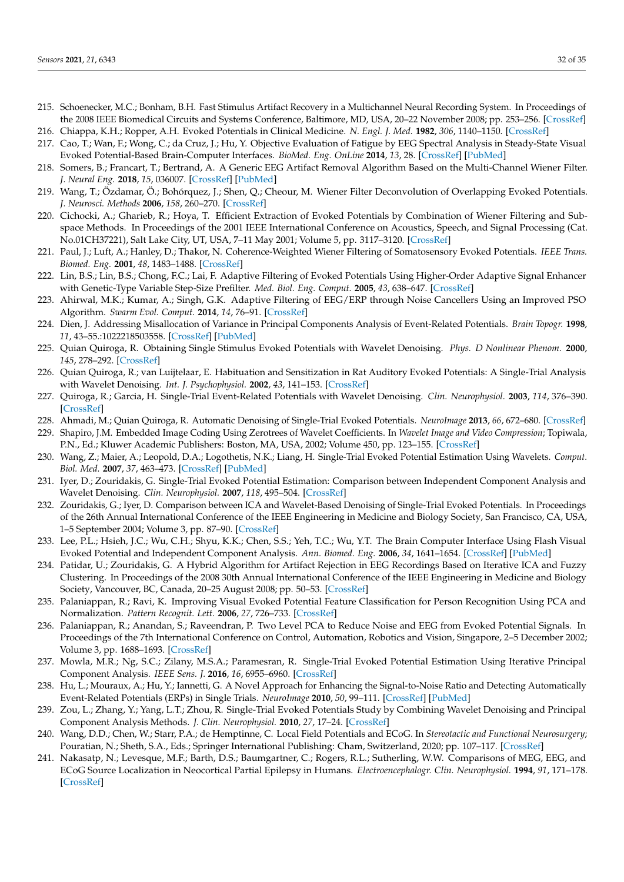- <span id="page-31-0"></span>215. Schoenecker, M.C.; Bonham, B.H. Fast Stimulus Artifact Recovery in a Multichannel Neural Recording System. In Proceedings of the 2008 IEEE Biomedical Circuits and Systems Conference, Baltimore, MD, USA, 20–22 November 2008; pp. 253–256. [\[CrossRef\]](http://dx.doi.org/10.1109/BIOCAS.2008.4696922)
- <span id="page-31-1"></span>216. Chiappa, K.H.; Ropper, A.H. Evoked Potentials in Clinical Medicine. *N. Engl. J. Med.* **1982**, *306*, 1140–1150. [\[CrossRef\]](http://dx.doi.org/10.1056/NEJM198205133061904)
- <span id="page-31-2"></span>217. Cao, T.; Wan, F.; Wong, C.; da Cruz, J.; Hu, Y. Objective Evaluation of Fatigue by EEG Spectral Analysis in Steady-State Visual Evoked Potential-Based Brain-Computer Interfaces. *BioMed. Eng. OnLine* **2014**, *13*, 28. [\[CrossRef\]](http://dx.doi.org/10.1186/1475-925X-13-28) [\[PubMed\]](http://www.ncbi.nlm.nih.gov/pubmed/24621009)
- <span id="page-31-3"></span>218. Somers, B.; Francart, T.; Bertrand, A. A Generic EEG Artifact Removal Algorithm Based on the Multi-Channel Wiener Filter. *J. Neural Eng.* **2018**, *15*, 036007. [\[CrossRef\]](http://dx.doi.org/10.1088/1741-2552/aaac92) [\[PubMed\]](http://www.ncbi.nlm.nih.gov/pubmed/29393057)
- 219. Wang, T.; Özdamar, Ö.; Bohórquez, J.; Shen, Q.; Cheour, M. Wiener Filter Deconvolution of Overlapping Evoked Potentials. *J. Neurosci. Methods* **2006**, *158*, 260–270. [\[CrossRef\]](http://dx.doi.org/10.1016/j.jneumeth.2006.05.023)
- 220. Cichocki, A.; Gharieb, R.; Hoya, T. Efficient Extraction of Evoked Potentials by Combination of Wiener Filtering and Subspace Methods. In Proceedings of the 2001 IEEE International Conference on Acoustics, Speech, and Signal Processing (Cat. No.01CH37221), Salt Lake City, UT, USA, 7–11 May 2001; Volume 5, pp. 3117–3120. [\[CrossRef\]](http://dx.doi.org/10.1109/ICASSP.2001.940318)
- 221. Paul, J.; Luft, A.; Hanley, D.; Thakor, N. Coherence-Weighted Wiener Filtering of Somatosensory Evoked Potentials. *IEEE Trans. Biomed. Eng.* **2001**, *48*, 1483–1488. [\[CrossRef\]](http://dx.doi.org/10.1109/10.966608)
- 222. Lin, B.S.; Lin, B.S.; Chong, F.C.; Lai, F. Adaptive Filtering of Evoked Potentials Using Higher-Order Adaptive Signal Enhancer with Genetic-Type Variable Step-Size Prefilter. *Med. Biol. Eng. Comput.* **2005**, *43*, 638–647. [\[CrossRef\]](http://dx.doi.org/10.1007/BF02351038)
- <span id="page-31-4"></span>223. Ahirwal, M.K.; Kumar, A.; Singh, G.K. Adaptive Filtering of EEG/ERP through Noise Cancellers Using an Improved PSO Algorithm. *Swarm Evol. Comput.* **2014**, *14*, 76–91. [\[CrossRef\]](http://dx.doi.org/10.1016/j.swevo.2013.10.001)
- <span id="page-31-5"></span>224. Dien, J. Addressing Misallocation of Variance in Principal Components Analysis of Event-Related Potentials. *Brain Topogr.* **1998**, *11*, 43–55.:1022218503558. [\[CrossRef\]](http://dx.doi.org/10.1023/A:1022218503558) [\[PubMed\]](http://www.ncbi.nlm.nih.gov/pubmed/9758391)
- <span id="page-31-6"></span>225. Quian Quiroga, R. Obtaining Single Stimulus Evoked Potentials with Wavelet Denoising. *Phys. D Nonlinear Phenom.* **2000**, *145*, 278–292. [\[CrossRef\]](http://dx.doi.org/10.1016/S0167-2789(00)00116-0)
- <span id="page-31-7"></span>226. Quian Quiroga, R.; van Luijtelaar, E. Habituation and Sensitization in Rat Auditory Evoked Potentials: A Single-Trial Analysis with Wavelet Denoising. *Int. J. Psychophysiol.* **2002**, *43*, 141–153. [\[CrossRef\]](http://dx.doi.org/10.1016/S0167-8760(01)00157-X)
- <span id="page-31-8"></span>227. Quiroga, R.; Garcia, H. Single-Trial Event-Related Potentials with Wavelet Denoising. *Clin. Neurophysiol.* **2003**, *114*, 376–390. [\[CrossRef\]](http://dx.doi.org/10.1016/S1388-2457(02)00365-6)
- <span id="page-31-9"></span>228. Ahmadi, M.; Quian Quiroga, R. Automatic Denoising of Single-Trial Evoked Potentials. *NeuroImage* **2013**, *66*, 672–680. [\[CrossRef\]](http://dx.doi.org/10.1016/j.neuroimage.2012.10.062)
- <span id="page-31-10"></span>229. Shapiro, J.M. Embedded Image Coding Using Zerotrees of Wavelet Coefficients. In *Wavelet Image and Video Compression*; Topiwala, P.N., Ed.; Kluwer Academic Publishers: Boston, MA, USA, 2002; Volume 450, pp. 123–155. [\[CrossRef\]](http://dx.doi.org/10.1007/0-306-47043-8_8)
- <span id="page-31-11"></span>230. Wang, Z.; Maier, A.; Leopold, D.A.; Logothetis, N.K.; Liang, H. Single-Trial Evoked Potential Estimation Using Wavelets. *Comput. Biol. Med.* **2007**, *37*, 463–473. [\[CrossRef\]](http://dx.doi.org/10.1016/j.compbiomed.2006.08.011) [\[PubMed\]](http://www.ncbi.nlm.nih.gov/pubmed/16987507)
- <span id="page-31-12"></span>231. Iyer, D.; Zouridakis, G. Single-Trial Evoked Potential Estimation: Comparison between Independent Component Analysis and Wavelet Denoising. *Clin. Neurophysiol.* **2007**, *118*, 495–504. [\[CrossRef\]](http://dx.doi.org/10.1016/j.clinph.2006.10.024)
- <span id="page-31-13"></span>232. Zouridakis, G.; Iyer, D. Comparison between ICA and Wavelet-Based Denoising of Single-Trial Evoked Potentials. In Proceedings of the 26th Annual International Conference of the IEEE Engineering in Medicine and Biology Society, San Francisco, CA, USA, 1–5 September 2004; Volume 3, pp. 87–90. [\[CrossRef\]](http://dx.doi.org/10.1109/IEMBS.2004.1403097)
- <span id="page-31-14"></span>233. Lee, P.L.; Hsieh, J.C.; Wu, C.H.; Shyu, K.K.; Chen, S.S.; Yeh, T.C.; Wu, Y.T. The Brain Computer Interface Using Flash Visual Evoked Potential and Independent Component Analysis. *Ann. Biomed. Eng.* **2006**, *34*, 1641–1654. [\[CrossRef\]](http://dx.doi.org/10.1007/s10439-006-9175-8) [\[PubMed\]](http://www.ncbi.nlm.nih.gov/pubmed/17029033)
- <span id="page-31-15"></span>234. Patidar, U.; Zouridakis, G. A Hybrid Algorithm for Artifact Rejection in EEG Recordings Based on Iterative ICA and Fuzzy Clustering. In Proceedings of the 2008 30th Annual International Conference of the IEEE Engineering in Medicine and Biology Society, Vancouver, BC, Canada, 20–25 August 2008; pp. 50–53. [\[CrossRef\]](http://dx.doi.org/10.1109/IEMBS.2008.4649088)
- <span id="page-31-16"></span>235. Palaniappan, R.; Ravi, K. Improving Visual Evoked Potential Feature Classification for Person Recognition Using PCA and Normalization. *Pattern Recognit. Lett.* **2006**, *27*, 726–733. [\[CrossRef\]](http://dx.doi.org/10.1016/j.patrec.2005.10.020)
- <span id="page-31-17"></span>236. Palaniappan, R.; Anandan, S.; Raveendran, P. Two Level PCA to Reduce Noise and EEG from Evoked Potential Signals. In Proceedings of the 7th International Conference on Control, Automation, Robotics and Vision, Singapore, 2–5 December 2002; Volume 3, pp. 1688–1693. [\[CrossRef\]](http://dx.doi.org/10.1109/ICARCV.2002.1235029)
- <span id="page-31-18"></span>237. Mowla, M.R.; Ng, S.C.; Zilany, M.S.A.; Paramesran, R. Single-Trial Evoked Potential Estimation Using Iterative Principal Component Analysis. *IEEE Sens. J.* **2016**, *16*, 6955–6960. [\[CrossRef\]](http://dx.doi.org/10.1109/JSEN.2016.2591582)
- <span id="page-31-19"></span>238. Hu, L.; Mouraux, A.; Hu, Y.; Iannetti, G. A Novel Approach for Enhancing the Signal-to-Noise Ratio and Detecting Automatically Event-Related Potentials (ERPs) in Single Trials. *NeuroImage* **2010**, *50*, 99–111. [\[CrossRef\]](http://dx.doi.org/10.1016/j.neuroimage.2009.12.010) [\[PubMed\]](http://www.ncbi.nlm.nih.gov/pubmed/20004255)
- <span id="page-31-20"></span>239. Zou, L.; Zhang, Y.; Yang, L.T.; Zhou, R. Single-Trial Evoked Potentials Study by Combining Wavelet Denoising and Principal Component Analysis Methods. *J. Clin. Neurophysiol.* **2010**, *27*, 17–24. [\[CrossRef\]](http://dx.doi.org/10.1097/WNP.0b013e3181c9b29a)
- <span id="page-31-21"></span>240. Wang, D.D.; Chen, W.; Starr, P.A.; de Hemptinne, C. Local Field Potentials and ECoG. In *Stereotactic and Functional Neurosurgery*; Pouratian, N.; Sheth, S.A., Eds.; Springer International Publishing: Cham, Switzerland, 2020; pp. 107–117. [\[CrossRef\]](http://dx.doi.org/10.1007/978-3-030-34906-6_9)
- <span id="page-31-22"></span>241. Nakasatp, N.; Levesque, M.F.; Barth, D.S.; Baumgartner, C.; Rogers, R.L.; Sutherling, W.W. Comparisons of MEG, EEG, and ECoG Source Localization in Neocortical Partial Epilepsy in Humans. *Electroencephalogr. Clin. Neurophysiol.* **1994**, *91*, 171–178. [\[CrossRef\]](http://dx.doi.org/10.1016/0013-4694(94)90067-1)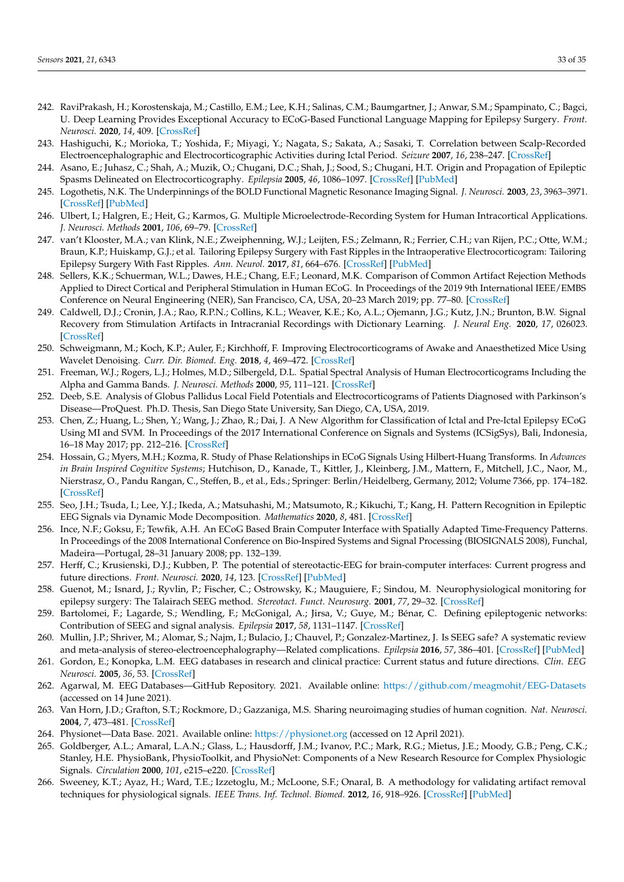- <span id="page-32-0"></span>242. RaviPrakash, H.; Korostenskaja, M.; Castillo, E.M.; Lee, K.H.; Salinas, C.M.; Baumgartner, J.; Anwar, S.M.; Spampinato, C.; Bagci, U. Deep Learning Provides Exceptional Accuracy to ECoG-Based Functional Language Mapping for Epilepsy Surgery. *Front. Neurosci.* **2020**, *14*, 409. [\[CrossRef\]](http://dx.doi.org/10.3389/fnins.2020.00409)
- <span id="page-32-1"></span>243. Hashiguchi, K.; Morioka, T.; Yoshida, F.; Miyagi, Y.; Nagata, S.; Sakata, A.; Sasaki, T. Correlation between Scalp-Recorded Electroencephalographic and Electrocorticographic Activities during Ictal Period. *Seizure* **2007**, *16*, 238–247. [\[CrossRef\]](http://dx.doi.org/10.1016/j.seizure.2006.12.010)
- <span id="page-32-2"></span>244. Asano, E.; Juhasz, C.; Shah, A.; Muzik, O.; Chugani, D.C.; Shah, J.; Sood, S.; Chugani, H.T. Origin and Propagation of Epileptic Spasms Delineated on Electrocorticography. *Epilepsia* **2005**, *46*, 1086–1097. [\[CrossRef\]](http://dx.doi.org/10.1111/j.1528-1167.2005.05205.x) [\[PubMed\]](http://www.ncbi.nlm.nih.gov/pubmed/16026561)
- <span id="page-32-3"></span>245. Logothetis, N.K. The Underpinnings of the BOLD Functional Magnetic Resonance Imaging Signal. *J. Neurosci.* **2003**, *23*, 3963–3971. [\[CrossRef\]](http://dx.doi.org/10.1523/JNEUROSCI.23-10-03963.2003) [\[PubMed\]](http://www.ncbi.nlm.nih.gov/pubmed/12764080)
- <span id="page-32-4"></span>246. Ulbert, I.; Halgren, E.; Heit, G.; Karmos, G. Multiple Microelectrode-Recording System for Human Intracortical Applications. *J. Neurosci. Methods* **2001**, *106*, 69–79. [\[CrossRef\]](http://dx.doi.org/10.1016/S0165-0270(01)00330-2)
- <span id="page-32-5"></span>247. van't Klooster, M.A.; van Klink, N.E.; Zweiphenning, W.J.; Leijten, F.S.; Zelmann, R.; Ferrier, C.H.; van Rijen, P.C.; Otte, W.M.; Braun, K.P.; Huiskamp, G.J.; et al. Tailoring Epilepsy Surgery with Fast Ripples in the Intraoperative Electrocorticogram: Tailoring Epilepsy Surgery With Fast Ripples. *Ann. Neurol.* **2017**, *81*, 664–676. [\[CrossRef\]](http://dx.doi.org/10.1002/ana.24928) [\[PubMed\]](http://www.ncbi.nlm.nih.gov/pubmed/28380659)
- <span id="page-32-6"></span>248. Sellers, K.K.; Schuerman, W.L.; Dawes, H.E.; Chang, E.F.; Leonard, M.K. Comparison of Common Artifact Rejection Methods Applied to Direct Cortical and Peripheral Stimulation in Human ECoG. In Proceedings of the 2019 9th International IEEE/EMBS Conference on Neural Engineering (NER), San Francisco, CA, USA, 20–23 March 2019; pp. 77–80. [\[CrossRef\]](http://dx.doi.org/10.1109/NER.2019.8716980)
- <span id="page-32-7"></span>249. Caldwell, D.J.; Cronin, J.A.; Rao, R.P.N.; Collins, K.L.; Weaver, K.E.; Ko, A.L.; Ojemann, J.G.; Kutz, J.N.; Brunton, B.W. Signal Recovery from Stimulation Artifacts in Intracranial Recordings with Dictionary Learning. *J. Neural Eng.* **2020**, *17*, 026023. [\[CrossRef\]](http://dx.doi.org/10.1088/1741-2552/ab7a4f)
- <span id="page-32-8"></span>250. Schweigmann, M.; Koch, K.P.; Auler, F.; Kirchhoff, F. Improving Electrocorticograms of Awake and Anaesthetized Mice Using Wavelet Denoising. *Curr. Dir. Biomed. Eng.* **2018**, *4*, 469–472. [\[CrossRef\]](http://dx.doi.org/10.1515/cdbme-2018-0112)
- <span id="page-32-9"></span>251. Freeman, W.J.; Rogers, L.J.; Holmes, M.D.; Silbergeld, D.L. Spatial Spectral Analysis of Human Electrocorticograms Including the Alpha and Gamma Bands. *J. Neurosci. Methods* **2000**, *95*, 111–121. [\[CrossRef\]](http://dx.doi.org/10.1016/S0165-0270(99)00160-0)
- <span id="page-32-10"></span>252. Deeb, S.E. Analysis of Globus Pallidus Local Field Potentials and Electrocorticograms of Patients Diagnosed with Parkinson's Disease—ProQuest. Ph.D. Thesis, San Diego State University, San Diego, CA, USA, 2019.
- <span id="page-32-11"></span>253. Chen, Z.; Huang, L.; Shen, Y.; Wang, J.; Zhao, R.; Dai, J. A New Algorithm for Classification of Ictal and Pre-Ictal Epilepsy ECoG Using MI and SVM. In Proceedings of the 2017 International Conference on Signals and Systems (ICSigSys), Bali, Indonesia, 16–18 May 2017; pp. 212–216. [\[CrossRef\]](http://dx.doi.org/10.1109/ICSIGSYS.2017.7967043)
- <span id="page-32-12"></span>254. Hossain, G.; Myers, M.H.; Kozma, R. Study of Phase Relationships in ECoG Signals Using Hilbert-Huang Transforms. In *Advances in Brain Inspired Cognitive Systems*; Hutchison, D., Kanade, T., Kittler, J., Kleinberg, J.M., Mattern, F., Mitchell, J.C., Naor, M., Nierstrasz, O., Pandu Rangan, C., Steffen, B., et al., Eds.; Springer: Berlin/Heidelberg, Germany, 2012; Volume 7366, pp. 174–182. [\[CrossRef\]](http://dx.doi.org/10.1007/978-3-642-31561-9_19)
- <span id="page-32-13"></span>255. Seo, J.H.; Tsuda, I.; Lee, Y.J.; Ikeda, A.; Matsuhashi, M.; Matsumoto, R.; Kikuchi, T.; Kang, H. Pattern Recognition in Epileptic EEG Signals via Dynamic Mode Decomposition. *Mathematics* **2020**, *8*, 481. [\[CrossRef\]](http://dx.doi.org/10.3390/math8040481)
- <span id="page-32-14"></span>256. Ince, N.F.; Goksu, F.; Tewfik, A.H. An ECoG Based Brain Computer Interface with Spatially Adapted Time-Frequency Patterns. In Proceedings of the 2008 International Conference on Bio-Inspired Systems and Signal Processing (BIOSIGNALS 2008), Funchal, Madeira—Portugal, 28–31 January 2008; pp. 132–139.
- <span id="page-32-15"></span>257. Herff, C.; Krusienski, D.J.; Kubben, P. The potential of stereotactic-EEG for brain-computer interfaces: Current progress and future directions. *Front. Neurosci.* **2020**, *14*, 123. [\[CrossRef\]](http://dx.doi.org/10.3389/fnins.2020.00123) [\[PubMed\]](http://www.ncbi.nlm.nih.gov/pubmed/32174810)
- <span id="page-32-17"></span>258. Guenot, M.; Isnard, J.; Ryvlin, P.; Fischer, C.; Ostrowsky, K.; Mauguiere, F.; Sindou, M. Neurophysiological monitoring for epilepsy surgery: The Talairach SEEG method. *Stereotact. Funct. Neurosurg.* **2001**, *77*, 29–32. [\[CrossRef\]](http://dx.doi.org/10.1159/000064595)
- 259. Bartolomei, F.; Lagarde, S.; Wendling, F.; McGonigal, A.; Jirsa, V.; Guye, M.; Bénar, C. Defining epileptogenic networks: Contribution of SEEG and signal analysis. *Epilepsia* **2017**, *58*, 1131–1147. [\[CrossRef\]](http://dx.doi.org/10.1111/epi.13791)
- <span id="page-32-16"></span>260. Mullin, J.P.; Shriver, M.; Alomar, S.; Najm, I.; Bulacio, J.; Chauvel, P.; Gonzalez-Martinez, J. Is SEEG safe? A systematic review and meta-analysis of stereo-electroencephalography—Related complications. *Epilepsia* **2016**, *57*, 386–401. [\[CrossRef\]](http://dx.doi.org/10.1111/epi.13298) [\[PubMed\]](http://www.ncbi.nlm.nih.gov/pubmed/26899389)
- <span id="page-32-18"></span>261. Gordon, E.; Konopka, L.M. EEG databases in research and clinical practice: Current status and future directions. *Clin. EEG Neurosci.* **2005**, *36*, 53. [\[CrossRef\]](http://dx.doi.org/10.1177/155005940503600203)
- <span id="page-32-19"></span>262. Agarwal, M. EEG Databases—GitHub Repository. 2021. Available online: <https://github.com/meagmohit/EEG-Datasets> (accessed on 14 June 2021).
- <span id="page-32-20"></span>263. Van Horn, J.D.; Grafton, S.T.; Rockmore, D.; Gazzaniga, M.S. Sharing neuroimaging studies of human cognition. *Nat. Neurosci.* **2004**, *7*, 473–481. [\[CrossRef\]](http://dx.doi.org/10.1038/nn1231)
- <span id="page-32-21"></span>264. Physionet—Data Base. 2021. Available online: <https://physionet.org> (accessed on 12 April 2021).
- <span id="page-32-22"></span>265. Goldberger, A.L.; Amaral, L.A.N.; Glass, L.; Hausdorff, J.M.; Ivanov, P.C.; Mark, R.G.; Mietus, J.E.; Moody, G.B.; Peng, C.K.; Stanley, H.E. PhysioBank, PhysioToolkit, and PhysioNet: Components of a New Research Resource for Complex Physiologic Signals. *Circulation* **2000**, *101*, e215–e220. [\[CrossRef\]](http://dx.doi.org/10.1161/01.CIR.101.23.e215)
- <span id="page-32-23"></span>266. Sweeney, K.T.; Ayaz, H.; Ward, T.E.; Izzetoglu, M.; McLoone, S.F.; Onaral, B. A methodology for validating artifact removal techniques for physiological signals. *IEEE Trans. Inf. Technol. Biomed.* **2012**, *16*, 918–926. [\[CrossRef\]](http://dx.doi.org/10.1109/TITB.2012.2207400) [\[PubMed\]](http://www.ncbi.nlm.nih.gov/pubmed/22801522)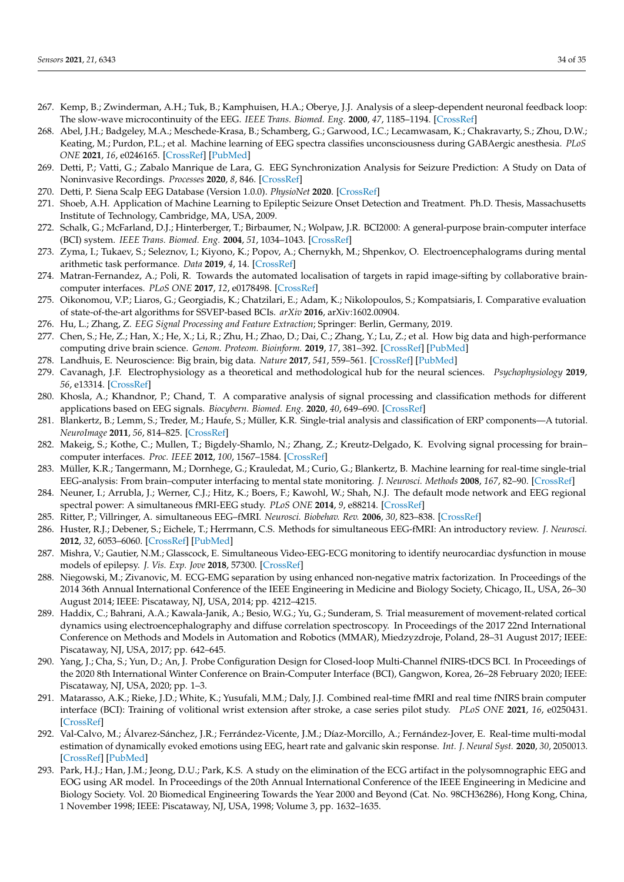- <span id="page-33-0"></span>267. Kemp, B.; Zwinderman, A.H.; Tuk, B.; Kamphuisen, H.A.; Oberye, J.J. Analysis of a sleep-dependent neuronal feedback loop: The slow-wave microcontinuity of the EEG. *IEEE Trans. Biomed. Eng.* **2000**, *47*, 1185–1194. [\[CrossRef\]](http://dx.doi.org/10.1109/10.867928)
- <span id="page-33-1"></span>268. Abel, J.H.; Badgeley, M.A.; Meschede-Krasa, B.; Schamberg, G.; Garwood, I.C.; Lecamwasam, K.; Chakravarty, S.; Zhou, D.W.; Keating, M.; Purdon, P.L.; et al. Machine learning of EEG spectra classifies unconsciousness during GABAergic anesthesia. *PLoS ONE* **2021**, *16*, e0246165. [\[CrossRef\]](http://dx.doi.org/10.1371/journal.pone.0246165) [\[PubMed\]](http://www.ncbi.nlm.nih.gov/pubmed/33956800)
- <span id="page-33-2"></span>269. Detti, P.; Vatti, G.; Zabalo Manrique de Lara, G. EEG Synchronization Analysis for Seizure Prediction: A Study on Data of Noninvasive Recordings. *Processes* **2020**, *8*, 846. [\[CrossRef\]](http://dx.doi.org/10.3390/pr8070846)
- <span id="page-33-3"></span>270. Detti, P. Siena Scalp EEG Database (Version 1.0.0). *PhysioNet* **2020**. [\[CrossRef\]](http://dx.doi.org/10.13026/5d4a-j060)
- <span id="page-33-4"></span>271. Shoeb, A.H. Application of Machine Learning to Epileptic Seizure Onset Detection and Treatment. Ph.D. Thesis, Massachusetts Institute of Technology, Cambridge, MA, USA, 2009.
- <span id="page-33-5"></span>272. Schalk, G.; McFarland, D.J.; Hinterberger, T.; Birbaumer, N.; Wolpaw, J.R. BCI2000: A general-purpose brain-computer interface (BCI) system. *IEEE Trans. Biomed. Eng.* **2004**, *51*, 1034–1043. [\[CrossRef\]](http://dx.doi.org/10.1109/TBME.2004.827072)
- <span id="page-33-6"></span>273. Zyma, I.; Tukaev, S.; Seleznov, I.; Kiyono, K.; Popov, A.; Chernykh, M.; Shpenkov, O. Electroencephalograms during mental arithmetic task performance. *Data* **2019**, *4*, 14. [\[CrossRef\]](http://dx.doi.org/10.3390/data4010014)
- <span id="page-33-7"></span>274. Matran-Fernandez, A.; Poli, R. Towards the automated localisation of targets in rapid image-sifting by collaborative braincomputer interfaces. *PLoS ONE* **2017**, *12*, e0178498. [\[CrossRef\]](http://dx.doi.org/10.1371/journal.pone.0178498)
- <span id="page-33-8"></span>275. Oikonomou, V.P.; Liaros, G.; Georgiadis, K.; Chatzilari, E.; Adam, K.; Nikolopoulos, S.; Kompatsiaris, I. Comparative evaluation of state-of-the-art algorithms for SSVEP-based BCIs. *arXiv* **2016**, arXiv:1602.00904.
- <span id="page-33-9"></span>276. Hu, L.; Zhang, Z. *EEG Signal Processing and Feature Extraction*; Springer: Berlin, Germany, 2019.
- <span id="page-33-10"></span>277. Chen, S.; He, Z.; Han, X.; He, X.; Li, R.; Zhu, H.; Zhao, D.; Dai, C.; Zhang, Y.; Lu, Z.; et al. How big data and high-performance computing drive brain science. *Genom. Proteom. Bioinform.* **2019**, *17*, 381–392. [\[CrossRef\]](http://dx.doi.org/10.1016/j.gpb.2019.09.003) [\[PubMed\]](http://www.ncbi.nlm.nih.gov/pubmed/31805369)
- <span id="page-33-11"></span>278. Landhuis, E. Neuroscience: Big brain, big data. *Nature* **2017**, *541*, 559–561. [\[CrossRef\]](http://dx.doi.org/10.1038/541559a) [\[PubMed\]](http://www.ncbi.nlm.nih.gov/pubmed/28128250)
- <span id="page-33-12"></span>279. Cavanagh, J.F. Electrophysiology as a theoretical and methodological hub for the neural sciences. *Psychophysiology* **2019**, *56*, e13314. [\[CrossRef\]](http://dx.doi.org/10.1111/psyp.13314)
- <span id="page-33-13"></span>280. Khosla, A.; Khandnor, P.; Chand, T. A comparative analysis of signal processing and classification methods for different applications based on EEG signals. *Biocybern. Biomed. Eng.* **2020**, *40*, 649–690. [\[CrossRef\]](http://dx.doi.org/10.1016/j.bbe.2020.02.002)
- <span id="page-33-14"></span>281. Blankertz, B.; Lemm, S.; Treder, M.; Haufe, S.; Müller, K.R. Single-trial analysis and classification of ERP components—A tutorial. *NeuroImage* **2011**, *56*, 814–825. [\[CrossRef\]](http://dx.doi.org/10.1016/j.neuroimage.2010.06.048)
- 282. Makeig, S.; Kothe, C.; Mullen, T.; Bigdely-Shamlo, N.; Zhang, Z.; Kreutz-Delgado, K. Evolving signal processing for brain– computer interfaces. *Proc. IEEE* **2012**, *100*, 1567–1584. [\[CrossRef\]](http://dx.doi.org/10.1109/JPROC.2012.2185009)
- <span id="page-33-15"></span>283. Müller, K.R.; Tangermann, M.; Dornhege, G.; Krauledat, M.; Curio, G.; Blankertz, B. Machine learning for real-time single-trial EEG-analysis: From brain–computer interfacing to mental state monitoring. *J. Neurosci. Methods* **2008**, *167*, 82–90. [\[CrossRef\]](http://dx.doi.org/10.1016/j.jneumeth.2007.09.022)
- <span id="page-33-16"></span>284. Neuner, I.; Arrubla, J.; Werner, C.J.; Hitz, K.; Boers, F.; Kawohl, W.; Shah, N.J. The default mode network and EEG regional spectral power: A simultaneous fMRI-EEG study. *PLoS ONE* **2014**, *9*, e88214. [\[CrossRef\]](http://dx.doi.org/10.1371/journal.pone.0088214)
- <span id="page-33-17"></span>285. Ritter, P.; Villringer, A. simultaneous EEG–fMRI. *Neurosci. Biobehav. Rev.* **2006**, *30*, 823–838. [\[CrossRef\]](http://dx.doi.org/10.1016/j.neubiorev.2006.06.008)
- 286. Huster, R.J.; Debener, S.; Eichele, T.; Herrmann, C.S. Methods for simultaneous EEG-fMRI: An introductory review. *J. Neurosci.* **2012**, *32*, 6053–6060. [\[CrossRef\]](http://dx.doi.org/10.1523/JNEUROSCI.0447-12.2012) [\[PubMed\]](http://www.ncbi.nlm.nih.gov/pubmed/22553012)
- 287. Mishra, V.; Gautier, N.M.; Glasscock, E. Simultaneous Video-EEG-ECG monitoring to identify neurocardiac dysfunction in mouse models of epilepsy. *J. Vis. Exp. Jove* **2018**, 57300. [\[CrossRef\]](http://dx.doi.org/10.3791/57300)
- 288. Niegowski, M.; Zivanovic, M. ECG-EMG separation by using enhanced non-negative matrix factorization. In Proceedings of the 2014 36th Annual International Conference of the IEEE Engineering in Medicine and Biology Society, Chicago, IL, USA, 26–30 August 2014; IEEE: Piscataway, NJ, USA, 2014; pp. 4212–4215.
- 289. Haddix, C.; Bahrani, A.A.; Kawala-Janik, A.; Besio, W.G.; Yu, G.; Sunderam, S. Trial measurement of movement-related cortical dynamics using electroencephalography and diffuse correlation spectroscopy. In Proceedings of the 2017 22nd International Conference on Methods and Models in Automation and Robotics (MMAR), Miedzyzdroje, Poland, 28–31 August 2017; IEEE: Piscataway, NJ, USA, 2017; pp. 642–645.
- 290. Yang, J.; Cha, S.; Yun, D.; An, J. Probe Configuration Design for Closed-loop Multi-Channel fNIRS-tDCS BCI. In Proceedings of the 2020 8th International Winter Conference on Brain-Computer Interface (BCI), Gangwon, Korea, 26–28 February 2020; IEEE: Piscataway, NJ, USA, 2020; pp. 1–3.
- <span id="page-33-18"></span>291. Matarasso, A.K.; Rieke, J.D.; White, K.; Yusufali, M.M.; Daly, J.J. Combined real-time fMRI and real time fNIRS brain computer interface (BCI): Training of volitional wrist extension after stroke, a case series pilot study. *PLoS ONE* **2021**, *16*, e0250431. [\[CrossRef\]](http://dx.doi.org/10.1371/journal.pone.0250431)
- <span id="page-33-19"></span>292. Val-Calvo, M.; Álvarez-Sánchez, J.R.; Ferrández-Vicente, J.M.; Díaz-Morcillo, A.; Fernández-Jover, E. Real-time multi-modal estimation of dynamically evoked emotions using EEG, heart rate and galvanic skin response. *Int. J. Neural Syst.* **2020**, *30*, 2050013. [\[CrossRef\]](http://dx.doi.org/10.1142/S0129065720500136) [\[PubMed\]](http://www.ncbi.nlm.nih.gov/pubmed/32114841)
- 293. Park, H.J.; Han, J.M.; Jeong, D.U.; Park, K.S. A study on the elimination of the ECG artifact in the polysomnographic EEG and EOG using AR model. In Proceedings of the 20th Annual International Conference of the IEEE Engineering in Medicine and Biology Society. Vol. 20 Biomedical Engineering Towards the Year 2000 and Beyond (Cat. No. 98CH36286), Hong Kong, China, 1 November 1998; IEEE: Piscataway, NJ, USA, 1998; Volume 3, pp. 1632–1635.